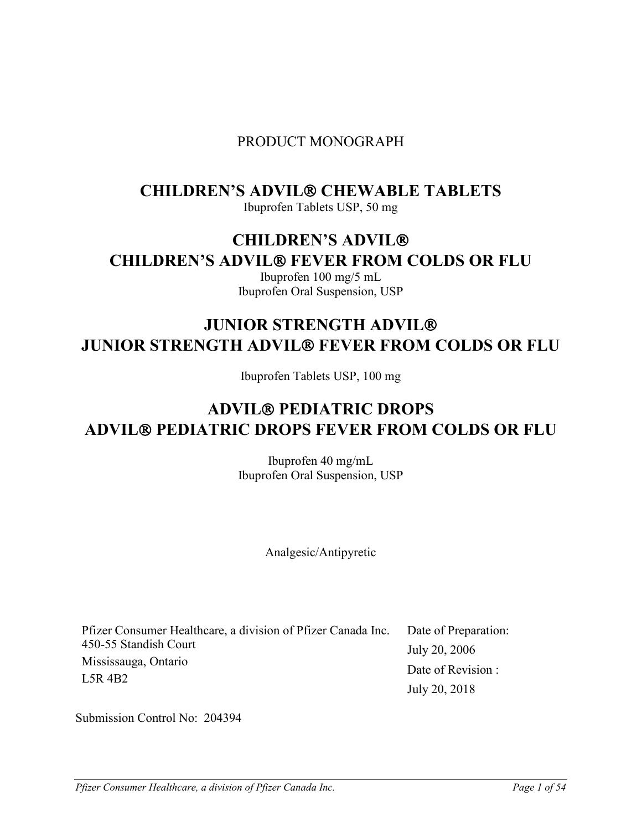## PRODUCT MONOGRAPH

# **CHILDREN'S ADVIL® CHEWABLE TABLETS**

Ibuprofen Tablets USP, 50 mg

# **CHILDREN'S ADVIL CHILDREN'S ADVIL® FEVER FROM COLDS OR FLU**

Ibuprofen 100 mg/5 mL Ibuprofen Oral Suspension, USP

# **JUNIOR STRENGTH ADVIL JUNIOR STRENGTH ADVIL® FEVER FROM COLDS OR FLU**

Ibuprofen Tablets USP, 100 mg

# **ADVIL PEDIATRIC DROPS ADVIL PEDIATRIC DROPS FEVER FROM COLDS OR FLU**

Ibuprofen 40 mg/mL Ibuprofen Oral Suspension, USP

Analgesic/Antipyretic

| Pfizer Consumer Healthcare, a division of Pfizer Canada Inc. Date of Preparation: |                    |
|-----------------------------------------------------------------------------------|--------------------|
| 450-55 Standish Court                                                             | July 20, 2006      |
| Mississauga, Ontario                                                              | Date of Revision : |
| $LSR$ 4B2                                                                         | July 20, 2018      |

Submission Control No: 204394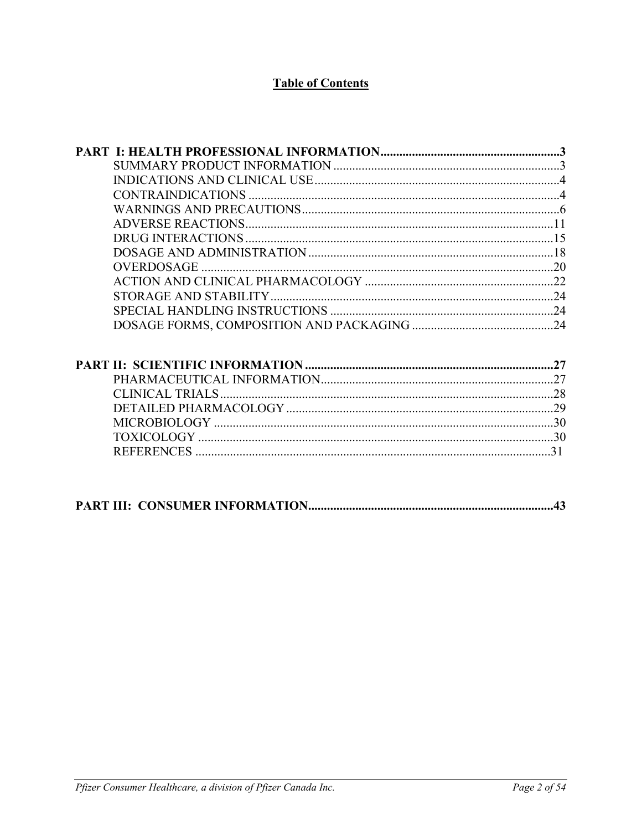## **Table of Contents**

| <b>REFERENCES</b><br>31 |  |
|-------------------------|--|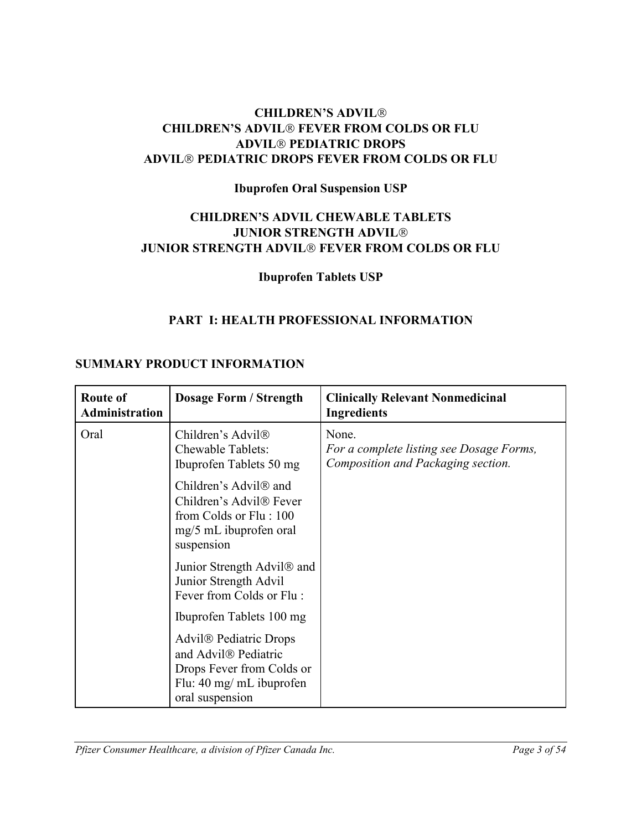## **CHILDREN'S ADVIL CHILDREN'S ADVIL<sup>®</sup> FEVER FROM COLDS OR FLU ADVIL PEDIATRIC DROPS ADVIL PEDIATRIC DROPS FEVER FROM COLDS OR FLU**

## **Ibuprofen Oral Suspension USP**

## **CHILDREN'S ADVIL CHEWABLE TABLETS JUNIOR STRENGTH ADVIL JUNIOR STRENGTH ADVIL® FEVER FROM COLDS OR FLU**

## <span id="page-2-1"></span><span id="page-2-0"></span>**Ibuprofen Tablets USP**

## **PART I: HEALTH PROFESSIONAL INFORMATION**

### **SUMMARY PRODUCT INFORMATION**

| Route of<br><b>Administration</b> | <b>Dosage Form / Strength</b>                                                                                                                                      | <b>Clinically Relevant Nonmedicinal</b><br><b>Ingredients</b>                           |
|-----------------------------------|--------------------------------------------------------------------------------------------------------------------------------------------------------------------|-----------------------------------------------------------------------------------------|
| Oral                              | Children's Advil <sup>®</sup><br><b>Chewable Tablets:</b><br>Ibuprofen Tablets 50 mg                                                                               | None.<br>For a complete listing see Dosage Forms,<br>Composition and Packaging section. |
|                                   | Children's Advil <sup>®</sup> and<br>Children's Advil <sup>®</sup> Fever<br>from Colds or Flu: 100<br>mg/5 mL ibuprofen oral<br>suspension                         |                                                                                         |
|                                   | Junior Strength Advil <sup>®</sup> and<br>Junior Strength Advil<br>Fever from Colds or Flu:                                                                        |                                                                                         |
|                                   | Ibuprofen Tablets 100 mg<br>Advil <sup>®</sup> Pediatric Drops<br>and Advil® Pediatric<br>Drops Fever from Colds or<br>Flu: 40 mg/ mL ibuprofen<br>oral suspension |                                                                                         |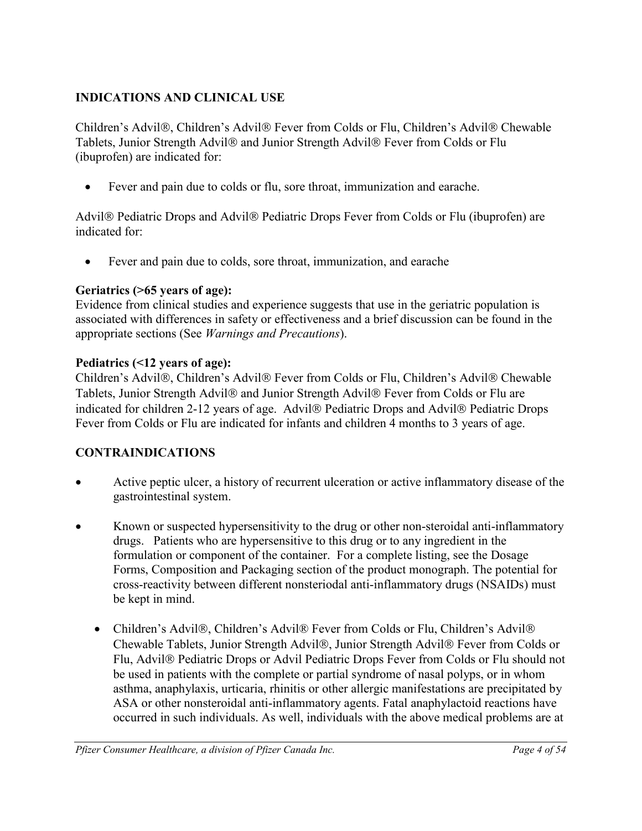## <span id="page-3-0"></span>**INDICATIONS AND CLINICAL USE**

Children's Advil®, Children's Advil® Fever from Colds or Flu, Children's Advil® Chewable Tablets, Junior Strength Advil® and Junior Strength Advil® Fever from Colds or Flu (ibuprofen) are indicated for:

• Fever and pain due to colds or flu, sore throat, immunization and earache.

Advil<sup>®</sup> Pediatric Drops and Advil<sup>®</sup> Pediatric Drops Fever from Colds or Flu (ibuprofen) are indicated for:

• Fever and pain due to colds, sore throat, immunization, and earache

## **Geriatrics (>65 years of age):**

Evidence from clinical studies and experience suggests that use in the geriatric population is associated with differences in safety or effectiveness and a brief discussion can be found in the appropriate sections (See *Warnings and Precautions*).

## **Pediatrics (<12 years of age):**

Children's Advil®, Children's Advil® Fever from Colds or Flu, Children's Advil® Chewable Tablets, Junior Strength Advil® and Junior Strength Advil® Fever from Colds or Flu are indicated for children 2-12 years of age. Advil<sup>®</sup> Pediatric Drops and Advil<sup>®</sup> Pediatric Drops Fever from Colds or Flu are indicated for infants and children 4 months to 3 years of age.

## <span id="page-3-1"></span>**CONTRAINDICATIONS**

- Active peptic ulcer, a history of recurrent ulceration or active inflammatory disease of the gastrointestinal system.
- Known or suspected hypersensitivity to the drug or other non-steroidal anti-inflammatory drugs. Patients who are hypersensitive to this drug or to any ingredient in the formulation or component of the container. For a complete listing, see the Dosage Forms, Composition and Packaging section of the product monograph. The potential for cross-reactivity between different nonsteriodal anti-inflammatory drugs (NSAIDs) must be kept in mind.
	- Children's Advil®, Children's Advil® Fever from Colds or Flu, Children's Advil® Chewable Tablets, Junior Strength Advil®, Junior Strength Advil® Fever from Colds or Flu, Advil<sup>®</sup> Pediatric Drops or Advil Pediatric Drops Fever from Colds or Flu should not be used in patients with the complete or partial syndrome of nasal polyps, or in whom asthma, anaphylaxis, urticaria, rhinitis or other allergic manifestations are precipitated by ASA or other nonsteroidal anti-inflammatory agents. Fatal anaphylactoid reactions have occurred in such individuals. As well, individuals with the above medical problems are at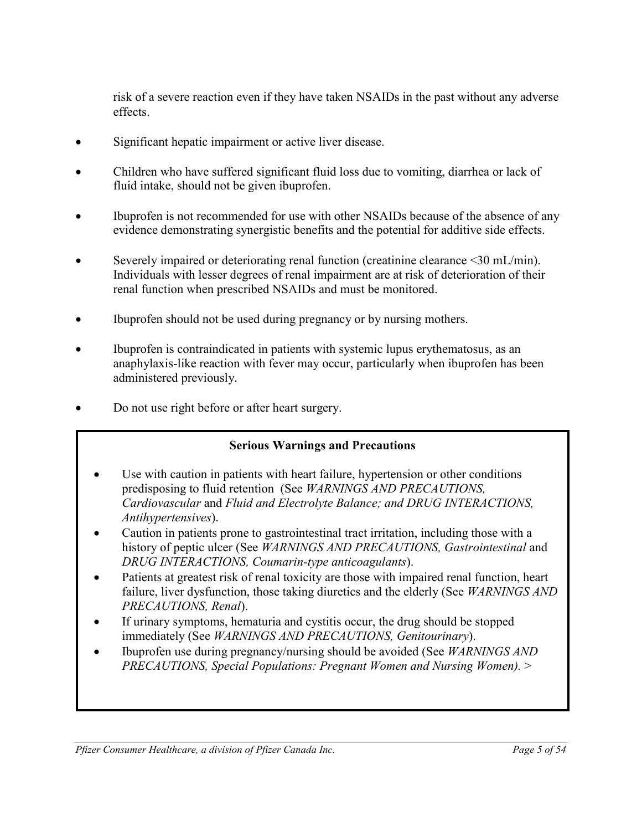risk of a severe reaction even if they have taken NSAIDs in the past without any adverse effects.

- Significant hepatic impairment or active liver disease.
- Children who have suffered significant fluid loss due to vomiting, diarrhea or lack of fluid intake, should not be given ibuprofen.
- Ibuprofen is not recommended for use with other NSAIDs because of the absence of any evidence demonstrating synergistic benefits and the potential for additive side effects.
- Severely impaired or deteriorating renal function (creatinine clearance  $\leq 30$  mL/min). Individuals with lesser degrees of renal impairment are at risk of deterioration of their renal function when prescribed NSAIDs and must be monitored.
- Ibuprofen should not be used during pregnancy or by nursing mothers.
- Ibuprofen is contraindicated in patients with systemic lupus erythematosus, as an anaphylaxis-like reaction with fever may occur, particularly when ibuprofen has been administered previously.
- Do not use right before or after heart surgery.

## **Serious Warnings and Precautions**

- Use with caution in patients with heart failure, hypertension or other conditions predisposing to fluid retention (See *WARNINGS AND PRECAUTIONS, Cardiovascular* and *Fluid and Electrolyte Balance; and DRUG INTERACTIONS, Antihypertensives*).
- Caution in patients prone to gastrointestinal tract irritation, including those with a history of peptic ulcer (See *WARNINGS AND PRECAUTIONS, Gastrointestinal* and *DRUG INTERACTIONS, Coumarin-type anticoagulants*).
- Patients at greatest risk of renal toxicity are those with impaired renal function, heart failure, liver dysfunction, those taking diuretics and the elderly (See *WARNINGS AND PRECAUTIONS, Renal*).
- If urinary symptoms, hematuria and cystitis occur, the drug should be stopped immediately (See *WARNINGS AND PRECAUTIONS, Genitourinary*).
- Ibuprofen use during pregnancy/nursing should be avoided (See *WARNINGS AND PRECAUTIONS, Special Populations: Pregnant Women and Nursing Women).* >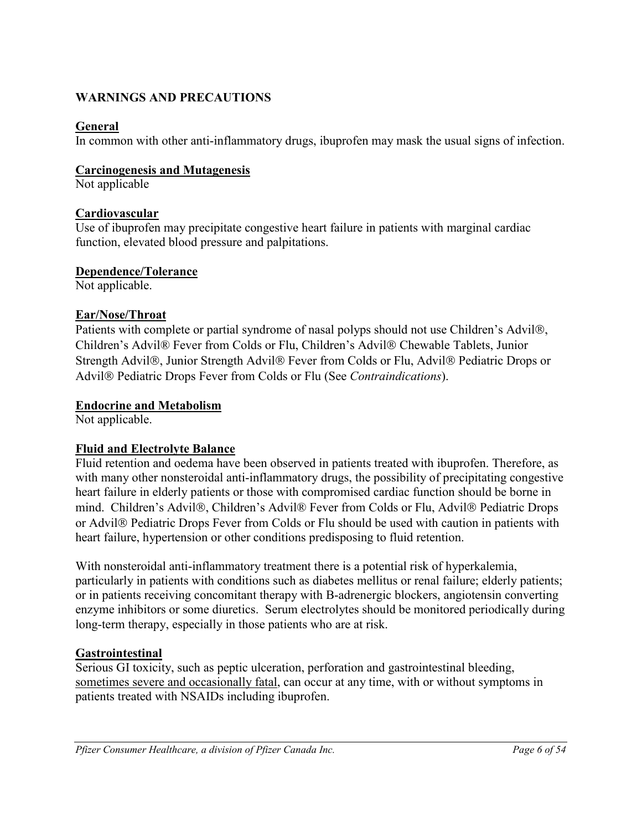## <span id="page-5-0"></span>**WARNINGS AND PRECAUTIONS**

## **General**

In common with other anti-inflammatory drugs, ibuprofen may mask the usual signs of infection.

## **Carcinogenesis and Mutagenesis**

Not applicable

## **Cardiovascular**

Use of ibuprofen may precipitate congestive heart failure in patients with marginal cardiac function, elevated blood pressure and palpitations.

### **Dependence/Tolerance**

Not applicable.

### **Ear/Nose/Throat**

Patients with complete or partial syndrome of nasal polyps should not use Children's Advil®, Children's Advil® Fever from Colds or Flu, Children's Advil® Chewable Tablets, Junior Strength Advil®, Junior Strength Advil® Fever from Colds or Flu, Advil® Pediatric Drops or Advil Pediatric Drops Fever from Colds or Flu (See *Contraindications*).

### **Endocrine and Metabolism**

Not applicable.

### **Fluid and Electrolyte Balance**

Fluid retention and oedema have been observed in patients treated with ibuprofen. Therefore, as with many other nonsteroidal anti-inflammatory drugs, the possibility of precipitating congestive heart failure in elderly patients or those with compromised cardiac function should be borne in mind. Children's Advil®, Children's Advil® Fever from Colds or Flu, Advil® Pediatric Drops or Advil<sup>®</sup> Pediatric Drops Fever from Colds or Flu should be used with caution in patients with heart failure, hypertension or other conditions predisposing to fluid retention.

With nonsteroidal anti-inflammatory treatment there is a potential risk of hyperkalemia, particularly in patients with conditions such as diabetes mellitus or renal failure; elderly patients; or in patients receiving concomitant therapy with B-adrenergic blockers, angiotensin converting enzyme inhibitors or some diuretics. Serum electrolytes should be monitored periodically during long-term therapy, especially in those patients who are at risk.

## **Gastrointestinal**

Serious GI toxicity, such as peptic ulceration, perforation and gastrointestinal bleeding, sometimes severe and occasionally fatal, can occur at any time, with or without symptoms in patients treated with NSAIDs including ibuprofen.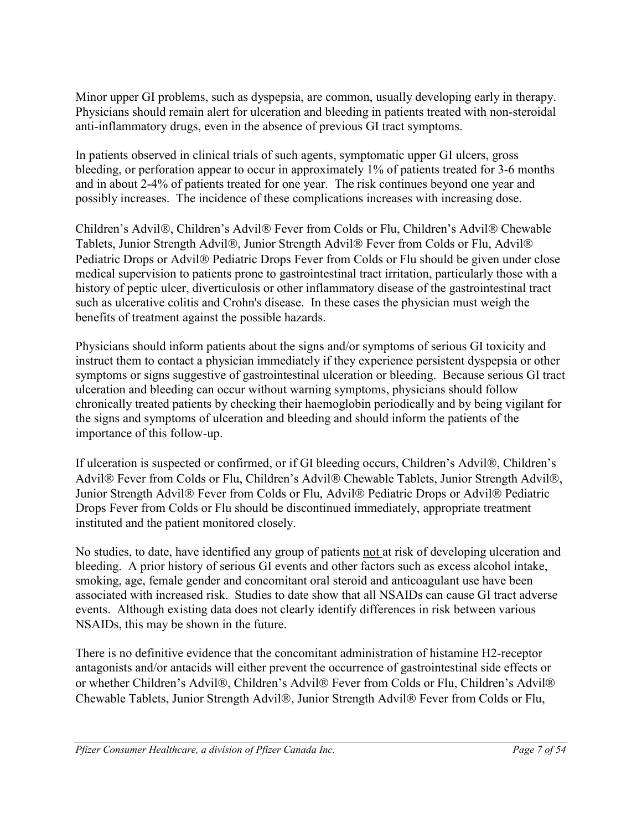Minor upper GI problems, such as dyspepsia, are common, usually developing early in therapy. Physicians should remain alert for ulceration and bleeding in patients treated with non-steroidal anti-inflammatory drugs, even in the absence of previous GI tract symptoms.

In patients observed in clinical trials of such agents, symptomatic upper GI ulcers, gross bleeding, or perforation appear to occur in approximately 1% of patients treated for 3-6 months and in about 2-4% of patients treated for one year. The risk continues beyond one year and possibly increases. The incidence of these complications increases with increasing dose.

Children's Advil®, Children's Advil® Fever from Colds or Flu, Children's Advil® Chewable Tablets, Junior Strength Advil®, Junior Strength Advil® Fever from Colds or Flu, Advil® Pediatric Drops or Advil<sup>®</sup> Pediatric Drops Fever from Colds or Flu should be given under close medical supervision to patients prone to gastrointestinal tract irritation, particularly those with a history of peptic ulcer, diverticulosis or other inflammatory disease of the gastrointestinal tract such as ulcerative colitis and Crohn's disease. In these cases the physician must weigh the benefits of treatment against the possible hazards.

Physicians should inform patients about the signs and/or symptoms of serious GI toxicity and instruct them to contact a physician immediately if they experience persistent dyspepsia or other symptoms or signs suggestive of gastrointestinal ulceration or bleeding. Because serious GI tract ulceration and bleeding can occur without warning symptoms, physicians should follow chronically treated patients by checking their haemoglobin periodically and by being vigilant for the signs and symptoms of ulceration and bleeding and should inform the patients of the importance of this follow-up.

If ulceration is suspected or confirmed, or if GI bleeding occurs, Children's Advil®, Children's Advil® Fever from Colds or Flu, Children's Advil® Chewable Tablets, Junior Strength Advil®, Junior Strength Advil® Fever from Colds or Flu, Advil® Pediatric Drops or Advil® Pediatric Drops Fever from Colds or Flu should be discontinued immediately, appropriate treatment instituted and the patient monitored closely.

No studies, to date, have identified any group of patients not at risk of developing ulceration and bleeding. A prior history of serious GI events and other factors such as excess alcohol intake, smoking, age, female gender and concomitant oral steroid and anticoagulant use have been associated with increased risk. Studies to date show that all NSAIDs can cause GI tract adverse events. Although existing data does not clearly identify differences in risk between various NSAIDs, this may be shown in the future.

There is no definitive evidence that the concomitant administration of histamine H2-receptor antagonists and/or antacids will either prevent the occurrence of gastrointestinal side effects or or whether Children's Advil®, Children's Advil® Fever from Colds or Flu, Children's Advil® Chewable Tablets, Junior Strength Advil®, Junior Strength Advil® Fever from Colds or Flu,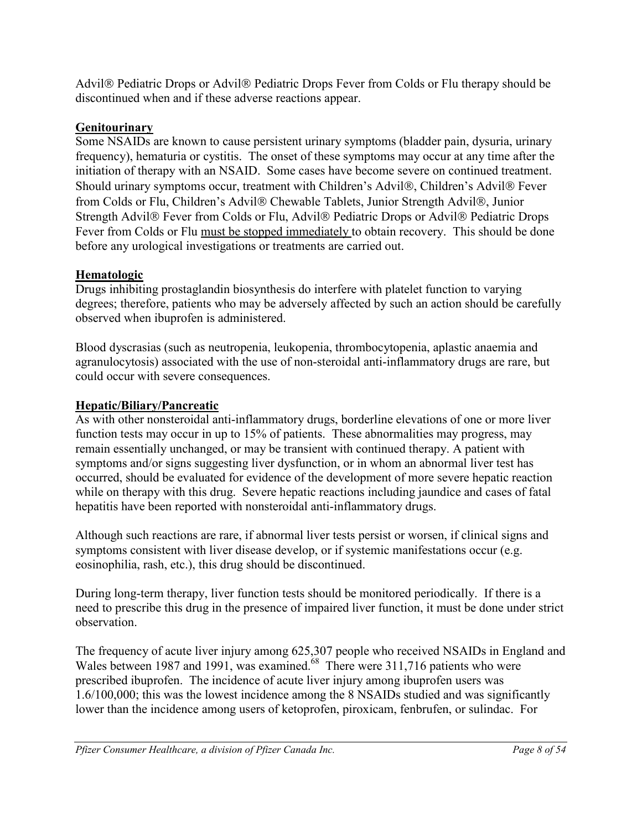Advil<sup>®</sup> Pediatric Drops or Advil<sup>®</sup> Pediatric Drops Fever from Colds or Flu therapy should be discontinued when and if these adverse reactions appear.

## **Genitourinary**

Some NSAIDs are known to cause persistent urinary symptoms (bladder pain, dysuria, urinary frequency), hematuria or cystitis. The onset of these symptoms may occur at any time after the initiation of therapy with an NSAID. Some cases have become severe on continued treatment. Should urinary symptoms occur, treatment with Children's Advil®, Children's Advil® Fever from Colds or Flu, Children's Advil® Chewable Tablets, Junior Strength Advil®, Junior Strength Advil<sup>®</sup> Fever from Colds or Flu, Advil<sup>®</sup> Pediatric Drops or Advil<sup>®</sup> Pediatric Drops Fever from Colds or Flu must be stopped immediately to obtain recovery. This should be done before any urological investigations or treatments are carried out.

## **Hematologic**

Drugs inhibiting prostaglandin biosynthesis do interfere with platelet function to varying degrees; therefore, patients who may be adversely affected by such an action should be carefully observed when ibuprofen is administered.

Blood dyscrasias (such as neutropenia, leukopenia, thrombocytopenia, aplastic anaemia and agranulocytosis) associated with the use of non-steroidal anti-inflammatory drugs are rare, but could occur with severe consequences.

## **Hepatic/Biliary/Pancreatic**

As with other nonsteroidal anti-inflammatory drugs, borderline elevations of one or more liver function tests may occur in up to 15% of patients. These abnormalities may progress, may remain essentially unchanged, or may be transient with continued therapy. A patient with symptoms and/or signs suggesting liver dysfunction, or in whom an abnormal liver test has occurred, should be evaluated for evidence of the development of more severe hepatic reaction while on therapy with this drug. Severe hepatic reactions including jaundice and cases of fatal hepatitis have been reported with nonsteroidal anti-inflammatory drugs.

Although such reactions are rare, if abnormal liver tests persist or worsen, if clinical signs and symptoms consistent with liver disease develop, or if systemic manifestations occur (e.g. eosinophilia, rash, etc.), this drug should be discontinued.

During long-term therapy, liver function tests should be monitored periodically. If there is a need to prescribe this drug in the presence of impaired liver function, it must be done under strict observation.

The frequency of acute liver injury among 625,307 people who received NSAIDs in England and Wales between 1987 and 1991, was examined.<sup>68</sup> There were 311,716 patients who were prescribed ibuprofen. The incidence of acute liver injury among ibuprofen users was 1.6/100,000; this was the lowest incidence among the 8 NSAIDs studied and was significantly lower than the incidence among users of ketoprofen, piroxicam, fenbrufen, or sulindac. For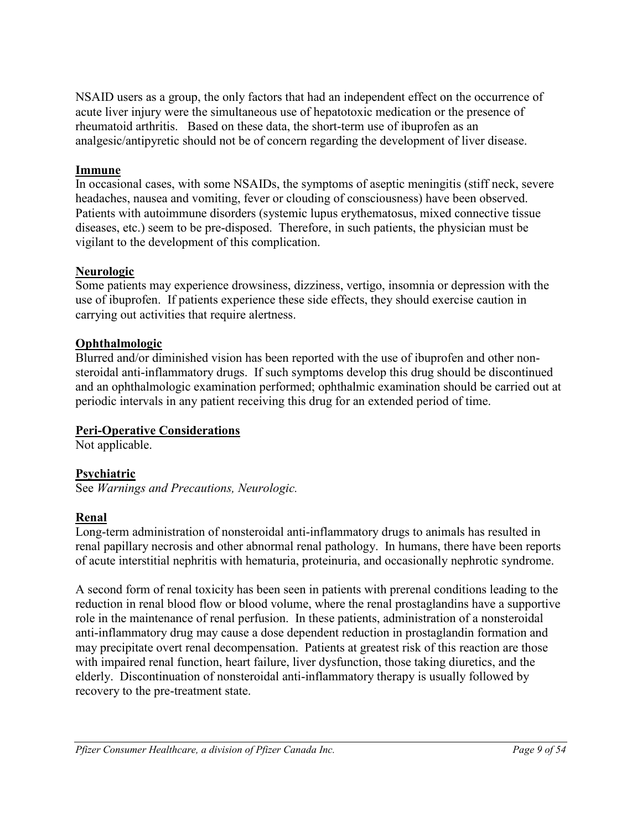NSAID users as a group, the only factors that had an independent effect on the occurrence of acute liver injury were the simultaneous use of hepatotoxic medication or the presence of rheumatoid arthritis. Based on these data, the short-term use of ibuprofen as an analgesic/antipyretic should not be of concern regarding the development of liver disease.

## **Immune**

In occasional cases, with some NSAIDs, the symptoms of aseptic meningitis (stiff neck, severe headaches, nausea and vomiting, fever or clouding of consciousness) have been observed. Patients with autoimmune disorders (systemic lupus erythematosus, mixed connective tissue diseases, etc.) seem to be pre-disposed. Therefore, in such patients, the physician must be vigilant to the development of this complication.

## **Neurologic**

Some patients may experience drowsiness, dizziness, vertigo, insomnia or depression with the use of ibuprofen. If patients experience these side effects, they should exercise caution in carrying out activities that require alertness.

## **Ophthalmologic**

Blurred and/or diminished vision has been reported with the use of ibuprofen and other nonsteroidal anti-inflammatory drugs. If such symptoms develop this drug should be discontinued and an ophthalmologic examination performed; ophthalmic examination should be carried out at periodic intervals in any patient receiving this drug for an extended period of time.

## **Peri-Operative Considerations**

Not applicable.

## **Psychiatric**

See *Warnings and Precautions, Neurologic.*

## **Renal**

Long-term administration of nonsteroidal anti-inflammatory drugs to animals has resulted in renal papillary necrosis and other abnormal renal pathology. In humans, there have been reports of acute interstitial nephritis with hematuria, proteinuria, and occasionally nephrotic syndrome.

A second form of renal toxicity has been seen in patients with prerenal conditions leading to the reduction in renal blood flow or blood volume, where the renal prostaglandins have a supportive role in the maintenance of renal perfusion. In these patients, administration of a nonsteroidal anti-inflammatory drug may cause a dose dependent reduction in prostaglandin formation and may precipitate overt renal decompensation. Patients at greatest risk of this reaction are those with impaired renal function, heart failure, liver dysfunction, those taking diuretics, and the elderly. Discontinuation of nonsteroidal anti-inflammatory therapy is usually followed by recovery to the pre-treatment state.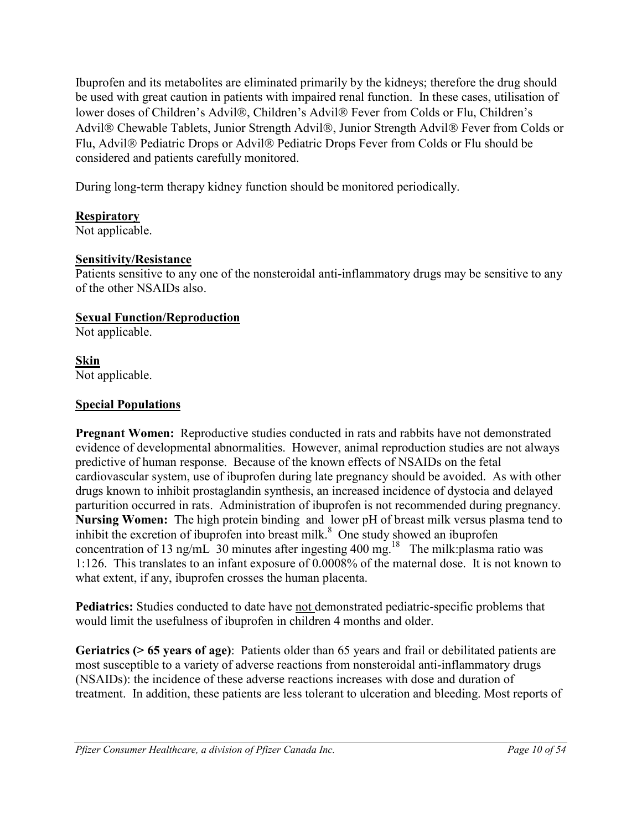Ibuprofen and its metabolites are eliminated primarily by the kidneys; therefore the drug should be used with great caution in patients with impaired renal function. In these cases, utilisation of lower doses of Children's Advil®, Children's Advil® Fever from Colds or Flu, Children's Advil® Chewable Tablets, Junior Strength Advil®, Junior Strength Advil® Fever from Colds or Flu, Advil® Pediatric Drops or Advil® Pediatric Drops Fever from Colds or Flu should be considered and patients carefully monitored.

During long-term therapy kidney function should be monitored periodically.

## **Respiratory**

Not applicable.

## **Sensitivity/Resistance**

Patients sensitive to any one of the nonsteroidal anti-inflammatory drugs may be sensitive to any of the other NSAIDs also.

## **Sexual Function/Reproduction**

Not applicable.

**Skin** Not applicable.

## **Special Populations**

**Pregnant Women:** Reproductive studies conducted in rats and rabbits have not demonstrated evidence of developmental abnormalities. However, animal reproduction studies are not always predictive of human response. Because of the known effects of NSAIDs on the fetal cardiovascular system, use of ibuprofen during late pregnancy should be avoided. As with other drugs known to inhibit prostaglandin synthesis, an increased incidence of dystocia and delayed parturition occurred in rats. Administration of ibuprofen is not recommended during pregnancy. **Nursing Women:** The high protein binding and lower pH of breast milk versus plasma tend to inhibit the excretion of ibuprofen into breast milk. $8$  One study showed an ibuprofen concentration of 13 ng/mL 30 minutes after ingesting 400 mg.<sup>18</sup> The milk:plasma ratio was 1:126. This translates to an infant exposure of 0.0008% of the maternal dose. It is not known to what extent, if any, ibuprofen crosses the human placenta.

**Pediatrics:** Studies conducted to date have not demonstrated pediatric-specific problems that would limit the usefulness of ibuprofen in children 4 months and older.

**Geriatrics (> 65 years of age)**: Patients older than 65 years and frail or debilitated patients are most susceptible to a variety of adverse reactions from nonsteroidal anti-inflammatory drugs (NSAIDs): the incidence of these adverse reactions increases with dose and duration of treatment. In addition, these patients are less tolerant to ulceration and bleeding. Most reports of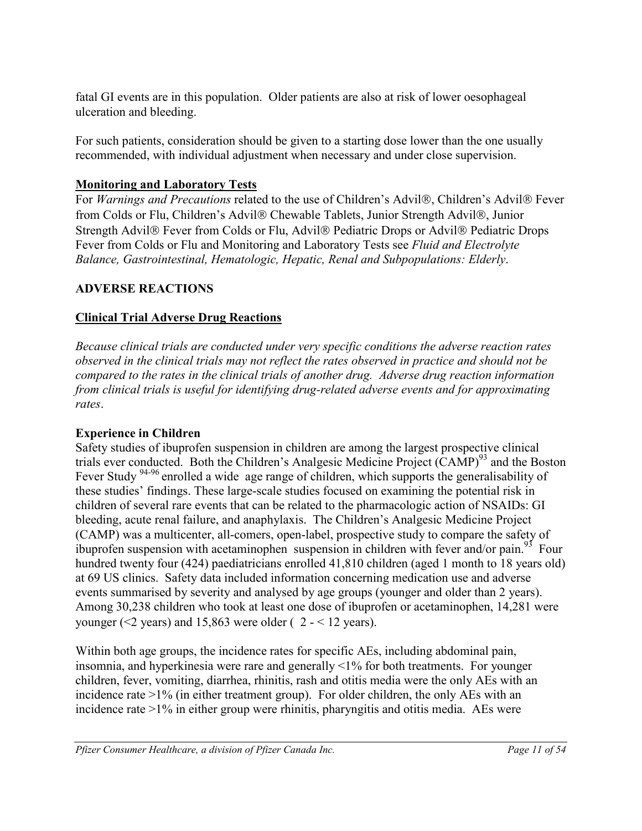fatal GI events are in this population. Older patients are also at risk of lower oesophageal ulceration and bleeding.

For such patients, consideration should be given to a starting dose lower than the one usually recommended, with individual adjustment when necessary and under close supervision.

## **Monitoring and Laboratory Tests**

For *Warnings and Precautions* related to the use of Children's Advil®, Children's Advil® Fever from Colds or Flu, Children's Advil® Chewable Tablets, Junior Strength Advil®, Junior Strength Advil<sup>®</sup> Fever from Colds or Flu, Advil<sup>®</sup> Pediatric Drops or Advil<sup>®</sup> Pediatric Drops Fever from Colds or Flu and Monitoring and Laboratory Tests see *Fluid and Electrolyte Balance, Gastrointestinal, Hematologic, Hepatic, Renal and Subpopulations: Elderly*.

## <span id="page-10-0"></span>**ADVERSE REACTIONS**

## **Clinical Trial Adverse Drug Reactions**

*Because clinical trials are conducted under very specific conditions the adverse reaction rates observed in the clinical trials may not reflect the rates observed in practice and should not be compared to the rates in the clinical trials of another drug. Adverse drug reaction information from clinical trials is useful for identifying drug-related adverse events and for approximating rates*.

## **Experience in Children**

Safety studies of ibuprofen suspension in children are among the largest prospective clinical trials ever conducted. Both the Children's Analgesic Medicine Project (CAMP)<sup>93</sup> and the Boston Fever Study <sup>94-96</sup> enrolled a wide age range of children, which supports the generalisability of these studies' findings. These large-scale studies focused on examining the potential risk in children of several rare events that can be related to the pharmacologic action of NSAIDs: GI bleeding, acute renal failure, and anaphylaxis. The Children's Analgesic Medicine Project (CAMP) was a multicenter, all-comers, open-label, prospective study to compare the safety of ibuprofen suspension with acetaminophen suspension in children with fever and/or pain.<sup>93</sup> Four hundred twenty four (424) paediatricians enrolled 41,810 children (aged 1 month to 18 years old) at 69 US clinics. Safety data included information concerning medication use and adverse events summarised by severity and analysed by age groups (younger and older than 2 years). Among 30,238 children who took at least one dose of ibuprofen or acetaminophen, 14,281 were younger ( $\leq$ 2 years) and 15,863 were older (2 -  $\leq$  12 years).

Within both age groups, the incidence rates for specific AEs, including abdominal pain, insomnia, and hyperkinesia were rare and generally <1% for both treatments. For younger children, fever, vomiting, diarrhea, rhinitis, rash and otitis media were the only AEs with an incidence rate >1% (in either treatment group). For older children, the only AEs with an incidence rate >1% in either group were rhinitis, pharyngitis and otitis media. AEs were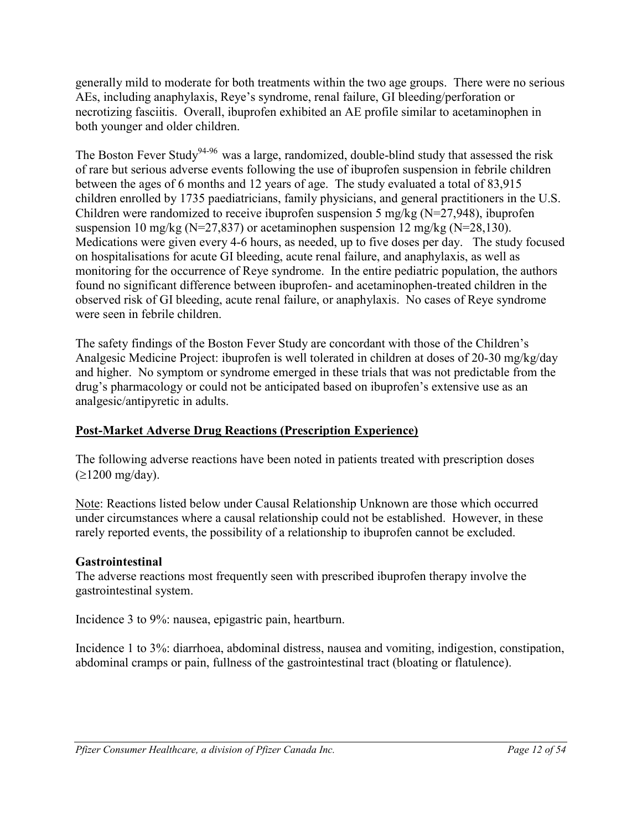generally mild to moderate for both treatments within the two age groups. There were no serious AEs, including anaphylaxis, Reye's syndrome, renal failure, GI bleeding/perforation or necrotizing fasciitis. Overall, ibuprofen exhibited an AE profile similar to acetaminophen in both younger and older children.

The Boston Fever Study<sup>94-96</sup> was a large, randomized, double-blind study that assessed the risk of rare but serious adverse events following the use of ibuprofen suspension in febrile children between the ages of 6 months and 12 years of age. The study evaluated a total of 83,915 children enrolled by 1735 paediatricians, family physicians, and general practitioners in the U.S. Children were randomized to receive ibuprofen suspension 5 mg/kg (N=27,948), ibuprofen suspension 10 mg/kg (N=27,837) or acetaminophen suspension 12 mg/kg (N=28,130). Medications were given every 4-6 hours, as needed, up to five doses per day. The study focused on hospitalisations for acute GI bleeding, acute renal failure, and anaphylaxis, as well as monitoring for the occurrence of Reye syndrome. In the entire pediatric population, the authors found no significant difference between ibuprofen- and acetaminophen-treated children in the observed risk of GI bleeding, acute renal failure, or anaphylaxis. No cases of Reye syndrome were seen in febrile children.

The safety findings of the Boston Fever Study are concordant with those of the Children's Analgesic Medicine Project: ibuprofen is well tolerated in children at doses of 20-30 mg/kg/day and higher. No symptom or syndrome emerged in these trials that was not predictable from the drug's pharmacology or could not be anticipated based on ibuprofen's extensive use as an analgesic/antipyretic in adults.

## **Post-Market Adverse Drug Reactions (Prescription Experience)**

The following adverse reactions have been noted in patients treated with prescription doses  $(\geq 1200 \text{ mg/day}).$ 

Note: Reactions listed below under Causal Relationship Unknown are those which occurred under circumstances where a causal relationship could not be established. However, in these rarely reported events, the possibility of a relationship to ibuprofen cannot be excluded.

## **Gastrointestinal**

The adverse reactions most frequently seen with prescribed ibuprofen therapy involve the gastrointestinal system.

Incidence 3 to 9%: nausea, epigastric pain, heartburn.

Incidence 1 to 3%: diarrhoea, abdominal distress, nausea and vomiting, indigestion, constipation, abdominal cramps or pain, fullness of the gastrointestinal tract (bloating or flatulence).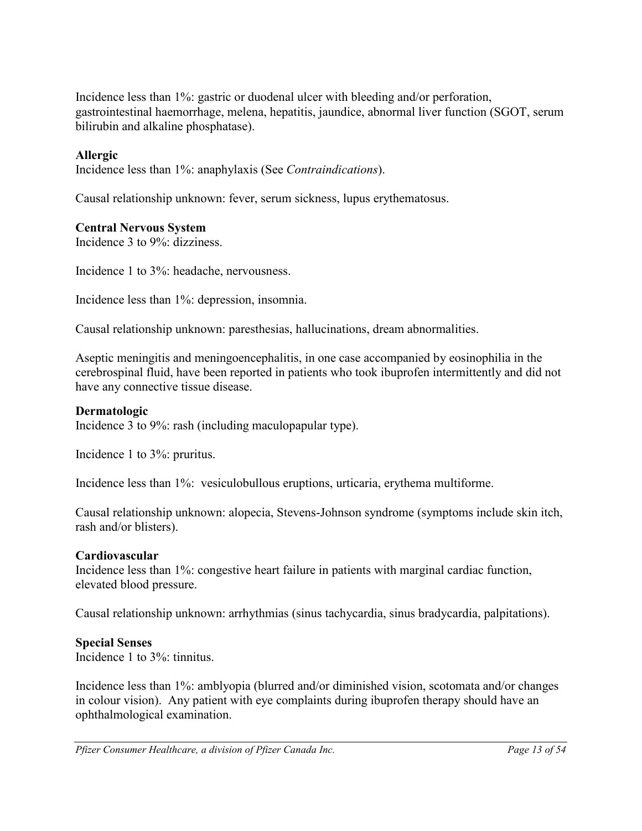Incidence less than 1%: gastric or duodenal ulcer with bleeding and/or perforation, gastrointestinal haemorrhage, melena, hepatitis, jaundice, abnormal liver function (SGOT, serum bilirubin and alkaline phosphatase).

## **Allergic**

Incidence less than 1%: anaphylaxis (See *Contraindications*).

Causal relationship unknown: fever, serum sickness, lupus erythematosus.

### **Central Nervous System**

Incidence 3 to 9%: dizziness.

Incidence 1 to 3%: headache, nervousness.

Incidence less than 1%: depression, insomnia.

Causal relationship unknown: paresthesias, hallucinations, dream abnormalities.

Aseptic meningitis and meningoencephalitis, in one case accompanied by eosinophilia in the cerebrospinal fluid, have been reported in patients who took ibuprofen intermittently and did not have any connective tissue disease.

### **Dermatologic**

Incidence 3 to 9%: rash (including maculopapular type).

Incidence 1 to 3%: pruritus.

Incidence less than 1%: vesiculobullous eruptions, urticaria, erythema multiforme.

Causal relationship unknown: alopecia, Stevens-Johnson syndrome (symptoms include skin itch, rash and/or blisters).

### **Cardiovascular**

Incidence less than 1%: congestive heart failure in patients with marginal cardiac function, elevated blood pressure.

Causal relationship unknown: arrhythmias (sinus tachycardia, sinus bradycardia, palpitations).

### **Special Senses**

Incidence 1 to 3%: tinnitus.

Incidence less than 1%: amblyopia (blurred and/or diminished vision, scotomata and/or changes in colour vision). Any patient with eye complaints during ibuprofen therapy should have an ophthalmological examination.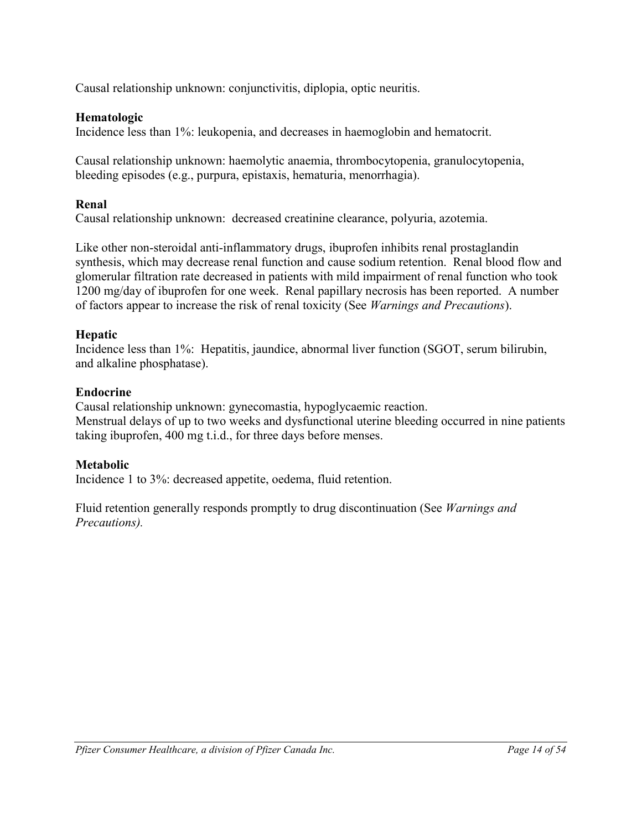Causal relationship unknown: conjunctivitis, diplopia, optic neuritis.

## **Hematologic**

Incidence less than 1%: leukopenia, and decreases in haemoglobin and hematocrit.

Causal relationship unknown: haemolytic anaemia, thrombocytopenia, granulocytopenia, bleeding episodes (e.g., purpura, epistaxis, hematuria, menorrhagia).

## **Renal**

Causal relationship unknown: decreased creatinine clearance, polyuria, azotemia.

Like other non-steroidal anti-inflammatory drugs, ibuprofen inhibits renal prostaglandin synthesis, which may decrease renal function and cause sodium retention. Renal blood flow and glomerular filtration rate decreased in patients with mild impairment of renal function who took 1200 mg/day of ibuprofen for one week. Renal papillary necrosis has been reported. A number of factors appear to increase the risk of renal toxicity (See *Warnings and Precautions*).

## **Hepatic**

Incidence less than 1%: Hepatitis, jaundice, abnormal liver function (SGOT, serum bilirubin, and alkaline phosphatase).

## **Endocrine**

Causal relationship unknown: gynecomastia, hypoglycaemic reaction. Menstrual delays of up to two weeks and dysfunctional uterine bleeding occurred in nine patients taking ibuprofen, 400 mg t.i.d., for three days before menses.

## **Metabolic**

Incidence 1 to 3%: decreased appetite, oedema, fluid retention.

Fluid retention generally responds promptly to drug discontinuation (See *Warnings and Precautions).*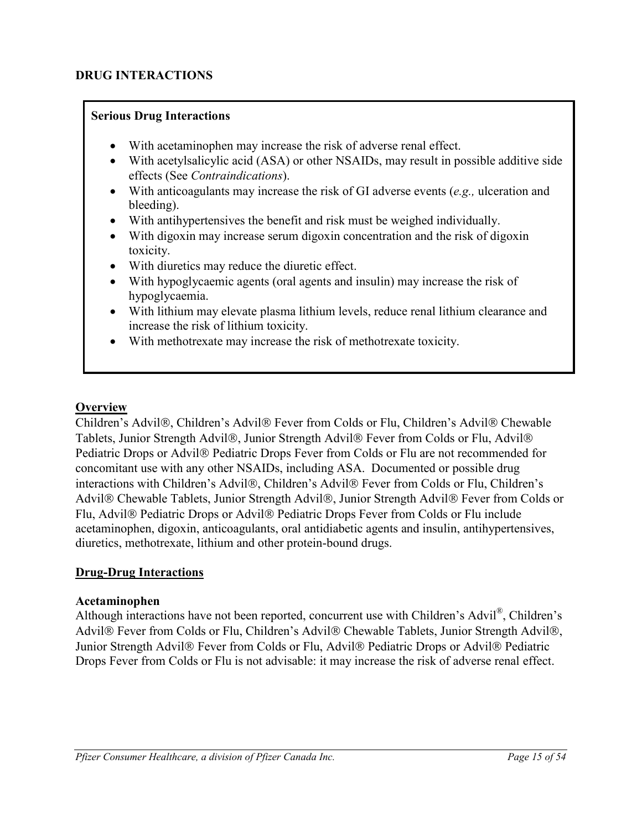## **DRUG INTERACTIONS**

### **Serious Drug Interactions**

- <span id="page-14-0"></span>With acetaminophen may increase the risk of adverse renal effect.
- With acetylsalicylic acid (ASA) or other NSAIDs, may result in possible additive side effects (See *Contraindications*).
- With anticoagulants may increase the risk of GI adverse events (*e.g.,* ulceration and bleeding).
- With antihypertensives the benefit and risk must be weighed individually.
- With digoxin may increase serum digoxin concentration and the risk of digoxin toxicity.
- With diuretics may reduce the diuretic effect.
- With hypoglycaemic agents (oral agents and insulin) may increase the risk of hypoglycaemia.
- With lithium may elevate plasma lithium levels, reduce renal lithium clearance and increase the risk of lithium toxicity.
- With methotrexate may increase the risk of methotrexate toxicity.

### **Overview**

Children's Advil®, Children's Advil® Fever from Colds or Flu, Children's Advil® Chewable Tablets, Junior Strength Advil®, Junior Strength Advil® Fever from Colds or Flu, Advil® Pediatric Drops or Advil® Pediatric Drops Fever from Colds or Flu are not recommended for concomitant use with any other NSAIDs, including ASA. Documented or possible drug interactions with Children's Advil®, Children's Advil® Fever from Colds or Flu, Children's Advil® Chewable Tablets, Junior Strength Advil®, Junior Strength Advil® Fever from Colds or Flu, Advil<sup>®</sup> Pediatric Drops or Advil<sup>®</sup> Pediatric Drops Fever from Colds or Flu include acetaminophen, digoxin, anticoagulants, oral antidiabetic agents and insulin, antihypertensives, diuretics, methotrexate, lithium and other protein-bound drugs.

### **Drug-Drug Interactions**

### **Acetaminophen**

Although interactions have not been reported, concurrent use with Children's Advil<sup>®</sup>, Children's Advil® Fever from Colds or Flu, Children's Advil® Chewable Tablets, Junior Strength Advil®, Junior Strength Advil® Fever from Colds or Flu, Advil® Pediatric Drops or Advil® Pediatric Drops Fever from Colds or Flu is not advisable: it may increase the risk of adverse renal effect.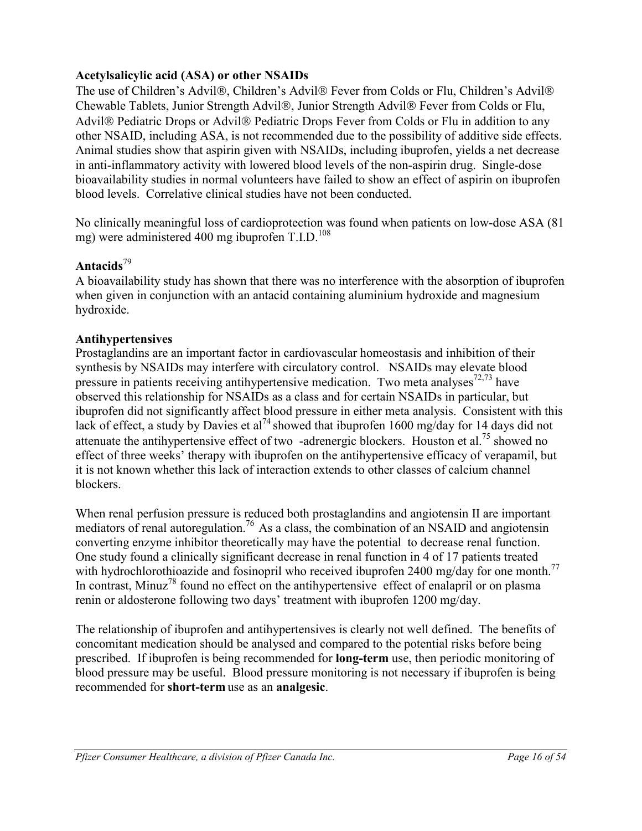## **Acetylsalicylic acid (ASA) or other NSAIDs**

The use of Children's Advil®, Children's Advil® Fever from Colds or Flu, Children's Advil® Chewable Tablets, Junior Strength Advil®, Junior Strength Advil® Fever from Colds or Flu, Advil<sup>®</sup> Pediatric Drops or Advil<sup>®</sup> Pediatric Drops Fever from Colds or Flu in addition to any other NSAID, including ASA, is not recommended due to the possibility of additive side effects. Animal studies show that aspirin given with NSAIDs, including ibuprofen, yields a net decrease in anti-inflammatory activity with lowered blood levels of the non-aspirin drug. Single-dose bioavailability studies in normal volunteers have failed to show an effect of aspirin on ibuprofen blood levels. Correlative clinical studies have not been conducted.

No clinically meaningful loss of cardioprotection was found when patients on low-dose ASA (81 mg) were administered 400 mg ibuprofen  $T.L.D.<sup>108</sup>$ 

### **Antacids**<sup>79</sup>

A bioavailability study has shown that there was no interference with the absorption of ibuprofen when given in conjunction with an antacid containing aluminium hydroxide and magnesium hydroxide.

### **Antihypertensives**

Prostaglandins are an important factor in cardiovascular homeostasis and inhibition of their synthesis by NSAIDs may interfere with circulatory control. NSAIDs may elevate blood pressure in patients receiving antihypertensive medication. Two meta analyses<sup>72,73</sup> have observed this relationship for NSAIDs as a class and for certain NSAIDs in particular, but ibuprofen did not significantly affect blood pressure in either meta analysis. Consistent with this lack of effect, a study by Davies et al<sup>74</sup> showed that ibuprofen 1600 mg/day for 14 days did not attenuate the antihypertensive effect of two -adrenergic blockers. Houston et al.<sup>75</sup> showed no effect of three weeks' therapy with ibuprofen on the antihypertensive efficacy of verapamil, but it is not known whether this lack of interaction extends to other classes of calcium channel blockers.

When renal perfusion pressure is reduced both prostaglandins and angiotensin II are important mediators of renal autoregulation.<sup>76</sup> As a class, the combination of an NSAID and angiotensin converting enzyme inhibitor theoretically may have the potential to decrease renal function. One study found a clinically significant decrease in renal function in 4 of 17 patients treated with hydrochlorothioazide and fosinopril who received ibuprofen 2400 mg/day for one month.<sup>77</sup> In contrast, Minuz<sup>78</sup> found no effect on the antihypertensive effect of enalapril or on plasma renin or aldosterone following two days' treatment with ibuprofen 1200 mg/day.

The relationship of ibuprofen and antihypertensives is clearly not well defined. The benefits of concomitant medication should be analysed and compared to the potential risks before being prescribed. If ibuprofen is being recommended for **long-term** use, then periodic monitoring of blood pressure may be useful. Blood pressure monitoring is not necessary if ibuprofen is being recommended for **short-term** use as an **analgesic**.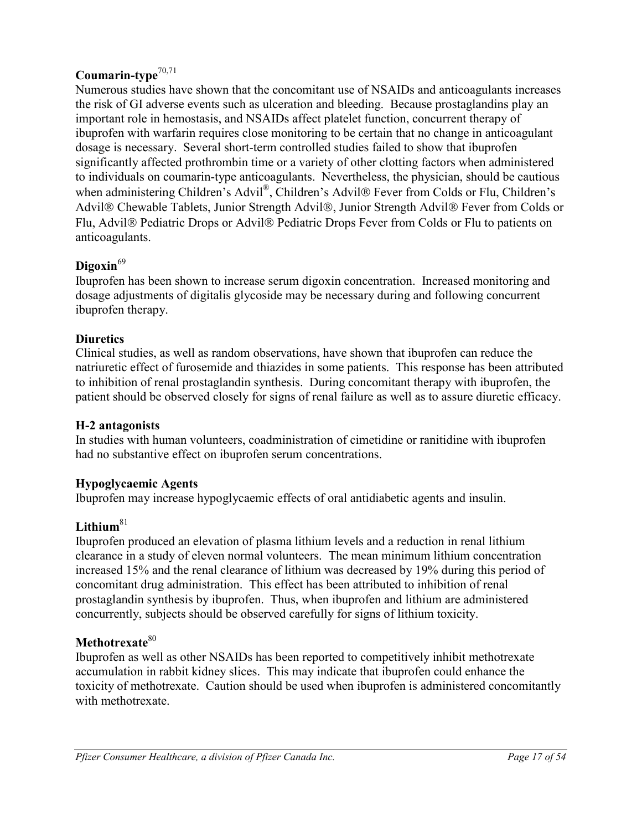## **Coumarin-type**70,71

Numerous studies have shown that the concomitant use of NSAIDs and anticoagulants increases the risk of GI adverse events such as ulceration and bleeding. Because prostaglandins play an important role in hemostasis, and NSAIDs affect platelet function, concurrent therapy of ibuprofen with warfarin requires close monitoring to be certain that no change in anticoagulant dosage is necessary. Several short-term controlled studies failed to show that ibuprofen significantly affected prothrombin time or a variety of other clotting factors when administered to individuals on coumarin-type anticoagulants. Nevertheless, the physician, should be cautious when administering Children's Advil<sup>®</sup>, Children's Advil<sup>®</sup> Fever from Colds or Flu, Children's Advil® Chewable Tablets, Junior Strength Advil®, Junior Strength Advil® Fever from Colds or Flu, Advil<sup>®</sup> Pediatric Drops or Advil<sup>®</sup> Pediatric Drops Fever from Colds or Flu to patients on anticoagulants.

## **Digoxin**<sup>69</sup>

Ibuprofen has been shown to increase serum digoxin concentration. Increased monitoring and dosage adjustments of digitalis glycoside may be necessary during and following concurrent ibuprofen therapy.

## **Diuretics**

Clinical studies, as well as random observations, have shown that ibuprofen can reduce the natriuretic effect of furosemide and thiazides in some patients. This response has been attributed to inhibition of renal prostaglandin synthesis. During concomitant therapy with ibuprofen, the patient should be observed closely for signs of renal failure as well as to assure diuretic efficacy.

## **H-2 antagonists**

In studies with human volunteers, coadministration of cimetidine or ranitidine with ibuprofen had no substantive effect on ibuprofen serum concentrations.

## **Hypoglycaemic Agents**

Ibuprofen may increase hypoglycaemic effects of oral antidiabetic agents and insulin.

## **Lithium**<sup>81</sup>

Ibuprofen produced an elevation of plasma lithium levels and a reduction in renal lithium clearance in a study of eleven normal volunteers. The mean minimum lithium concentration increased 15% and the renal clearance of lithium was decreased by 19% during this period of concomitant drug administration. This effect has been attributed to inhibition of renal prostaglandin synthesis by ibuprofen. Thus, when ibuprofen and lithium are administered concurrently, subjects should be observed carefully for signs of lithium toxicity.

## **Methotrexate**<sup>80</sup>

Ibuprofen as well as other NSAIDs has been reported to competitively inhibit methotrexate accumulation in rabbit kidney slices. This may indicate that ibuprofen could enhance the toxicity of methotrexate. Caution should be used when ibuprofen is administered concomitantly with methotrexate.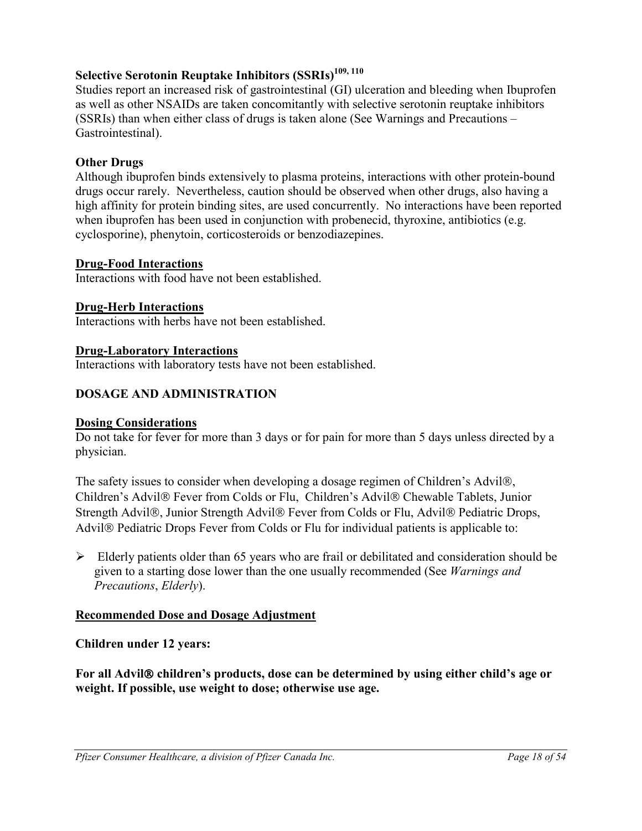## **Selective Serotonin Reuptake Inhibitors (SSRIs)109, 110**

Studies report an increased risk of gastrointestinal (GI) ulceration and bleeding when Ibuprofen as well as other NSAIDs are taken concomitantly with selective serotonin reuptake inhibitors (SSRIs) than when either class of drugs is taken alone (See Warnings and Precautions – Gastrointestinal).

## **Other Drugs**

Although ibuprofen binds extensively to plasma proteins, interactions with other protein-bound drugs occur rarely. Nevertheless, caution should be observed when other drugs, also having a high affinity for protein binding sites, are used concurrently. No interactions have been reported when ibuprofen has been used in conjunction with probenecid, thyroxine, antibiotics (e.g. cyclosporine), phenytoin, corticosteroids or benzodiazepines.

### **Drug-Food Interactions**

Interactions with food have not been established.

## **Drug-Herb Interactions**

Interactions with herbs have not been established.

### **Drug-Laboratory Interactions**

Interactions with laboratory tests have not been established.

## <span id="page-17-0"></span>**DOSAGE AND ADMINISTRATION**

### **Dosing Considerations**

Do not take for fever for more than 3 days or for pain for more than 5 days unless directed by a physician.

The safety issues to consider when developing a dosage regimen of Children's Advil®, Children's Advil® Fever from Colds or Flu, Children's Advil® Chewable Tablets, Junior Strength Advil®, Junior Strength Advil® Fever from Colds or Flu, Advil® Pediatric Drops, Advil<sup>®</sup> Pediatric Drops Fever from Colds or Flu for individual patients is applicable to:

 $\triangleright$  Elderly patients older than 65 years who are frail or debilitated and consideration should be given to a starting dose lower than the one usually recommended (See *Warnings and Precautions*, *Elderly*).

### **Recommended Dose and Dosage Adjustment**

### **Children under 12 years:**

For all Advil<sup>®</sup> children's products, dose can be determined by using either child's age or **weight. If possible, use weight to dose; otherwise use age.**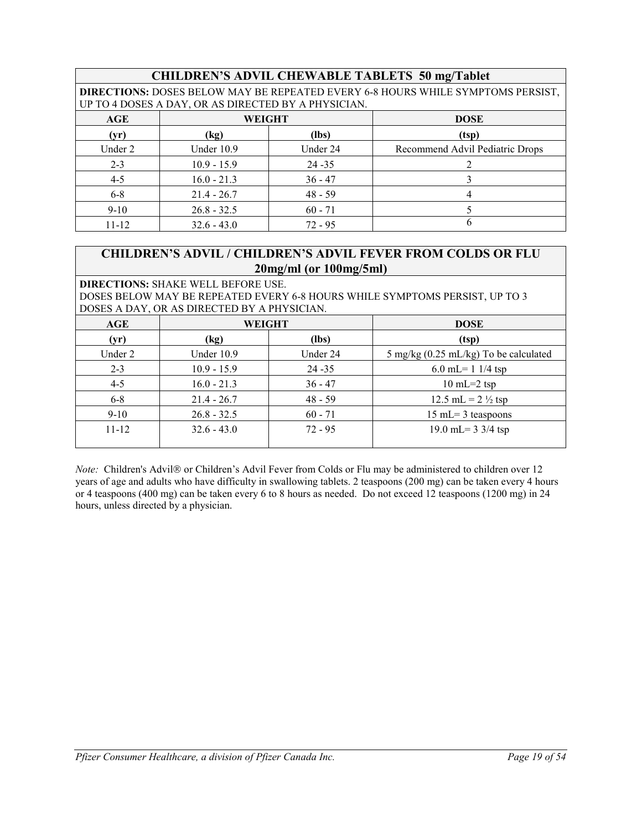## **CHILDREN'S ADVIL CHEWABLE TABLETS 50 mg/Tablet**

**DIRECTIONS:** DOSES BELOW MAY BE REPEATED EVERY 6-8 HOURS WHILE SYMPTOMS PERSIST, UP TO 4 DOSES A DAY, OR AS DIRECTED BY A PHYSICIAN.

| AGE       | <b>WEIGHT</b> |           | <b>DOSE</b>                     |
|-----------|---------------|-----------|---------------------------------|
| (yr)      | (kg)          | (lbs)     | (tsp)                           |
| Under 2   | Under 10.9    | Under 24  | Recommend Advil Pediatric Drops |
| $2 - 3$   | $10.9 - 15.9$ | $24 - 35$ |                                 |
| $4 - 5$   | $16.0 - 21.3$ | $36 - 47$ |                                 |
| $6 - 8$   | $21.4 - 26.7$ | $48 - 59$ |                                 |
| $9 - 10$  | $26.8 - 32.5$ | $60 - 71$ |                                 |
| $11 - 12$ | $32.6 - 43.0$ | $72 - 95$ |                                 |

## **CHILDREN'S ADVIL / CHILDREN'S ADVIL FEVER FROM COLDS OR FLU 20mg/ml (or 100mg/5ml)**

**DIRECTIONS:** SHAKE WELL BEFORE USE.

DOSES BELOW MAY BE REPEATED EVERY 6-8 HOURS WHILE SYMPTOMS PERSIST, UP TO 3 DOSES A DAY, OR AS DIRECTED BY A PHYSICIAN.

| AGE       | WEIGHT        |           | <b>DOSE</b>                                     |
|-----------|---------------|-----------|-------------------------------------------------|
| (vr)      | (kg)          | (lbs)     | (tsp)                                           |
| Under 2   | Under 10.9    | Under 24  | $5 \text{ mg/kg}$ (0.25 mL/kg) To be calculated |
| $2 - 3$   | $10.9 - 15.9$ | $24 - 35$ | 6.0 mL= $11/4$ tsp                              |
| $4 - 5$   | $16.0 - 21.3$ | $36 - 47$ | $10 \text{ mL} = 2 \text{ tsp}$                 |
| $6 - 8$   | $21.4 - 26.7$ | $48 - 59$ | 12.5 mL = $2\frac{1}{2}$ tsp                    |
| $9 - 10$  | $26.8 - 32.5$ | $60 - 71$ | $15$ mL= 3 teaspoons                            |
| $11 - 12$ | $32.6 - 43.0$ | $72 - 95$ | 19.0 mL= $3 \frac{3}{4}$ tsp                    |

*Note:* Children's Advil® or Children's Advil Fever from Colds or Flu may be administered to children over 12 years of age and adults who have difficulty in swallowing tablets. 2 teaspoons (200 mg) can be taken every 4 hours or 4 teaspoons (400 mg) can be taken every 6 to 8 hours as needed. Do not exceed 12 teaspoons (1200 mg) in 24 hours, unless directed by a physician.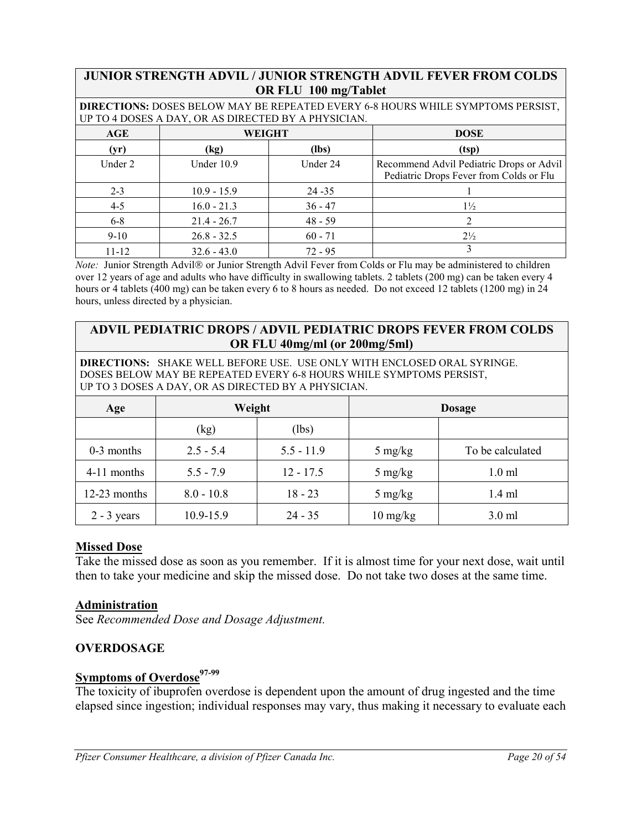### **JUNIOR STRENGTH ADVIL / JUNIOR STRENGTH ADVIL FEVER FROM COLDS OR FLU 100 mg/Tablet**

**DIRECTIONS:** DOSES BELOW MAY BE REPEATED EVERY 6-8 HOURS WHILE SYMPTOMS PERSIST, UP TO 4 DOSES A DAY, OR AS DIRECTED BY A PHYSICIAN.

| AGE       | WEIGHT        |           | <b>DOSE</b>                                                                         |
|-----------|---------------|-----------|-------------------------------------------------------------------------------------|
| (yr)      | (kg)          | (lbs)     | (tsp)                                                                               |
| Under 2   | Under 10.9    | Under 24  | Recommend Advil Pediatric Drops or Advil<br>Pediatric Drops Fever from Colds or Flu |
| $2 - 3$   | $10.9 - 15.9$ | $24 - 35$ |                                                                                     |
| $4 - 5$   | $16.0 - 21.3$ | $36 - 47$ | $1\frac{1}{2}$                                                                      |
| $6 - 8$   | $21.4 - 26.7$ | $48 - 59$ |                                                                                     |
| $9 - 10$  | $26.8 - 32.5$ | $60 - 71$ | $2\frac{1}{2}$                                                                      |
| $11 - 12$ | $32.6 - 43.0$ | $72 - 95$ |                                                                                     |

*Note:* Junior Strength Advil® or Junior Strength Advil Fever from Colds or Flu may be administered to children over 12 years of age and adults who have difficulty in swallowing tablets. 2 tablets (200 mg) can be taken every 4 hours or 4 tablets (400 mg) can be taken every 6 to 8 hours as needed. Do not exceed 12 tablets (1200 mg) in 24 hours, unless directed by a physician.

## **ADVIL PEDIATRIC DROPS / ADVIL PEDIATRIC DROPS FEVER FROM COLDS OR FLU 40mg/ml (or 200mg/5ml)**

**DIRECTIONS:** SHAKE WELL BEFORE USE. USE ONLY WITH ENCLOSED ORAL SYRINGE. DOSES BELOW MAY BE REPEATED EVERY 6-8 HOURS WHILE SYMPTOMS PERSIST, UP TO 3 DOSES A DAY, OR AS DIRECTED BY A PHYSICIAN.

| Age           | Weight       |              |                    | <b>Dosage</b>    |
|---------------|--------------|--------------|--------------------|------------------|
|               | (kg)         | (lbs)        |                    |                  |
| $0-3$ months  | $2.5 - 5.4$  | $5.5 - 11.9$ | $5 \text{ mg/kg}$  | To be calculated |
| 4-11 months   | $5.5 - 7.9$  | $12 - 17.5$  | $5 \text{ mg/kg}$  | $1.0$ ml         |
| 12-23 months  | $8.0 - 10.8$ | $18 - 23$    | $5 \text{ mg/kg}$  | $1.4$ ml         |
| $2 - 3$ years | 10.9-15.9    | $24 - 35$    | $10 \text{ mg/kg}$ | $3.0$ ml         |

### **Missed Dose**

Take the missed dose as soon as you remember. If it is almost time for your next dose, wait until then to take your medicine and skip the missed dose. Do not take two doses at the same time.

### **Administration**

See *Recommended Dose and Dosage Adjustment.*

### <span id="page-19-0"></span>**OVERDOSAGE**

## **Symptoms of Overdose**97-99

The toxicity of ibuprofen overdose is dependent upon the amount of drug ingested and the time elapsed since ingestion; individual responses may vary, thus making it necessary to evaluate each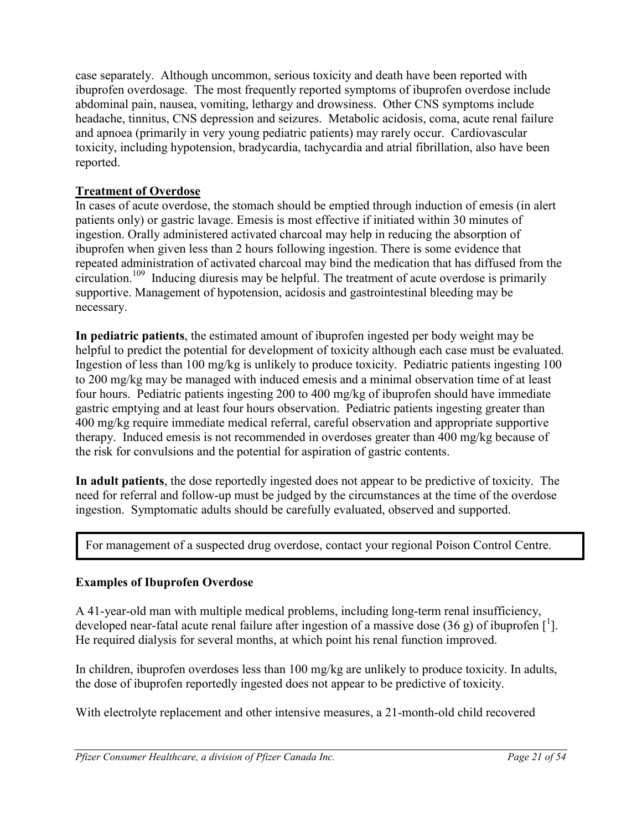case separately. Although uncommon, serious toxicity and death have been reported with ibuprofen overdosage. The most frequently reported symptoms of ibuprofen overdose include abdominal pain, nausea, vomiting, lethargy and drowsiness. Other CNS symptoms include headache, tinnitus, CNS depression and seizures. Metabolic acidosis, coma, acute renal failure and apnoea (primarily in very young pediatric patients) may rarely occur. Cardiovascular toxicity, including hypotension, bradycardia, tachycardia and atrial fibrillation, also have been reported.

## **Treatment of Overdose**

In cases of acute overdose, the stomach should be emptied through induction of emesis (in alert patients only) or gastric lavage. Emesis is most effective if initiated within 30 minutes of ingestion. Orally administered activated charcoal may help in reducing the absorption of ibuprofen when given less than 2 hours following ingestion. There is some evidence that repeated administration of activated charcoal may bind the medication that has diffused from the circulation.<sup>109</sup> Inducing diuresis may be helpful. The treatment of acute overdose is primarily supportive. Management of hypotension, acidosis and gastrointestinal bleeding may be necessary.

**In pediatric patients**, the estimated amount of ibuprofen ingested per body weight may be helpful to predict the potential for development of toxicity although each case must be evaluated. Ingestion of less than 100 mg/kg is unlikely to produce toxicity. Pediatric patients ingesting 100 to 200 mg/kg may be managed with induced emesis and a minimal observation time of at least four hours. Pediatric patients ingesting 200 to 400 mg/kg of ibuprofen should have immediate gastric emptying and at least four hours observation. Pediatric patients ingesting greater than 400 mg/kg require immediate medical referral, careful observation and appropriate supportive therapy. Induced emesis is not recommended in overdoses greater than 400 mg/kg because of the risk for convulsions and the potential for aspiration of gastric contents.

**In adult patients**, the dose reportedly ingested does not appear to be predictive of toxicity. The need for referral and follow-up must be judged by the circumstances at the time of the overdose ingestion. Symptomatic adults should be carefully evaluated, observed and supported.

For management of a suspected drug overdose, contact your regional Poison Control Centre.

## **Examples of Ibuprofen Overdose**

A 41-year-old man with multiple medical problems, including long-term renal insufficiency, developed near-fatal acute renal failure after ingestion of a massive dose (36 g) of ibuprofen  $\left[ \begin{matrix} 1 \end{matrix} \right]$ . He required dialysis for several months, at which point his renal function improved.

In children, ibuprofen overdoses less than 100 mg/kg are unlikely to produce toxicity. In adults, the dose of ibuprofen reportedly ingested does not appear to be predictive of toxicity.

With electrolyte replacement and other intensive measures, a 21-month-old child recovered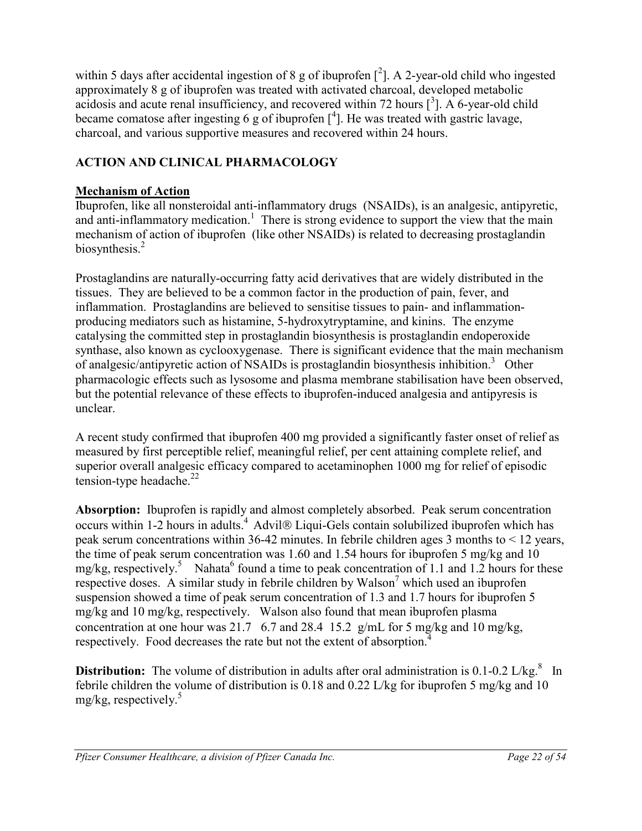within 5 days after accidental ingestion of 8 g of ibuprofen  $[^2]$ . A 2-year-old child who ingested approximately 8 g of ibuprofen was treated with activated charcoal, developed metabolic acidosis and acute renal insufficiency, and recovered within 72 hours  $\left[\right]$ <sup>3</sup>]. A 6-year-old child became comatose after ingesting 6 g of ibuprofen  $\left[\begin{smallmatrix}4\1 \end{smallmatrix}\right]$ . He was treated with gastric lavage, charcoal, and various supportive measures and recovered within 24 hours.

## <span id="page-21-0"></span>**ACTION AND CLINICAL PHARMACOLOGY**

## **Mechanism of Action**

Ibuprofen, like all nonsteroidal anti-inflammatory drugs (NSAIDs), is an analgesic, antipyretic, and anti-inflammatory medication.<sup>1</sup> There is strong evidence to support the view that the main mechanism of action of ibuprofen (like other NSAIDs) is related to decreasing prostaglandin biosynthesis.<sup>2</sup>

Prostaglandins are naturally-occurring fatty acid derivatives that are widely distributed in the tissues. They are believed to be a common factor in the production of pain, fever, and inflammation. Prostaglandins are believed to sensitise tissues to pain- and inflammationproducing mediators such as histamine, 5-hydroxytryptamine, and kinins. The enzyme catalysing the committed step in prostaglandin biosynthesis is prostaglandin endoperoxide synthase, also known as cyclooxygenase. There is significant evidence that the main mechanism of analgesic/antipyretic action of NSAIDs is prostaglandin biosynthesis inhibition.<sup>3</sup> Other pharmacologic effects such as lysosome and plasma membrane stabilisation have been observed, but the potential relevance of these effects to ibuprofen-induced analgesia and antipyresis is unclear.

A recent study confirmed that ibuprofen 400 mg provided a significantly faster onset of relief as measured by first perceptible relief, meaningful relief, per cent attaining complete relief, and superior overall analgesic efficacy compared to acetaminophen 1000 mg for relief of episodic tension-type headache. $^{22}$ 

**Absorption:** Ibuprofen is rapidly and almost completely absorbed. Peak serum concentration occurs within 1-2 hours in adults.<sup>4</sup> Advil<sup>®</sup> Liqui-Gels contain solubilized ibuprofen which has peak serum concentrations within 36-42 minutes. In febrile children ages 3 months to < 12 years, the time of peak serum concentration was 1.60 and 1.54 hours for ibuprofen 5 mg/kg and 10 mg/kg, respectively.<sup>5</sup> Nahata<sup>6</sup> found a time to peak concentration of 1.1 and 1.2 hours for these respective doses. A similar study in febrile children by Walson<sup>7</sup> which used an ibuprofen suspension showed a time of peak serum concentration of 1.3 and 1.7 hours for ibuprofen 5 mg/kg and 10 mg/kg, respectively. Walson also found that mean ibuprofen plasma concentration at one hour was 21.7 6.7 and 28.4 15.2 g/mL for 5 mg/kg and 10 mg/kg, respectively. Food decreases the rate but not the extent of absorption.<sup>4</sup>

**Distribution:** The volume of distribution in adults after oral administration is 0.1-0.2 L/kg.<sup>8</sup> In febrile children the volume of distribution is 0.18 and 0.22 L/kg for ibuprofen 5 mg/kg and 10 mg/kg, respectively. $5$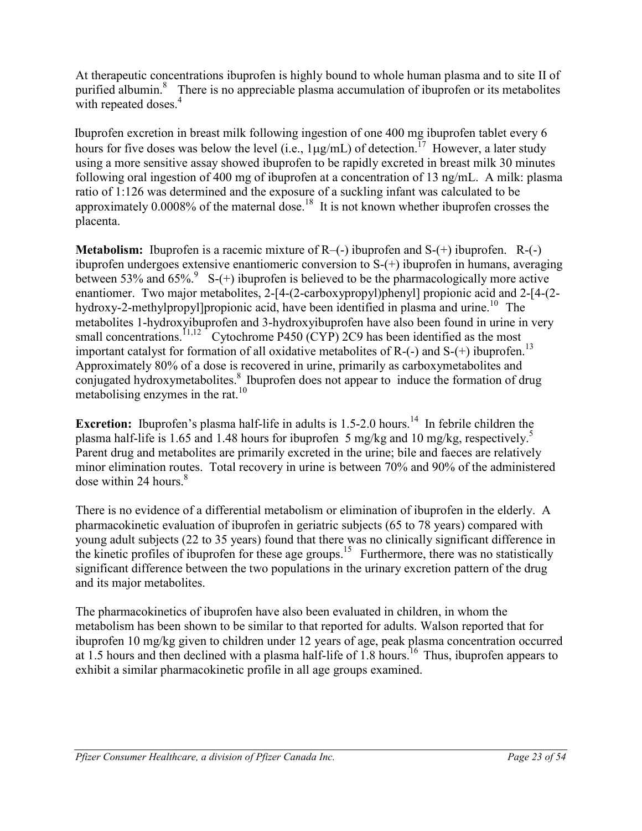At therapeutic concentrations ibuprofen is highly bound to whole human plasma and to site II of purified albumin.<sup>8</sup> There is no appreciable plasma accumulation of ibuprofen or its metabolites with repeated doses.<sup>4</sup>

 Ibuprofen excretion in breast milk following ingestion of one 400 mg ibuprofen tablet every 6 hours for five doses was below the level (i.e.,  $1\mu$ g/mL) of detection.<sup>17</sup> However, a later study using a more sensitive assay showed ibuprofen to be rapidly excreted in breast milk 30 minutes following oral ingestion of 400 mg of ibuprofen at a concentration of 13 ng/mL. A milk: plasma ratio of 1:126 was determined and the exposure of a suckling infant was calculated to be approximately 0.0008% of the maternal dose.<sup>18</sup> It is not known whether ibuprofen crosses the placenta.

**Metabolism:** Ibuprofen is a racemic mixture of R–(-) ibuprofen and S-(+) ibuprofen. R-(-) ibuprofen undergoes extensive enantiomeric conversion to S-(+) ibuprofen in humans, averaging between 53% and 65%.<sup>9</sup> S-(+) ibuprofen is believed to be the pharmacologically more active enantiomer. Two major metabolites, 2-[4-(2-carboxypropyl)phenyl] propionic acid and 2-[4-(2hydroxy-2-methylpropyl]propionic acid, have been identified in plasma and urine.<sup>10</sup> The metabolites 1-hydroxyibuprofen and 3-hydroxyibuprofen have also been found in urine in very small concentrations.<sup>11,12</sup> Cytochrome P450 (CYP) 2C9 has been identified as the most important catalyst for formation of all oxidative metabolites of R- $(-)$  and S- $(+)$  ibuprofen.<sup>13</sup> Approximately 80% of a dose is recovered in urine, primarily as carboxymetabolites and conjugated hydroxymetabolites.<sup>8</sup> Ibuprofen does not appear to induce the formation of drug metabolising enzymes in the rat.<sup>10</sup>

**Excretion:** Ibuprofen's plasma half-life in adults is 1.5-2.0 hours.<sup>14</sup> In febrile children the plasma half-life is 1.65 and 1.48 hours for ibuprofen 5 mg/kg and 10 mg/kg, respectively.5 Parent drug and metabolites are primarily excreted in the urine; bile and faeces are relatively minor elimination routes. Total recovery in urine is between 70% and 90% of the administered dose within 24 hours. $8<sup>8</sup>$ 

There is no evidence of a differential metabolism or elimination of ibuprofen in the elderly. A pharmacokinetic evaluation of ibuprofen in geriatric subjects (65 to 78 years) compared with young adult subjects (22 to 35 years) found that there was no clinically significant difference in the kinetic profiles of ibuprofen for these age groups.<sup>15</sup> Furthermore, there was no statistically significant difference between the two populations in the urinary excretion pattern of the drug and its major metabolites.

The pharmacokinetics of ibuprofen have also been evaluated in children, in whom the metabolism has been shown to be similar to that reported for adults. Walson reported that for ibuprofen 10 mg/kg given to children under 12 years of age, peak plasma concentration occurred at 1.5 hours and then declined with a plasma half-life of 1.8 hours.<sup>16</sup> Thus, ibuprofen appears to exhibit a similar pharmacokinetic profile in all age groups examined.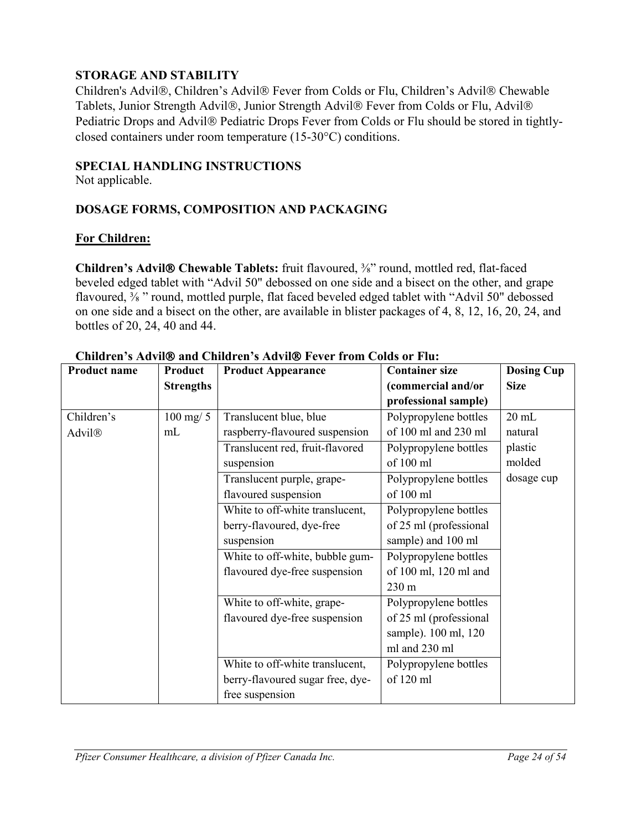## <span id="page-23-0"></span>**STORAGE AND STABILITY**

Children's Advil®, Children's Advil® Fever from Colds or Flu, Children's Advil® Chewable Tablets, Junior Strength Advil®, Junior Strength Advil® Fever from Colds or Flu, Advil® Pediatric Drops and Advil® Pediatric Drops Fever from Colds or Flu should be stored in tightlyclosed containers under room temperature (15-30°C) conditions.

### <span id="page-23-1"></span>**SPECIAL HANDLING INSTRUCTIONS**

Not applicable.

## <span id="page-23-2"></span>**DOSAGE FORMS, COMPOSITION AND PACKAGING**

### **For Children:**

**Children's Advil® Chewable Tablets:** fruit flavoured,  $\frac{3}{8}$ " round, mottled red, flat-faced beveled edged tablet with "Advil 50" debossed on one side and a bisect on the other, and grape flavoured, <sup>3</sup>/<sub>8</sub> " round, mottled purple, flat faced beveled edged tablet with "Advil 50" debossed on one side and a bisect on the other, are available in blister packages of 4, 8, 12, 16, 20, 24, and bottles of 20, 24, 40 and 44.

| <b>Product name</b> | Product          | <b>Product Appearance</b>        | <b>Container size</b>  | <b>Dosing Cup</b> |
|---------------------|------------------|----------------------------------|------------------------|-------------------|
|                     | <b>Strengths</b> |                                  | (commercial and/or     | <b>Size</b>       |
|                     |                  |                                  | professional sample)   |                   |
| Children's          | $100$ mg/ $5$    | Translucent blue, blue           | Polypropylene bottles  | $20$ mL           |
| Advil®              | mL               | raspberry-flavoured suspension   | of 100 ml and 230 ml   | natural           |
|                     |                  | Translucent red, fruit-flavored  | Polypropylene bottles  | plastic           |
|                     |                  | suspension                       | of 100 ml              | molded            |
|                     |                  | Translucent purple, grape-       | Polypropylene bottles  | dosage cup        |
|                     |                  | flavoured suspension             | of 100 ml              |                   |
|                     |                  | White to off-white translucent,  | Polypropylene bottles  |                   |
|                     |                  | berry-flavoured, dye-free        | of 25 ml (professional |                   |
|                     |                  | suspension                       | sample) and 100 ml     |                   |
|                     |                  | White to off-white, bubble gum-  | Polypropylene bottles  |                   |
|                     |                  | flavoured dye-free suspension    | of 100 ml, 120 ml and  |                   |
|                     |                  |                                  | 230 m                  |                   |
|                     |                  | White to off-white, grape-       | Polypropylene bottles  |                   |
|                     |                  | flavoured dye-free suspension    | of 25 ml (professional |                   |
|                     |                  |                                  | sample). 100 ml, 120   |                   |
|                     |                  |                                  | ml and 230 ml          |                   |
|                     |                  | White to off-white translucent,  | Polypropylene bottles  |                   |
|                     |                  | berry-flavoured sugar free, dye- | of 120 ml              |                   |
|                     |                  | free suspension                  |                        |                   |

**Children's Advil and Children's Advil Fever from Colds or Flu:**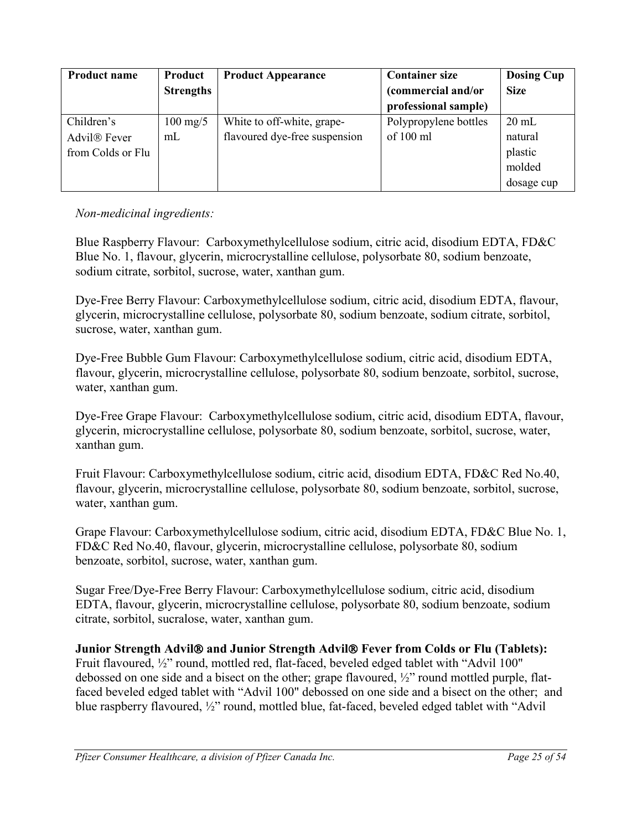| <b>Product name</b>      | Product            | <b>Product Appearance</b>     | <b>Container size</b> | <b>Dosing Cup</b> |
|--------------------------|--------------------|-------------------------------|-----------------------|-------------------|
|                          | <b>Strengths</b>   |                               | (commercial and/or    | <b>Size</b>       |
|                          |                    |                               | professional sample)  |                   |
| Children's               | $100 \text{ mg}/5$ | White to off-white, grape-    | Polypropylene bottles | $20 \text{ mL}$   |
| Advil <sup>®</sup> Fever | mL                 | flavoured dye-free suspension | of 100 ml             | natural           |
| from Colds or Flu        |                    |                               |                       | plastic           |
|                          |                    |                               |                       | molded            |
|                          |                    |                               |                       | dosage cup        |

## *Non-medicinal ingredients:*

Blue Raspberry Flavour: Carboxymethylcellulose sodium, citric acid, disodium EDTA, FD&C Blue No. 1, flavour, glycerin, microcrystalline cellulose, polysorbate 80, sodium benzoate, sodium citrate, sorbitol, sucrose, water, xanthan gum.

Dye-Free Berry Flavour: Carboxymethylcellulose sodium, citric acid, disodium EDTA, flavour, glycerin, microcrystalline cellulose, polysorbate 80, sodium benzoate, sodium citrate, sorbitol, sucrose, water, xanthan gum.

Dye-Free Bubble Gum Flavour: Carboxymethylcellulose sodium, citric acid, disodium EDTA, flavour, glycerin, microcrystalline cellulose, polysorbate 80, sodium benzoate, sorbitol, sucrose, water, xanthan gum.

Dye-Free Grape Flavour: Carboxymethylcellulose sodium, citric acid, disodium EDTA, flavour, glycerin, microcrystalline cellulose, polysorbate 80, sodium benzoate, sorbitol, sucrose, water, xanthan gum.

Fruit Flavour: Carboxymethylcellulose sodium, citric acid, disodium EDTA, FD&C Red No.40, flavour, glycerin, microcrystalline cellulose, polysorbate 80, sodium benzoate, sorbitol, sucrose, water, xanthan gum.

Grape Flavour: Carboxymethylcellulose sodium, citric acid, disodium EDTA, FD&C Blue No. 1, FD&C Red No.40, flavour, glycerin, microcrystalline cellulose, polysorbate 80, sodium benzoate, sorbitol, sucrose, water, xanthan gum.

Sugar Free/Dye-Free Berry Flavour: Carboxymethylcellulose sodium, citric acid, disodium EDTA, flavour, glycerin, microcrystalline cellulose, polysorbate 80, sodium benzoate, sodium citrate, sorbitol, sucralose, water, xanthan gum.

**Junior Strength Advil® and Junior Strength Advil® Fever from Colds or Flu (Tablets):** Fruit flavoured, ½" round, mottled red, flat-faced, beveled edged tablet with "Advil 100" debossed on one side and a bisect on the other; grape flavoured, ½" round mottled purple, flatfaced beveled edged tablet with "Advil 100" debossed on one side and a bisect on the other; and blue raspberry flavoured, ½" round, mottled blue, fat-faced, beveled edged tablet with "Advil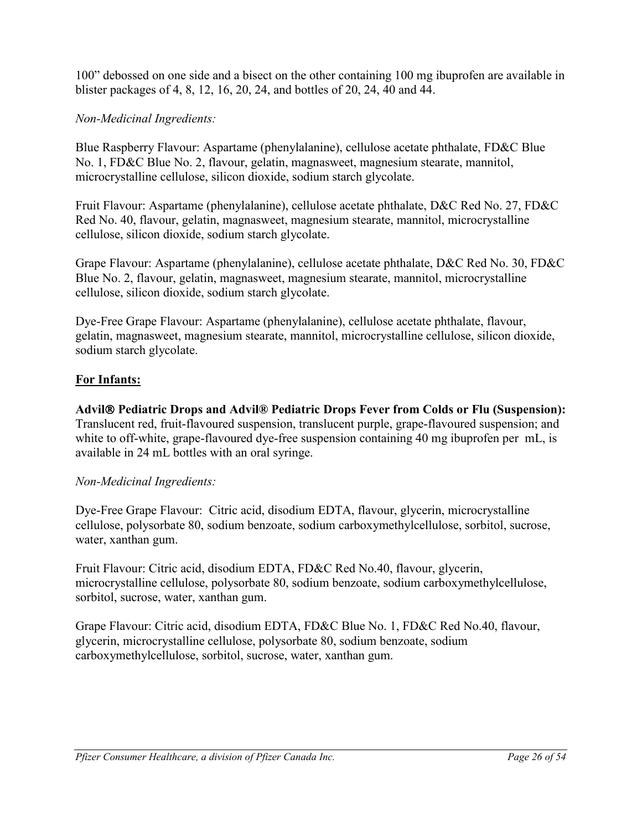100" debossed on one side and a bisect on the other containing 100 mg ibuprofen are available in blister packages of 4, 8, 12, 16, 20, 24, and bottles of 20, 24, 40 and 44.

## *Non-Medicinal Ingredients:*

Blue Raspberry Flavour: Aspartame (phenylalanine), cellulose acetate phthalate, FD&C Blue No. 1, FD&C Blue No. 2, flavour, gelatin, magnasweet, magnesium stearate, mannitol, microcrystalline cellulose, silicon dioxide, sodium starch glycolate.

Fruit Flavour: Aspartame (phenylalanine), cellulose acetate phthalate, D&C Red No. 27, FD&C Red No. 40, flavour, gelatin, magnasweet, magnesium stearate, mannitol, microcrystalline cellulose, silicon dioxide, sodium starch glycolate.

Grape Flavour: Aspartame (phenylalanine), cellulose acetate phthalate, D&C Red No. 30, FD&C Blue No. 2, flavour, gelatin, magnasweet, magnesium stearate, mannitol, microcrystalline cellulose, silicon dioxide, sodium starch glycolate.

Dye-Free Grape Flavour: Aspartame (phenylalanine), cellulose acetate phthalate, flavour, gelatin, magnasweet, magnesium stearate, mannitol, microcrystalline cellulose, silicon dioxide, sodium starch glycolate.

## **For Infants:**

**Advil Pediatric Drops and Advil® Pediatric Drops Fever from Colds or Flu (Suspension):** Translucent red, fruit-flavoured suspension, translucent purple, grape-flavoured suspension; and white to off-white, grape-flavoured dye-free suspension containing 40 mg ibuprofen per mL, is available in 24 mL bottles with an oral syringe.

### *Non-Medicinal Ingredients:*

Dye-Free Grape Flavour: Citric acid, disodium EDTA, flavour, glycerin, microcrystalline cellulose, polysorbate 80, sodium benzoate, sodium carboxymethylcellulose, sorbitol, sucrose, water, xanthan gum.

Fruit Flavour: Citric acid, disodium EDTA, FD&C Red No.40, flavour, glycerin, microcrystalline cellulose, polysorbate 80, sodium benzoate, sodium carboxymethylcellulose, sorbitol, sucrose, water, xanthan gum.

Grape Flavour: Citric acid, disodium EDTA, FD&C Blue No. 1, FD&C Red No.40, flavour, glycerin, microcrystalline cellulose, polysorbate 80, sodium benzoate, sodium carboxymethylcellulose, sorbitol, sucrose, water, xanthan gum.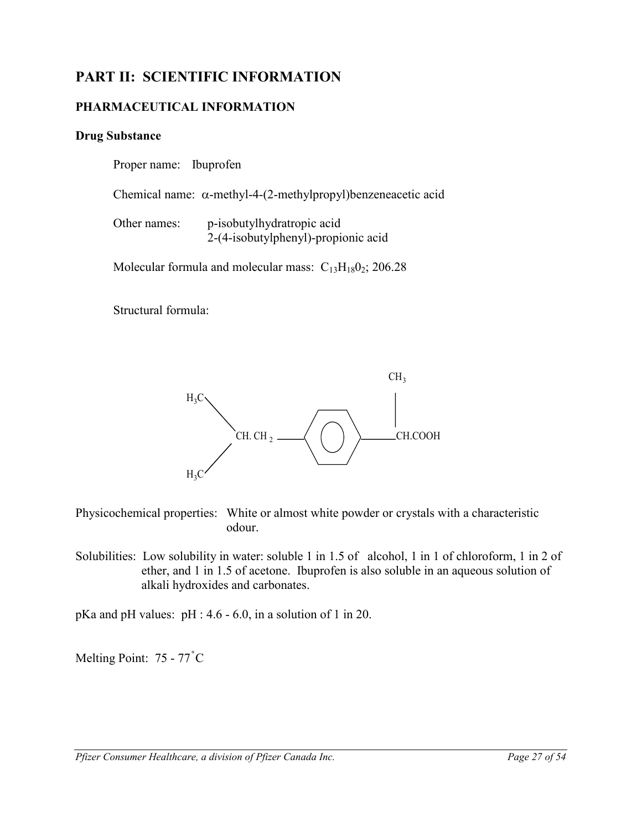# **PART II: SCIENTIFIC INFORMATION**

## **PHARMACEUTICAL INFORMATION**

### **Drug Substance**

<span id="page-26-1"></span><span id="page-26-0"></span>Proper name: Ibuprofen

Chemical name: α-methyl-4-(2-methylpropyl)benzeneacetic acid

| Other names: | p-isobutylhydratropic acid          |
|--------------|-------------------------------------|
|              | 2-(4-isobutylphenyl)-propionic acid |

Molecular formula and molecular mass:  $C_{13}H_{18}O_2$ ; 206.28

Structural formula:



Physicochemical properties: White or almost white powder or crystals with a characteristic odour.

Solubilities: Low solubility in water: soluble 1 in 1.5 of alcohol, 1 in 1 of chloroform, 1 in 2 of ether, and 1 in 1.5 of acetone. Ibuprofen is also soluble in an aqueous solution of alkali hydroxides and carbonates.

pKa and pH values: pH : 4.6 - 6.0, in a solution of 1 in 20.

Melting Point: 75 - 77° C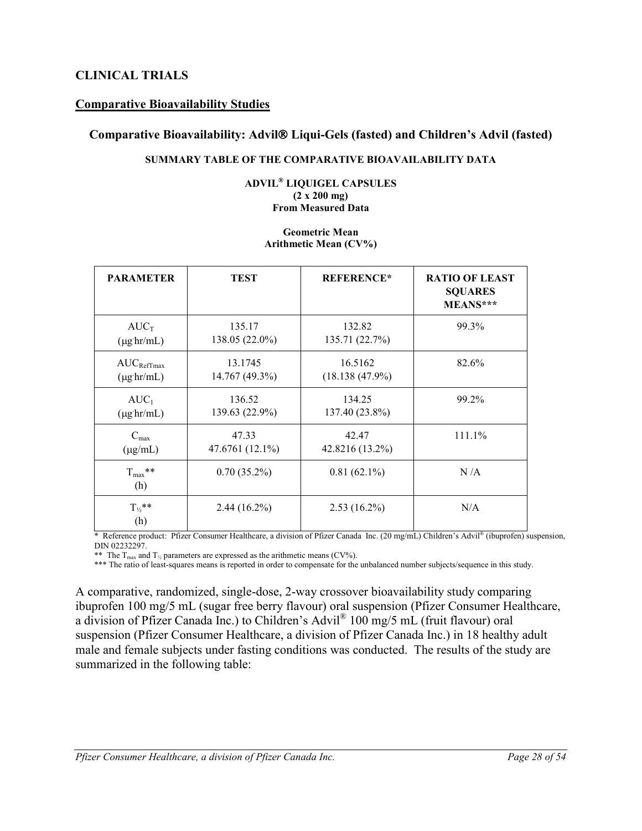## **CLINICAL TRIALS**

### **Comparative Bioavailability Studies**

### **Comparative Bioavailability: Advil Liqui-Gels (fasted) and Children's Advil (fasted)**

### <span id="page-27-0"></span>**SUMMARY TABLE OF THE COMPARATIVE BIOAVAILABILITY DATA**

#### **ADVIL® LIQUIGEL CAPSULES (2 x 200 mg) From Measured Data**

#### **Geometric Mean Arithmetic Mean (CV%)**

| <b>PARAMETER</b>            | <b>TEST</b>     | <b>REFERENCE*</b> | <b>RATIO OF LEAST</b><br><b>SQUARES</b><br>MEANS*** |
|-----------------------------|-----------------|-------------------|-----------------------------------------------------|
| $AUC_T$                     | 135.17          | 132.82            | 99.3%                                               |
| $(\mu g \, \text{hr/mL})$   | 138.05 (22.0%)  | 135.71 (22.7%)    |                                                     |
| $AUC_{RefTmax}$             | 13.1745         | 16.5162           | 82.6%                                               |
| $(\mu g \, hr/mL)$          | 14.767 (49.3%)  | (18.138(47.9%)    |                                                     |
| $AUC_1$                     | 136.52          | 134.25            | 99.2%                                               |
| $(\mu g \, \text{hr/mL})$   | 139.63 (22.9%)  | 137.40 (23.8%)    |                                                     |
| $C_{\text{max}}$            | 47.33           | 42.47             | 111.1%                                              |
| $(\mu g/mL)$                | 47.6761 (12.1%) | 42.8216 (13.2%)   |                                                     |
| $T_{\text{max}}$ **<br>(h)  | $0.70(35.2\%)$  | $0.81(62.1\%)$    | N/A                                                 |
| $T_{\frac{1}{2}}$ **<br>(h) | $2.44(16.2\%)$  | $2.53(16.2\%)$    | N/A                                                 |

\* Reference product: Pfizer Consumer Healthcare, a division of Pfizer Canada Inc. (20 mg/mL) Children's Advil® (ibuprofen) suspension, DIN 02232297.

\*\* The  $T_{\text{max}}$  and  $T_{\frac{1}{2}}$  parameters are expressed as the arithmetic means (CV%).

\*\*\* The ratio of least-squares means is reported in order to compensate for the unbalanced number subjects/sequence in this study.

A comparative, randomized, single-dose, 2-way crossover bioavailability study comparing ibuprofen 100 mg/5 mL (sugar free berry flavour) oral suspension (Pfizer Consumer Healthcare, a division of Pfizer Canada Inc.) to Children's Advil® 100 mg/5 mL (fruit flavour) oral suspension (Pfizer Consumer Healthcare, a division of Pfizer Canada Inc.) in 18 healthy adult male and female subjects under fasting conditions was conducted. The results of the study are summarized in the following table: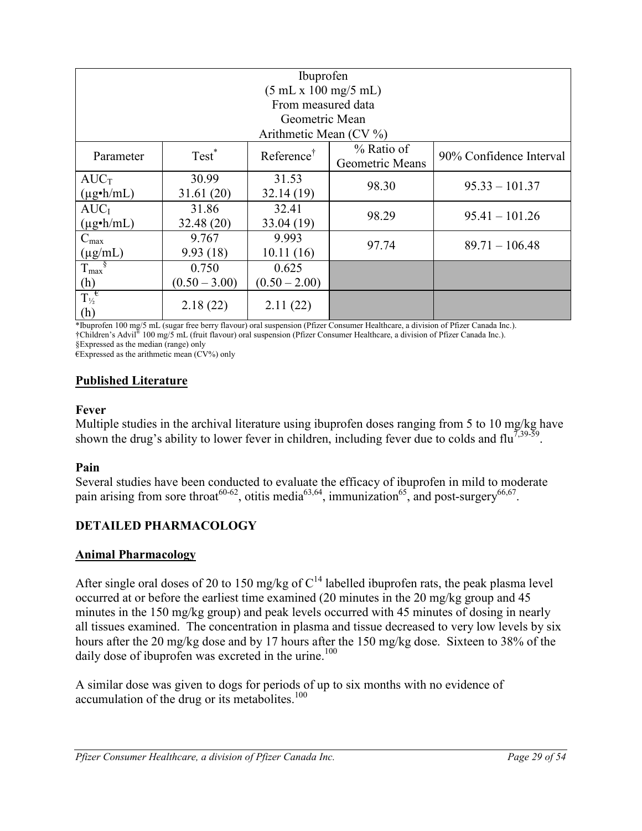| Ibuprofen                                    |                                                                                                         |                          |       |                  |  |  |
|----------------------------------------------|---------------------------------------------------------------------------------------------------------|--------------------------|-------|------------------|--|--|
| (5 mL x 100 mg/5 mL)                         |                                                                                                         |                          |       |                  |  |  |
|                                              |                                                                                                         | From measured data       |       |                  |  |  |
|                                              |                                                                                                         | Geometric Mean           |       |                  |  |  |
|                                              |                                                                                                         | Arithmetic Mean $(CV\%)$ |       |                  |  |  |
| Parameter                                    | % Ratio of<br>Test <sup>*</sup><br>Reference <sup>†</sup><br>90% Confidence Interval<br>Geometric Means |                          |       |                  |  |  |
| $AUC_T$                                      | 30.99                                                                                                   | 31.53                    | 98.30 | $95.33 - 101.37$ |  |  |
| $(\mu g \cdot h/mL)$                         | 31.61(20)                                                                                               | 32.14(19)                |       |                  |  |  |
| AUC <sub>I</sub>                             | 31.86                                                                                                   | 32.41                    | 98.29 | $95.41 - 101.26$ |  |  |
| $(\mu g \cdot h/mL)$                         | 32.48 (20)                                                                                              | 33.04 (19)               |       |                  |  |  |
| $C_{\text{max}}$                             | 9.767                                                                                                   | 9.993                    | 97.74 | $89.71 - 106.48$ |  |  |
| $(\mu g/mL)$                                 | 9.93(18)                                                                                                | 10.11(16)                |       |                  |  |  |
| $T_{\text{max}}^{\S}$                        | 0.750                                                                                                   | 0.625                    |       |                  |  |  |
|                                              | $(0.50 - 3.00)$                                                                                         | $(0.50 - 2.00)$          |       |                  |  |  |
| $\frac{(h)}{T_{\frac{1}{2}}\epsilon}$<br>(h) | 2.18(22)                                                                                                | 2.11(22)                 |       |                  |  |  |

\*Ibuprofen 100 mg/5 mL (sugar free berry flavour) oral suspension (Pfizer Consumer Healthcare, a division of Pfizer Canada Inc.). †Children's Advil® 100 mg/5 mL (fruit flavour) oral suspension (Pfizer Consumer Healthcare, a division of Pfizer Canada Inc.). §Expressed as the median (range) only

€Expressed as the arithmetic mean (CV%) only

## **Published Literature**

### **Fever**

Multiple studies in the archival literature using ibuprofen doses ranging from 5 to 10 mg/kg have shown the drug's ability to lower fever in children, including fever due to colds and flu<sup>7,39-59</sup>.

### **Pain**

Several studies have been conducted to evaluate the efficacy of ibuprofen in mild to moderate pain arising from sore throat<sup>60-62</sup>, otitis media<sup>63,64</sup>, immunization<sup>65</sup>, and post-surgery<sup>66,67</sup>.

## <span id="page-28-0"></span>**DETAILED PHARMACOLOGY**

### **Animal Pharmacology**

After single oral doses of 20 to 150 mg/kg of  $C^{14}$  labelled ibuprofen rats, the peak plasma level occurred at or before the earliest time examined (20 minutes in the 20 mg/kg group and 45 minutes in the 150 mg/kg group) and peak levels occurred with 45 minutes of dosing in nearly all tissues examined. The concentration in plasma and tissue decreased to very low levels by six hours after the 20 mg/kg dose and by 17 hours after the 150 mg/kg dose. Sixteen to 38% of the daily dose of ibuprofen was excreted in the urine.<sup>100</sup>

A similar dose was given to dogs for periods of up to six months with no evidence of accumulation of the drug or its metabolites.<sup>100</sup>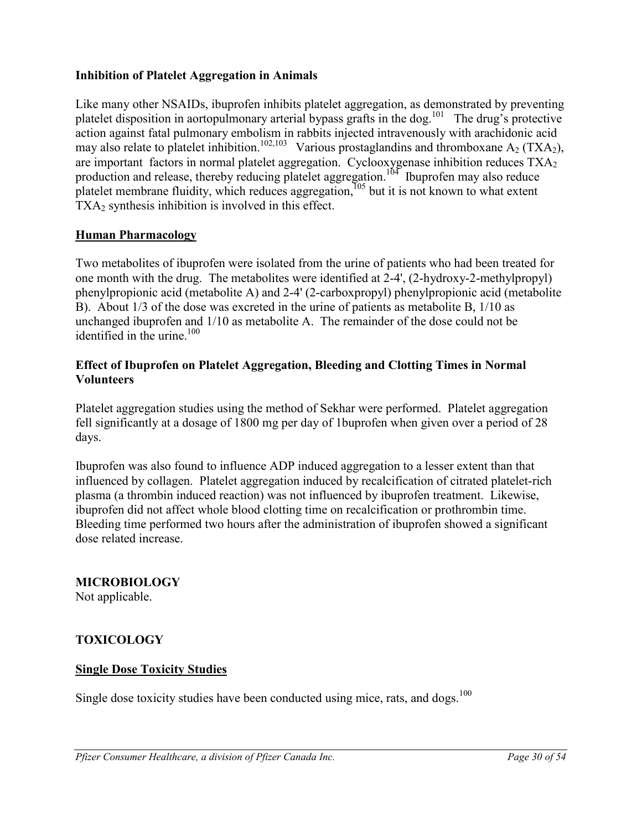## <span id="page-29-1"></span>**Inhibition of Platelet Aggregation in Animals**

Like many other NSAIDs, ibuprofen inhibits platelet aggregation, as demonstrated by preventing platelet disposition in aortopulmonary arterial bypass grafts in the dog.<sup>101</sup> The drug's protective action against fatal pulmonary embolism in rabbits injected intravenously with arachidonic acid may also relate to platelet inhibition.<sup>102,103</sup> Various prostaglandins and thromboxane A<sub>2</sub> (TXA<sub>2</sub>), are important factors in normal platelet aggregation. Cyclooxygenase inhibition reduces TXA<sub>2</sub> production and release, thereby reducing platelet aggregation.<sup>104</sup> Ibuprofen may also reduce platelet membrane fluidity, which reduces aggregation, $105$  but it is not known to what extent  $TXA<sub>2</sub>$  synthesis inhibition is involved in this effect.

### **Human Pharmacology**

Two metabolites of ibuprofen were isolated from the urine of patients who had been treated for one month with the drug. The metabolites were identified at 2-4', (2-hydroxy-2-methylpropyl) phenylpropionic acid (metabolite A) and 2-4' (2-carboxpropyl) phenylpropionic acid (metabolite B). About 1/3 of the dose was excreted in the urine of patients as metabolite B, 1/10 as unchanged ibuprofen and 1/10 as metabolite A. The remainder of the dose could not be identified in the urine. $100$ 

### **Effect of Ibuprofen on Platelet Aggregation, Bleeding and Clotting Times in Normal Volunteers**

Platelet aggregation studies using the method of Sekhar were performed. Platelet aggregation fell significantly at a dosage of 1800 mg per day of 1buprofen when given over a period of 28 days.

Ibuprofen was also found to influence ADP induced aggregation to a lesser extent than that influenced by collagen. Platelet aggregation induced by recalcification of citrated platelet-rich plasma (a thrombin induced reaction) was not influenced by ibuprofen treatment. Likewise, ibuprofen did not affect whole blood clotting time on recalcification or prothrombin time. Bleeding time performed two hours after the administration of ibuprofen showed a significant dose related increase.

### <span id="page-29-0"></span>**MICROBIOLOGY**

Not applicable.

### **TOXICOLOGY**

### **Single Dose Toxicity Studies**

Single dose toxicity studies have been conducted using mice, rats, and dogs.<sup>100</sup>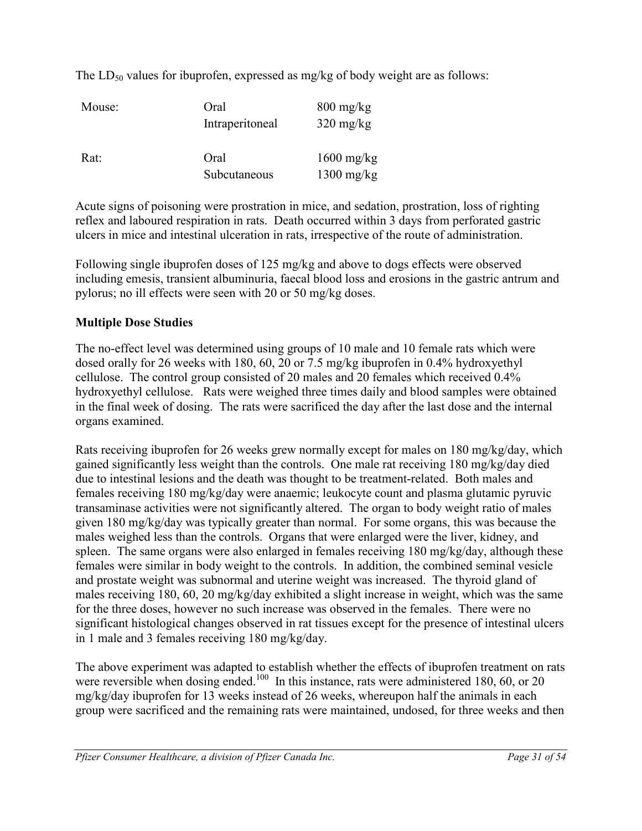The  $LD_{50}$  values for ibuprofen, expressed as mg/kg of body weight are as follows:

| Mouse: | Oral<br>Intraperitoneal | $800 \frac{\text{mg}}{\text{kg}}$<br>$320 \text{ mg/kg}$ |
|--------|-------------------------|----------------------------------------------------------|
| Rat:   | Oral<br>Subcutaneous    | $1600 \text{ mg/kg}$<br>$1300 \text{ mg/kg}$             |

Acute signs of poisoning were prostration in mice, and sedation, prostration, loss of righting reflex and laboured respiration in rats. Death occurred within 3 days from perforated gastric ulcers in mice and intestinal ulceration in rats, irrespective of the route of administration.

Following single ibuprofen doses of 125 mg/kg and above to dogs effects were observed including emesis, transient albuminuria, faecal blood loss and erosions in the gastric antrum and pylorus; no ill effects were seen with 20 or 50 mg/kg doses.

## **Multiple Dose Studies**

The no-effect level was determined using groups of 10 male and 10 female rats which were dosed orally for 26 weeks with 180, 60, 20 or 7.5 mg/kg ibuprofen in 0.4% hydroxyethyl cellulose. The control group consisted of 20 males and 20 females which received 0.4% hydroxyethyl cellulose. Rats were weighed three times daily and blood samples were obtained in the final week of dosing. The rats were sacrificed the day after the last dose and the internal organs examined.

Rats receiving ibuprofen for 26 weeks grew normally except for males on 180 mg/kg/day, which gained significantly less weight than the controls. One male rat receiving 180 mg/kg/day died due to intestinal lesions and the death was thought to be treatment-related. Both males and females receiving 180 mg/kg/day were anaemic; leukocyte count and plasma glutamic pyruvic transaminase activities were not significantly altered. The organ to body weight ratio of males given 180 mg/kg/day was typically greater than normal. For some organs, this was because the males weighed less than the controls. Organs that were enlarged were the liver, kidney, and spleen. The same organs were also enlarged in females receiving 180 mg/kg/day, although these females were similar in body weight to the controls. In addition, the combined seminal vesicle and prostate weight was subnormal and uterine weight was increased. The thyroid gland of males receiving 180, 60, 20 mg/kg/day exhibited a slight increase in weight, which was the same for the three doses, however no such increase was observed in the females. There were no significant histological changes observed in rat tissues except for the presence of intestinal ulcers in 1 male and 3 females receiving 180 mg/kg/day.

The above experiment was adapted to establish whether the effects of ibuprofen treatment on rats were reversible when dosing ended.<sup>100</sup> In this instance, rats were administered 180, 60, or 20 mg/kg/day ibuprofen for 13 weeks instead of 26 weeks, whereupon half the animals in each group were sacrificed and the remaining rats were maintained, undosed, for three weeks and then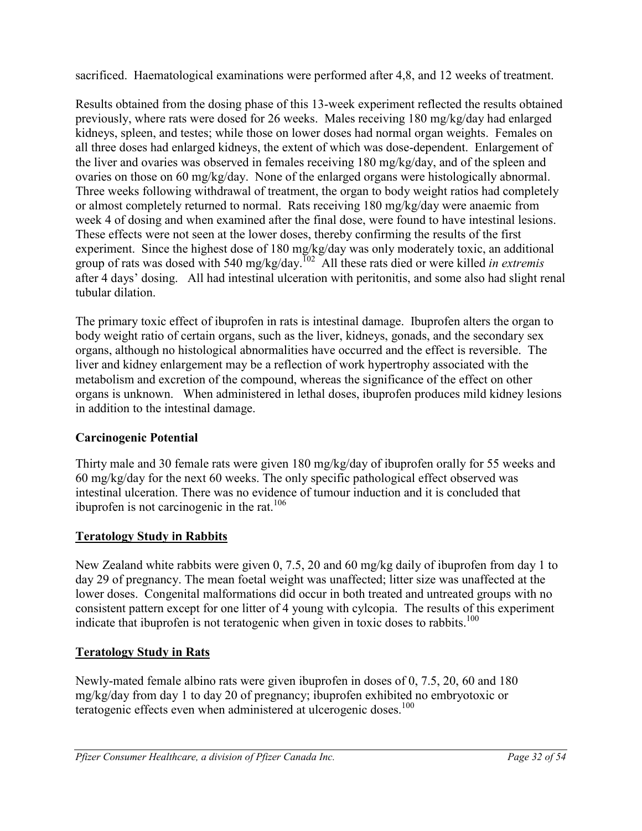sacrificed. Haematological examinations were performed after 4,8, and 12 weeks of treatment.

Results obtained from the dosing phase of this 13-week experiment reflected the results obtained previously, where rats were dosed for 26 weeks. Males receiving 180 mg/kg/day had enlarged kidneys, spleen, and testes; while those on lower doses had normal organ weights. Females on all three doses had enlarged kidneys, the extent of which was dose-dependent. Enlargement of the liver and ovaries was observed in females receiving 180 mg/kg/day, and of the spleen and ovaries on those on 60 mg/kg/day. None of the enlarged organs were histologically abnormal. Three weeks following withdrawal of treatment, the organ to body weight ratios had completely or almost completely returned to normal. Rats receiving 180 mg/kg/day were anaemic from week 4 of dosing and when examined after the final dose, were found to have intestinal lesions. These effects were not seen at the lower doses, thereby confirming the results of the first experiment. Since the highest dose of 180 mg/kg/day was only moderately toxic, an additional group of rats was dosed with 540 mg/kg/day.<sup>102</sup> All these rats died or were killed *in extremis* after 4 days' dosing. All had intestinal ulceration with peritonitis, and some also had slight renal tubular dilation.

The primary toxic effect of ibuprofen in rats is intestinal damage. Ibuprofen alters the organ to body weight ratio of certain organs, such as the liver, kidneys, gonads, and the secondary sex organs, although no histological abnormalities have occurred and the effect is reversible. The liver and kidney enlargement may be a reflection of work hypertrophy associated with the metabolism and excretion of the compound, whereas the significance of the effect on other organs is unknown. When administered in lethal doses, ibuprofen produces mild kidney lesions in addition to the intestinal damage.

## **Carcinogenic Potential**

Thirty male and 30 female rats were given 180 mg/kg/day of ibuprofen orally for 55 weeks and 60 mg/kg/day for the next 60 weeks. The only specific pathological effect observed was intestinal ulceration. There was no evidence of tumour induction and it is concluded that ibuprofen is not carcinogenic in the rat.<sup>106</sup>

## **Teratology Study in Rabbits**

New Zealand white rabbits were given 0, 7.5, 20 and 60 mg/kg daily of ibuprofen from day 1 to day 29 of pregnancy. The mean foetal weight was unaffected; litter size was unaffected at the lower doses. Congenital malformations did occur in both treated and untreated groups with no consistent pattern except for one litter of 4 young with cylcopia. The results of this experiment indicate that ibuprofen is not teratogenic when given in toxic doses to rabbits.<sup>100</sup>

## **Teratology Study in Rats**

Newly-mated female albino rats were given ibuprofen in doses of 0, 7.5, 20, 60 and 180 mg/kg/day from day 1 to day 20 of pregnancy; ibuprofen exhibited no embryotoxic or teratogenic effects even when administered at ulcerogenic doses.<sup>100</sup>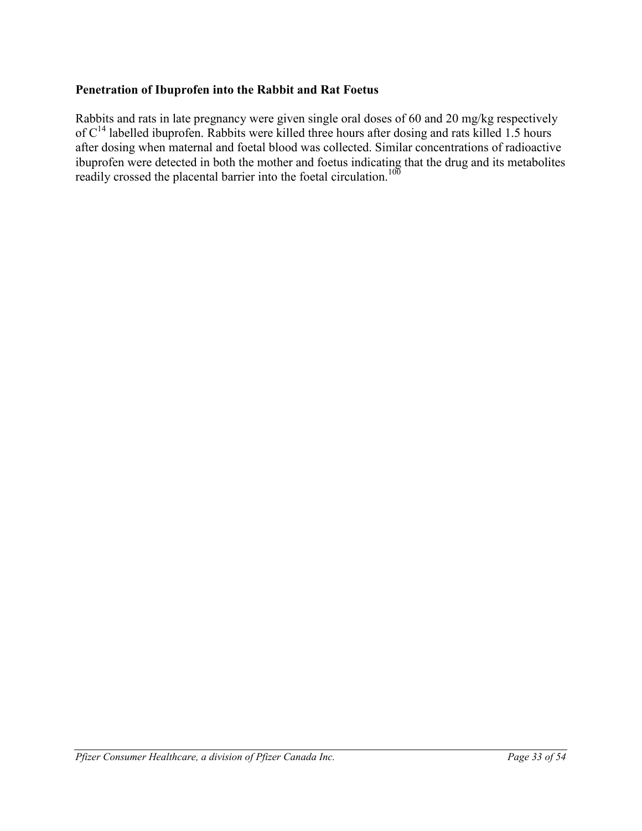## **Penetration of Ibuprofen into the Rabbit and Rat Foetus**

Rabbits and rats in late pregnancy were given single oral doses of 60 and 20 mg/kg respectively of C<sup>14</sup> labelled ibuprofen. Rabbits were killed three hours after dosing and rats killed 1.5 hours after dosing when maternal and foetal blood was collected. Similar concentrations of radioactive ibuprofen were detected in both the mother and foetus indicating that the drug and its metabolites readily crossed the placental barrier into the foetal circulation.<sup>100</sup>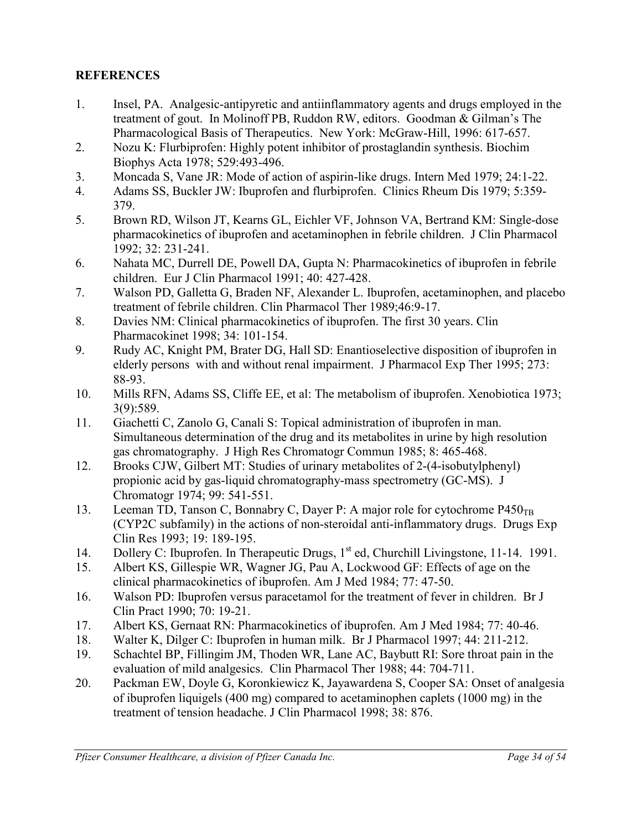## **REFERENCES**

- 1. Insel, PA. Analgesic-antipyretic and antiinflammatory agents and drugs employed in the treatment of gout. In Molinoff PB, Ruddon RW, editors. Goodman & Gilman's The Pharmacological Basis of Therapeutics. New York: McGraw-Hill, 1996: 617-657.
- 2. Nozu K: Flurbiprofen: Highly potent inhibitor of prostaglandin synthesis. Biochim Biophys Acta 1978; 529:493-496.
- 3. Moncada S, Vane JR: Mode of action of aspirin-like drugs. Intern Med 1979; 24:1-22.
- 4. Adams SS, Buckler JW: Ibuprofen and flurbiprofen. Clinics Rheum Dis 1979; 5:359- 379.
- 5. Brown RD, Wilson JT, Kearns GL, Eichler VF, Johnson VA, Bertrand KM: Single-dose pharmacokinetics of ibuprofen and acetaminophen in febrile children. J Clin Pharmacol 1992; 32: 231-241.
- 6. Nahata MC, Durrell DE, Powell DA, Gupta N: Pharmacokinetics of ibuprofen in febrile children. Eur J Clin Pharmacol 1991; 40: 427-428.
- 7. Walson PD, Galletta G, Braden NF, Alexander L. Ibuprofen, acetaminophen, and placebo treatment of febrile children. Clin Pharmacol Ther 1989;46:9-17.
- 8. Davies NM: Clinical pharmacokinetics of ibuprofen. The first 30 years. Clin Pharmacokinet 1998; 34: 101-154.
- 9. Rudy AC, Knight PM, Brater DG, Hall SD: Enantioselective disposition of ibuprofen in elderly persons with and without renal impairment. J Pharmacol Exp Ther 1995; 273: 88-93.
- 10. Mills RFN, Adams SS, Cliffe EE, et al: The metabolism of ibuprofen. Xenobiotica 1973; 3(9):589.
- 11. Giachetti C, Zanolo G, Canali S: Topical administration of ibuprofen in man. Simultaneous determination of the drug and its metabolites in urine by high resolution gas chromatography. J High Res Chromatogr Commun 1985; 8: 465-468.
- 12. Brooks CJW, Gilbert MT: Studies of urinary metabolites of 2-(4-isobutylphenyl) propionic acid by gas-liquid chromatography-mass spectrometry (GC-MS). J Chromatogr 1974; 99: 541-551.
- 13. Leeman TD, Tanson C, Bonnabry C, Dayer P: A major role for cytochrome  $P450_{TR}$ (CYP2C subfamily) in the actions of non-steroidal anti-inflammatory drugs. Drugs Exp Clin Res 1993; 19: 189-195.
- 14. Dollery C: Ibuprofen. In Therapeutic Drugs, 1<sup>st</sup> ed, Churchill Livingstone, 11-14. 1991.
- 15. Albert KS, Gillespie WR, Wagner JG, Pau A, Lockwood GF: Effects of age on the clinical pharmacokinetics of ibuprofen. Am J Med 1984; 77: 47-50.
- 16. Walson PD: Ibuprofen versus paracetamol for the treatment of fever in children. Br J Clin Pract 1990; 70: 19-21.
- 17. Albert KS, Gernaat RN: Pharmacokinetics of ibuprofen. Am J Med 1984; 77: 40-46.
- 18. Walter K, Dilger C: Ibuprofen in human milk. Br J Pharmacol 1997; 44: 211-212.
- 19. Schachtel BP, Fillingim JM, Thoden WR, Lane AC, Baybutt RI: Sore throat pain in the evaluation of mild analgesics. Clin Pharmacol Ther 1988; 44: 704-711.
- 20. Packman EW, Doyle G, Koronkiewicz K, Jayawardena S, Cooper SA: Onset of analgesia of ibuprofen liquigels (400 mg) compared to acetaminophen caplets (1000 mg) in the treatment of tension headache. J Clin Pharmacol 1998; 38: 876.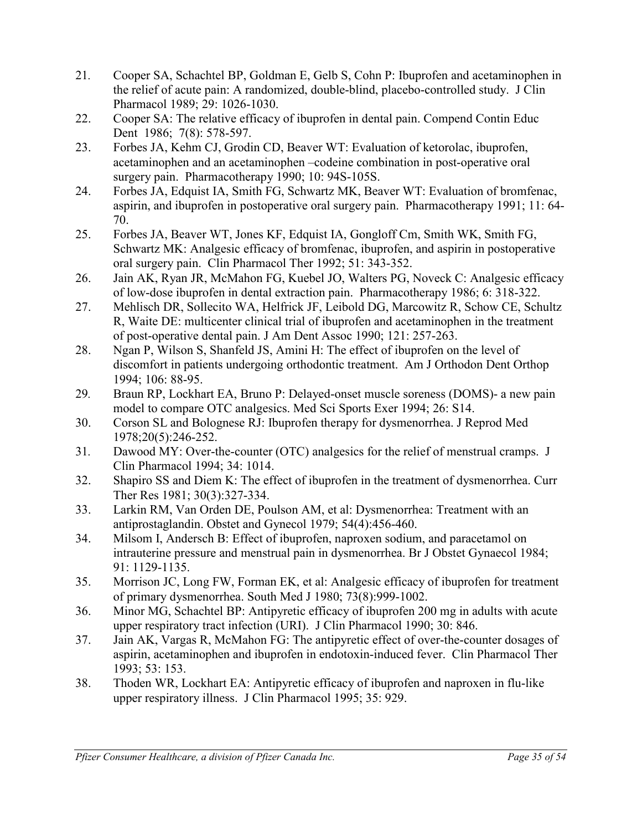- 21*.* Cooper SA, Schachtel BP, Goldman E, Gelb S, Cohn P: Ibuprofen and acetaminophen in the relief of acute pain: A randomized, double-blind, placebo-controlled study. J Clin Pharmacol 1989; 29: 1026-1030.
- 22. Cooper SA: The relative efficacy of ibuprofen in dental pain. Compend Contin Educ Dent 1986; 7(8): 578-597.
- 23. Forbes JA, Kehm CJ, Grodin CD, Beaver WT: Evaluation of ketorolac, ibuprofen, acetaminophen and an acetaminophen –codeine combination in post-operative oral surgery pain. Pharmacotherapy 1990; 10: 94S-105S.
- 24. Forbes JA, Edquist IA, Smith FG, Schwartz MK, Beaver WT: Evaluation of bromfenac, aspirin, and ibuprofen in postoperative oral surgery pain. Pharmacotherapy 1991; 11: 64- 70.
- 25. Forbes JA, Beaver WT, Jones KF, Edquist IA, Gongloff Cm, Smith WK, Smith FG, Schwartz MK: Analgesic efficacy of bromfenac, ibuprofen, and aspirin in postoperative oral surgery pain. Clin Pharmacol Ther 1992; 51: 343-352.
- 26. Jain AK, Ryan JR, McMahon FG, Kuebel JO, Walters PG, Noveck C: Analgesic efficacy of low-dose ibuprofen in dental extraction pain. Pharmacotherapy 1986; 6: 318-322.
- 27. Mehlisch DR, Sollecito WA, Helfrick JF, Leibold DG, Marcowitz R, Schow CE, Schultz R, Waite DE: multicenter clinical trial of ibuprofen and acetaminophen in the treatment of post-operative dental pain. J Am Dent Assoc 1990; 121: 257-263.
- 28. Ngan P, Wilson S, Shanfeld JS, Amini H: The effect of ibuprofen on the level of discomfort in patients undergoing orthodontic treatment. Am J Orthodon Dent Orthop 1994; 106: 88-95.
- 29*.* Braun RP, Lockhart EA, Bruno P: Delayed-onset muscle soreness (DOMS)- a new pain model to compare OTC analgesics. Med Sci Sports Exer 1994; 26: S14.
- 30. Corson SL and Bolognese RJ: Ibuprofen therapy for dysmenorrhea. J Reprod Med 1978;20(5):246-252.
- 31*.* Dawood MY: Over-the-counter (OTC) analgesics for the relief of menstrual cramps. J Clin Pharmacol 1994; 34: 1014.
- 32. Shapiro SS and Diem K: The effect of ibuprofen in the treatment of dysmenorrhea. Curr Ther Res 1981; 30(3):327-334.
- 33. Larkin RM, Van Orden DE, Poulson AM, et al: Dysmenorrhea: Treatment with an antiprostaglandin. Obstet and Gynecol 1979; 54(4):456-460.
- 34. Milsom I, Andersch B: Effect of ibuprofen, naproxen sodium, and paracetamol on intrauterine pressure and menstrual pain in dysmenorrhea. Br J Obstet Gynaecol 1984; 91: 1129-1135.
- 35. Morrison JC, Long FW, Forman EK, et al: Analgesic efficacy of ibuprofen for treatment of primary dysmenorrhea. South Med J 1980; 73(8):999-1002.
- 36. Minor MG, Schachtel BP: Antipyretic efficacy of ibuprofen 200 mg in adults with acute upper respiratory tract infection (URI). J Clin Pharmacol 1990; 30: 846.
- 37. Jain AK, Vargas R, McMahon FG: The antipyretic effect of over-the-counter dosages of aspirin, acetaminophen and ibuprofen in endotoxin-induced fever. Clin Pharmacol Ther 1993; 53: 153.
- 38. Thoden WR, Lockhart EA: Antipyretic efficacy of ibuprofen and naproxen in flu-like upper respiratory illness. J Clin Pharmacol 1995; 35: 929.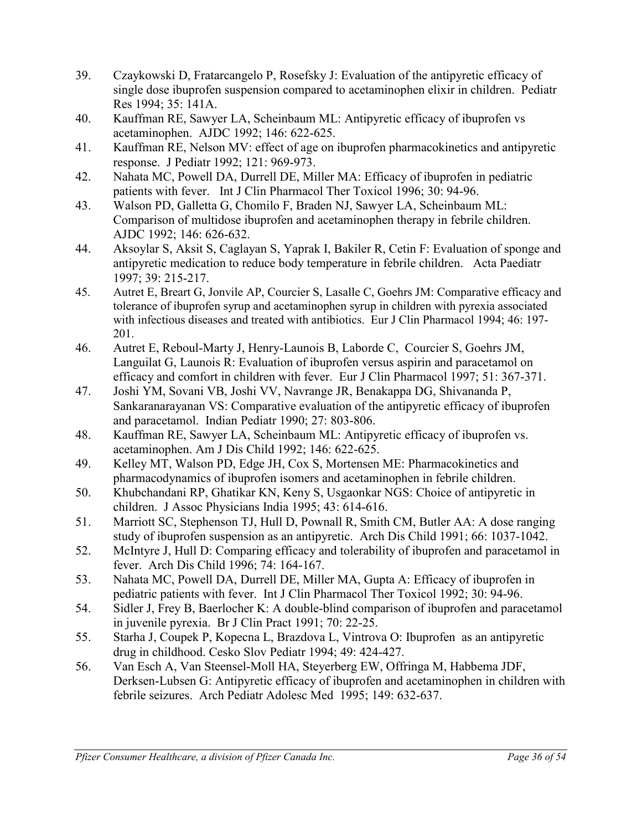- 39. Czaykowski D, Fratarcangelo P, Rosefsky J: Evaluation of the antipyretic efficacy of single dose ibuprofen suspension compared to acetaminophen elixir in children. Pediatr Res 1994; 35: 141A.
- 40. Kauffman RE, Sawyer LA, Scheinbaum ML: Antipyretic efficacy of ibuprofen vs acetaminophen. AJDC 1992; 146: 622-625.
- 41. Kauffman RE, Nelson MV: effect of age on ibuprofen pharmacokinetics and antipyretic response. J Pediatr 1992; 121: 969-973.
- 42. Nahata MC, Powell DA, Durrell DE, Miller MA: Efficacy of ibuprofen in pediatric patients with fever. Int J Clin Pharmacol Ther Toxicol 1996; 30: 94-96.
- 43. Walson PD, Galletta G, Chomilo F, Braden NJ, Sawyer LA, Scheinbaum ML: Comparison of multidose ibuprofen and acetaminophen therapy in febrile children. AJDC 1992; 146: 626-632.
- 44. Aksoylar S, Aksit S, Caglayan S, Yaprak I, Bakiler R, Cetin F: Evaluation of sponge and antipyretic medication to reduce body temperature in febrile children. Acta Paediatr 1997; 39: 215-217.
- 45. Autret E, Breart G, Jonvile AP, Courcier S, Lasalle C, Goehrs JM: Comparative efficacy and tolerance of ibuprofen syrup and acetaminophen syrup in children with pyrexia associated with infectious diseases and treated with antibiotics. Eur J Clin Pharmacol 1994; 46: 197- 201.
- 46. Autret E, Reboul-Marty J, Henry-Launois B, Laborde C, Courcier S, Goehrs JM, Languilat G, Launois R: Evaluation of ibuprofen versus aspirin and paracetamol on efficacy and comfort in children with fever. Eur J Clin Pharmacol 1997; 51: 367-371.
- 47. Joshi YM, Sovani VB, Joshi VV, Navrange JR, Benakappa DG, Shivananda P, Sankaranarayanan VS: Comparative evaluation of the antipyretic efficacy of ibuprofen and paracetamol. Indian Pediatr 1990; 27: 803-806.
- 48. Kauffman RE, Sawyer LA, Scheinbaum ML: Antipyretic efficacy of ibuprofen vs. acetaminophen. Am J Dis Child 1992; 146: 622-625.
- 49. Kelley MT, Walson PD, Edge JH, Cox S, Mortensen ME: Pharmacokinetics and pharmacodynamics of ibuprofen isomers and acetaminophen in febrile children.
- 50. Khubchandani RP, Ghatikar KN, Keny S, Usgaonkar NGS: Choice of antipyretic in children. J Assoc Physicians India 1995; 43: 614-616.
- 51. Marriott SC, Stephenson TJ, Hull D, Pownall R, Smith CM, Butler AA: A dose ranging study of ibuprofen suspension as an antipyretic. Arch Dis Child 1991; 66: 1037-1042.
- 52. McIntyre J, Hull D: Comparing efficacy and tolerability of ibuprofen and paracetamol in fever. Arch Dis Child 1996; 74: 164-167.
- 53. Nahata MC, Powell DA, Durrell DE, Miller MA, Gupta A: Efficacy of ibuprofen in pediatric patients with fever. Int J Clin Pharmacol Ther Toxicol 1992; 30: 94-96.
- 54. Sidler J, Frey B, Baerlocher K: A double-blind comparison of ibuprofen and paracetamol in juvenile pyrexia. Br J Clin Pract 1991; 70: 22-25.
- 55. Starha J, Coupek P, Kopecna L, Brazdova L, Vintrova O: Ibuprofen as an antipyretic drug in childhood. Cesko Slov Pediatr 1994; 49: 424-427.
- 56. Van Esch A, Van Steensel-Moll HA, Steyerberg EW, Offringa M, Habbema JDF, Derksen-Lubsen G: Antipyretic efficacy of ibuprofen and acetaminophen in children with febrile seizures. Arch Pediatr Adolesc Med 1995; 149: 632-637.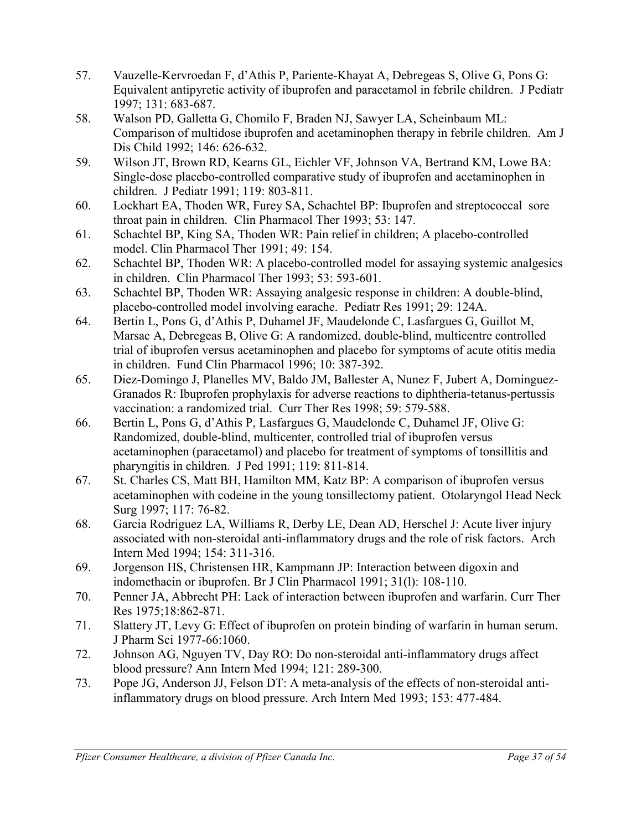- 57. Vauzelle-Kervroedan F, d'Athis P, Pariente-Khayat A, Debregeas S, Olive G, Pons G: Equivalent antipyretic activity of ibuprofen and paracetamol in febrile children. J Pediatr 1997; 131: 683-687.
- 58. Walson PD, Galletta G, Chomilo F, Braden NJ, Sawyer LA, Scheinbaum ML: Comparison of multidose ibuprofen and acetaminophen therapy in febrile children. Am J Dis Child 1992; 146: 626-632.
- 59. Wilson JT, Brown RD, Kearns GL, Eichler VF, Johnson VA, Bertrand KM, Lowe BA: Single-dose placebo-controlled comparative study of ibuprofen and acetaminophen in children. J Pediatr 1991; 119: 803-811.
- 60. Lockhart EA, Thoden WR, Furey SA, Schachtel BP: Ibuprofen and streptococcal sore throat pain in children. Clin Pharmacol Ther 1993; 53: 147.
- 61. Schachtel BP, King SA, Thoden WR: Pain relief in children; A placebo-controlled model. Clin Pharmacol Ther 1991; 49: 154.
- 62. Schachtel BP, Thoden WR: A placebo-controlled model for assaying systemic analgesics in children. Clin Pharmacol Ther 1993; 53: 593-601.
- 63. Schachtel BP, Thoden WR: Assaying analgesic response in children: A double-blind, placebo-controlled model involving earache. Pediatr Res 1991; 29: 124A.
- 64. Bertin L, Pons G, d'Athis P, Duhamel JF, Maudelonde C, Lasfargues G, Guillot M, Marsac A, Debregeas B, Olive G: A randomized, double-blind, multicentre controlled trial of ibuprofen versus acetaminophen and placebo for symptoms of acute otitis media in children. Fund Clin Pharmacol 1996; 10: 387-392.
- 65. Diez-Domingo J, Planelles MV, Baldo JM, Ballester A, Nunez F, Jubert A, Dominguez-Granados R: Ibuprofen prophylaxis for adverse reactions to diphtheria-tetanus-pertussis vaccination: a randomized trial. Curr Ther Res 1998; 59: 579-588.
- 66. Bertin L, Pons G, d'Athis P, Lasfargues G, Maudelonde C, Duhamel JF, Olive G: Randomized, double-blind, multicenter, controlled trial of ibuprofen versus acetaminophen (paracetamol) and placebo for treatment of symptoms of tonsillitis and pharyngitis in children. J Ped 1991; 119: 811-814.
- 67. St. Charles CS, Matt BH, Hamilton MM, Katz BP: A comparison of ibuprofen versus acetaminophen with codeine in the young tonsillectomy patient. Otolaryngol Head Neck Surg 1997; 117: 76-82.
- 68. Garcia Rodriguez LA, Williams R, Derby LE, Dean AD, Herschel J: Acute liver injury associated with non-steroidal anti-inflammatory drugs and the role of risk factors. Arch Intern Med 1994; 154: 311-316.
- 69. Jorgenson HS, Christensen HR, Kampmann JP: Interaction between digoxin and indomethacin or ibuprofen. Br J Clin Pharmacol 1991; 31(l): 108-110.
- 70. Penner JA, Abbrecht PH: Lack of interaction between ibuprofen and warfarin. Curr Ther Res 1975;18:862-871.
- 71. Slattery JT, Levy G: Effect of ibuprofen on protein binding of warfarin in human serum. J Pharm Sci 1977-66:1060.
- 72. Johnson AG, Nguyen TV, Day RO: Do non-steroidal anti-inflammatory drugs affect blood pressure? Ann Intern Med 1994; 121: 289-300.
- 73. Pope JG, Anderson JJ, Felson DT: A meta-analysis of the effects of non-steroidal antiinflammatory drugs on blood pressure. Arch Intern Med 1993; 153: 477-484.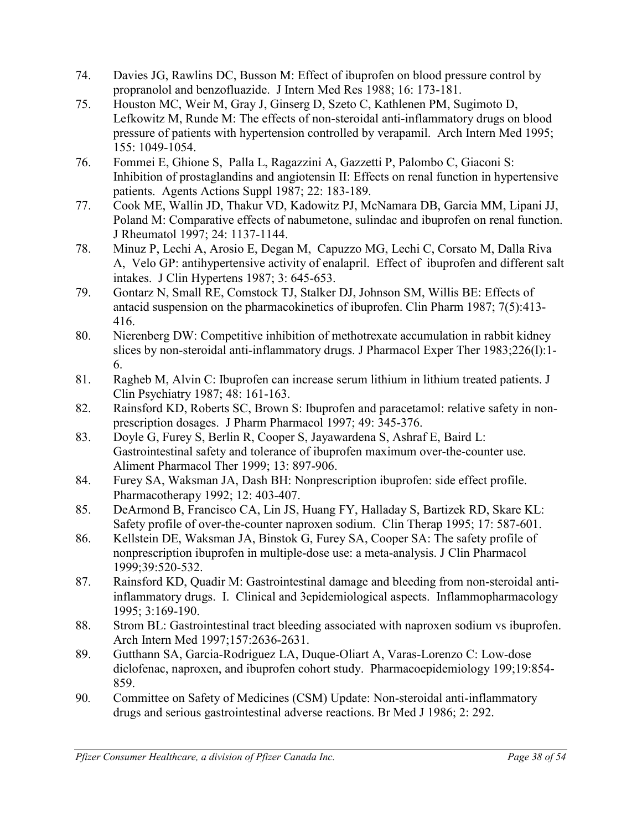- 74. Davies JG, Rawlins DC, Busson M: Effect of ibuprofen on blood pressure control by propranolol and benzofluazide. J Intern Med Res 1988; 16: 173-181.
- 75. Houston MC, Weir M, Gray J, Ginserg D, Szeto C, Kathlenen PM, Sugimoto D, Lefkowitz M, Runde M: The effects of non-steroidal anti-inflammatory drugs on blood pressure of patients with hypertension controlled by verapamil. Arch Intern Med 1995; 155: 1049-1054.
- 76. Fommei E, Ghione S, Palla L, Ragazzini A, Gazzetti P, Palombo C, Giaconi S: Inhibition of prostaglandins and angiotensin II: Effects on renal function in hypertensive patients. Agents Actions Suppl 1987; 22: 183-189.
- 77. Cook ME, Wallin JD, Thakur VD, Kadowitz PJ, McNamara DB, Garcia MM, Lipani JJ, Poland M: Comparative effects of nabumetone, sulindac and ibuprofen on renal function. J Rheumatol 1997; 24: 1137-1144.
- 78. Minuz P, Lechi A, Arosio E, Degan M, Capuzzo MG, Lechi C, Corsato M, Dalla Riva A, Velo GP: antihypertensive activity of enalapril. Effect of ibuprofen and different salt intakes. J Clin Hypertens 1987; 3: 645-653.
- 79. Gontarz N, Small RE, Comstock TJ, Stalker DJ, Johnson SM, Willis BE: Effects of antacid suspension on the pharmacokinetics of ibuprofen. Clin Pharm 1987; 7(5):413- 416.
- 80. Nierenberg DW: Competitive inhibition of methotrexate accumulation in rabbit kidney slices by non-steroidal anti-inflammatory drugs. J Pharmacol Exper Ther 1983;226(l):1- 6.
- 81. Ragheb M, Alvin C: Ibuprofen can increase serum lithium in lithium treated patients. J Clin Psychiatry 1987; 48: 161-163.
- 82. Rainsford KD, Roberts SC, Brown S: Ibuprofen and paracetamol: relative safety in nonprescription dosages. J Pharm Pharmacol 1997; 49: 345-376.
- 83. Doyle G, Furey S, Berlin R, Cooper S, Jayawardena S, Ashraf E, Baird L: Gastrointestinal safety and tolerance of ibuprofen maximum over-the-counter use. Aliment Pharmacol Ther 1999; 13: 897-906.
- 84. Furey SA, Waksman JA, Dash BH: Nonprescription ibuprofen: side effect profile. Pharmacotherapy 1992; 12: 403-407.
- 85. DeArmond B, Francisco CA, Lin JS, Huang FY, Halladay S, Bartizek RD, Skare KL: Safety profile of over-the-counter naproxen sodium. Clin Therap 1995; 17: 587-601.
- 86. Kellstein DE, Waksman JA, Binstok G, Furey SA, Cooper SA: The safety profile of nonprescription ibuprofen in multiple-dose use: a meta-analysis. J Clin Pharmacol 1999;39:520-532.
- 87. Rainsford KD, Quadir M: Gastrointestinal damage and bleeding from non-steroidal antiinflammatory drugs. I. Clinical and 3epidemiological aspects. Inflammopharmacology 1995; 3:169-190.
- 88. Strom BL: Gastrointestinal tract bleeding associated with naproxen sodium vs ibuprofen. Arch Intern Med 1997;157:2636-2631.
- 89. Gutthann SA, Garcia-Rodriguez LA, Duque-Oliart A, Varas-Lorenzo C: Low-dose diclofenac, naproxen, and ibuprofen cohort study. Pharmacoepidemiology 199;19:854- 859.
- 90*.* Committee on Safety of Medicines (CSM) Update: Non-steroidal anti-inflammatory drugs and serious gastrointestinal adverse reactions. Br Med J 1986; 2: 292.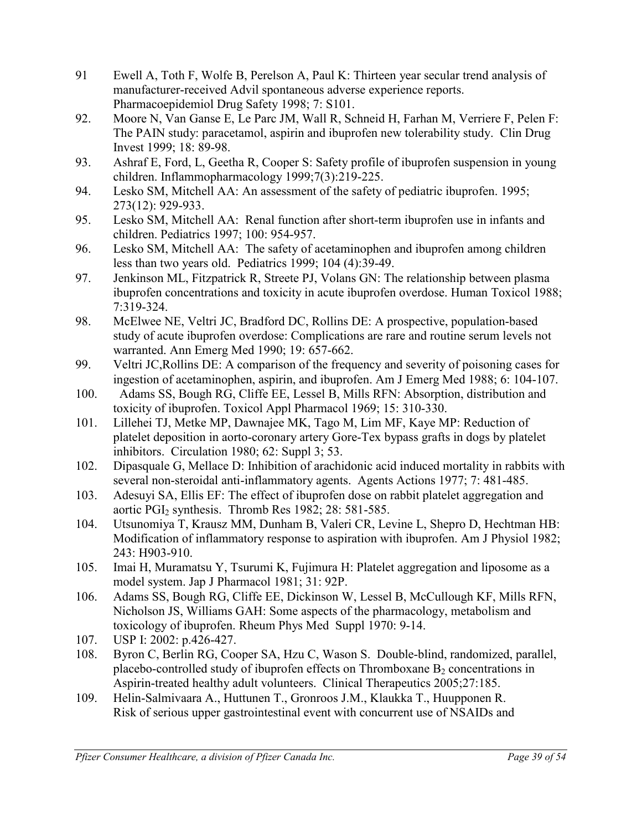- 91 Ewell A, Toth F, Wolfe B, Perelson A, Paul K: Thirteen year secular trend analysis of manufacturer-received Advil spontaneous adverse experience reports. Pharmacoepidemiol Drug Safety 1998; 7: S101.
- 92. Moore N, Van Ganse E, Le Parc JM, Wall R, Schneid H, Farhan M, Verriere F, Pelen F: The PAIN study: paracetamol, aspirin and ibuprofen new tolerability study. Clin Drug Invest 1999; 18: 89-98.
- 93. Ashraf E, Ford, L, Geetha R, Cooper S: Safety profile of ibuprofen suspension in young children. Inflammopharmacology 1999;7(3):219-225.
- 94. Lesko SM, Mitchell AA: An assessment of the safety of pediatric ibuprofen. 1995; 273(12): 929-933.
- 95. Lesko SM, Mitchell AA: Renal function after short-term ibuprofen use in infants and children. Pediatrics 1997; 100: 954-957.
- 96. Lesko SM, Mitchell AA: The safety of acetaminophen and ibuprofen among children less than two years old. Pediatrics 1999; 104 (4):39-49.
- 97. Jenkinson ML, Fitzpatrick R, Streete PJ, Volans GN: The relationship between plasma ibuprofen concentrations and toxicity in acute ibuprofen overdose. Human Toxicol 1988; 7:319-324.
- 98. McElwee NE, Veltri JC, Bradford DC, Rollins DE: A prospective, population-based study of acute ibuprofen overdose: Complications are rare and routine serum levels not warranted. Ann Emerg Med 1990; 19: 657-662.
- 99. Veltri JC,Rollins DE: A comparison of the frequency and severity of poisoning cases for ingestion of acetaminophen, aspirin, and ibuprofen. Am J Emerg Med 1988; 6: 104-107.
- 100. Adams SS, Bough RG, Cliffe EE, Lessel B, Mills RFN: Absorption, distribution and toxicity of ibuprofen. Toxicol Appl Pharmacol 1969; 15: 310-330.
- 101. Lillehei TJ, Metke MP, Dawnajee MK, Tago M, Lim MF, Kaye MP: Reduction of platelet deposition in aorto-coronary artery Gore-Tex bypass grafts in dogs by platelet inhibitors. Circulation 1980; 62: Suppl 3; 53.
- 102. Dipasquale G, Mellace D: Inhibition of arachidonic acid induced mortality in rabbits with several non-steroidal anti-inflammatory agents. Agents Actions 1977; 7: 481-485.
- 103. Adesuyi SA, Ellis EF: The effect of ibuprofen dose on rabbit platelet aggregation and aortic PGI<sub>2</sub> synthesis. Thromb Res 1982; 28: 581-585.
- 104. Utsunomiya T, Krausz MM, Dunham B, Valeri CR, Levine L, Shepro D, Hechtman HB: Modification of inflammatory response to aspiration with ibuprofen. Am J Physiol 1982; 243: H903-910.
- 105. Imai H, Muramatsu Y, Tsurumi K, Fujimura H: Platelet aggregation and liposome as a model system. Jap J Pharmacol 1981; 31: 92P.
- 106. Adams SS, Bough RG, Cliffe EE, Dickinson W, Lessel B, McCullough KF, Mills RFN, Nicholson JS, Williams GAH: Some aspects of the pharmacology, metabolism and toxicology of ibuprofen. Rheum Phys Med Suppl 1970: 9-14.
- 107. USP I: 2002: p.426-427.
- 108. Byron C, Berlin RG, Cooper SA, Hzu C, Wason S. Double-blind, randomized, parallel, placebo-controlled study of ibuprofen effects on Thromboxane  $B_2$  concentrations in Aspirin-treated healthy adult volunteers. Clinical Therapeutics 2005;27:185.
- 109. Helin-Salmivaara A., Huttunen T., Gronroos J.M., Klaukka T., Huupponen R. Risk of serious upper gastrointestinal event with concurrent use of NSAIDs and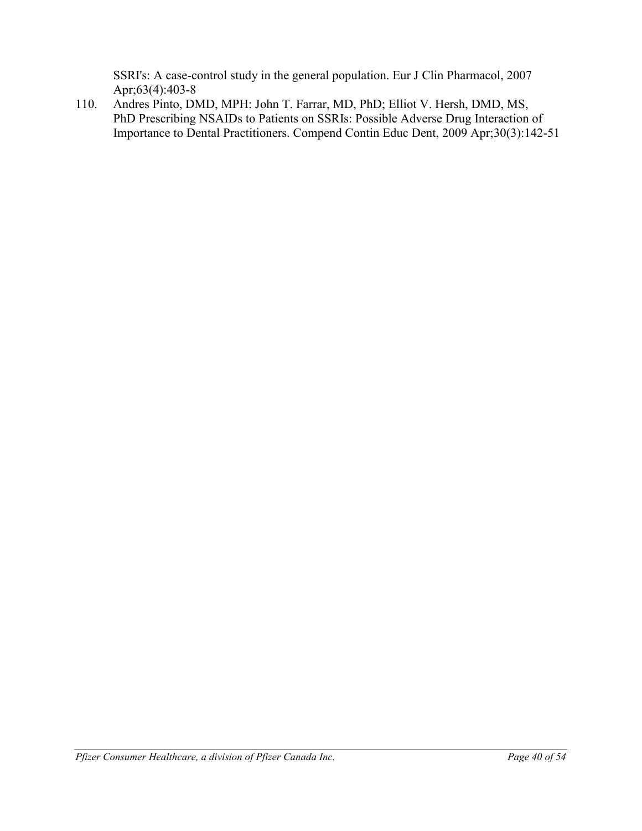SSRI's: A case-control study in the general population. Eur J Clin Pharmacol, 2007 Apr;63(4):403-8

110. Andres Pinto, DMD, MPH: John T. Farrar, MD, PhD; Elliot V. Hersh, DMD, MS, PhD Prescribing NSAIDs to Patients on SSRIs: Possible Adverse Drug Interaction of Importance to Dental Practitioners. Compend Contin Educ Dent, 2009 Apr;30(3):142-51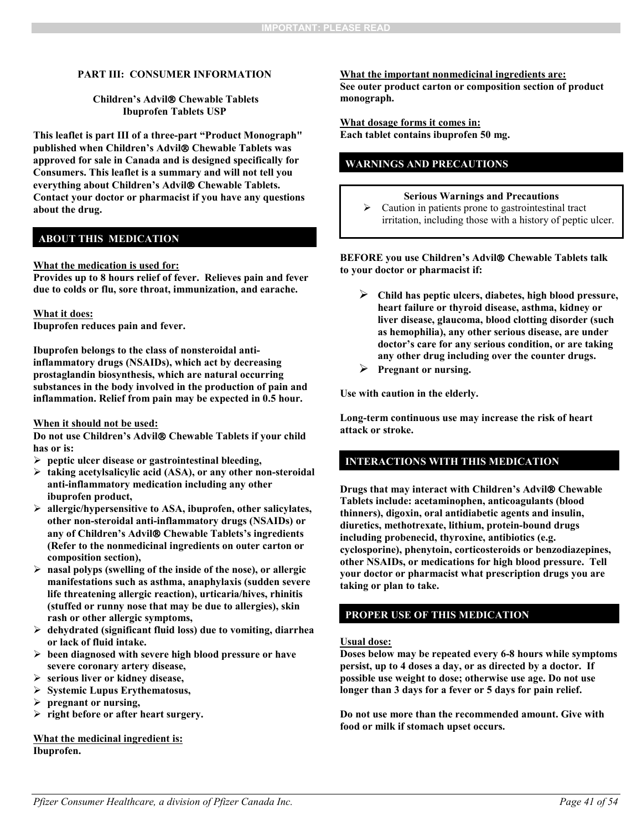#### **PART III: CONSUMER INFORMATION**

#### **Children's Advil Chewable Tablets Ibuprofen Tablets USP**

**This leaflet is part III of a three-part "Product Monograph" published when Children's Advil Chewable Tablets was approved for sale in Canada and is designed specifically for Consumers. This leaflet is a summary and will not tell you everything about Children's Advil Chewable Tablets. Contact your doctor or pharmacist if you have any questions about the drug.** 

### **ABOUT THIS MEDICATION**

#### **What the medication is used for:**

**Provides up to 8 hours relief of fever. Relieves pain and fever due to colds or flu, sore throat, immunization, and earache.** 

#### **What it does:**

**Ibuprofen reduces pain and fever.**

**Ibuprofen belongs to the class of nonsteroidal antiinflammatory drugs (NSAIDs), which act by decreasing prostaglandin biosynthesis, which are natural occurring substances in the body involved in the production of pain and inflammation. Relief from pain may be expected in 0.5 hour.**

#### **When it should not be used:**

**Do not use Children's Advil Chewable Tablets if your child has or is:**

- **peptic ulcer disease or gastrointestinal bleeding,**
- **taking acetylsalicylic acid (ASA), or any other non-steroidal anti-inflammatory medication including any other ibuprofen product,**
- **allergic/hypersensitive to ASA, ibuprofen, other salicylates, other non-steroidal anti-inflammatory drugs (NSAIDs) or any of Children's Advil Chewable Tablets's ingredients (Refer to the nonmedicinal ingredients on outer carton or composition section),**
- **nasal polyps (swelling of the inside of the nose), or allergic manifestations such as asthma, anaphylaxis (sudden severe life threatening allergic reaction), urticaria/hives, rhinitis (stuffed or runny nose that may be due to allergies), skin rash or other allergic symptoms,**
- **dehydrated (significant fluid loss) due to vomiting, diarrhea or lack of fluid intake.**
- **been diagnosed with severe high blood pressure or have severe coronary artery disease,**
- **serious liver or kidney disease,**
- **Systemic Lupus Erythematosus,**
- **pregnant or nursing,**
- **right before or after heart surgery.**

**What the medicinal ingredient is: Ibuprofen.**

**What the important nonmedicinal ingredients are: See outer product carton or composition section of product monograph.**

**What dosage forms it comes in: Each tablet contains ibuprofen 50 mg.**

### **WARNINGS AND PRECAUTIONS**

#### **Serious Warnings and Precautions**

 $\triangleright$  Caution in patients prone to gastrointestinal tract irritation, including those with a history of peptic ulcer.

#### **BEFORE you use Children's Advil Chewable Tablets talk to your doctor or pharmacist if:**

- **Child has peptic ulcers, diabetes, high blood pressure, heart failure or thyroid disease, asthma, kidney or liver disease, glaucoma, blood clotting disorder (such as hemophilia), any other serious disease, are under doctor's care for any serious condition, or are taking any other drug including over the counter drugs.**
- **Pregnant or nursing.**

**Use with caution in the elderly.**

**Long-term continuous use may increase the risk of heart attack or stroke.** 

### **INTERACTIONS WITH THIS MEDICATION**

**Drugs that may interact with Children's Advil Chewable Tablets include: acetaminophen, anticoagulants (blood thinners), digoxin, oral antidiabetic agents and insulin, diuretics, methotrexate, lithium, protein-bound drugs including probenecid, thyroxine, antibiotics (e.g. cyclosporine), phenytoin, corticosteroids or benzodiazepines, other NSAIDs, or medications for high blood pressure. Tell your doctor or pharmacist what prescription drugs you are taking or plan to take.**

### **PROPER USE OF THIS MEDICATION**

#### **Usual dose:**

**Doses below may be repeated every 6-8 hours while symptoms persist, up to 4 doses a day, or as directed by a doctor. If possible use weight to dose; otherwise use age. Do not use longer than 3 days for a fever or 5 days for pain relief.** 

**Do not use more than the recommended amount. Give with food or milk if stomach upset occurs.**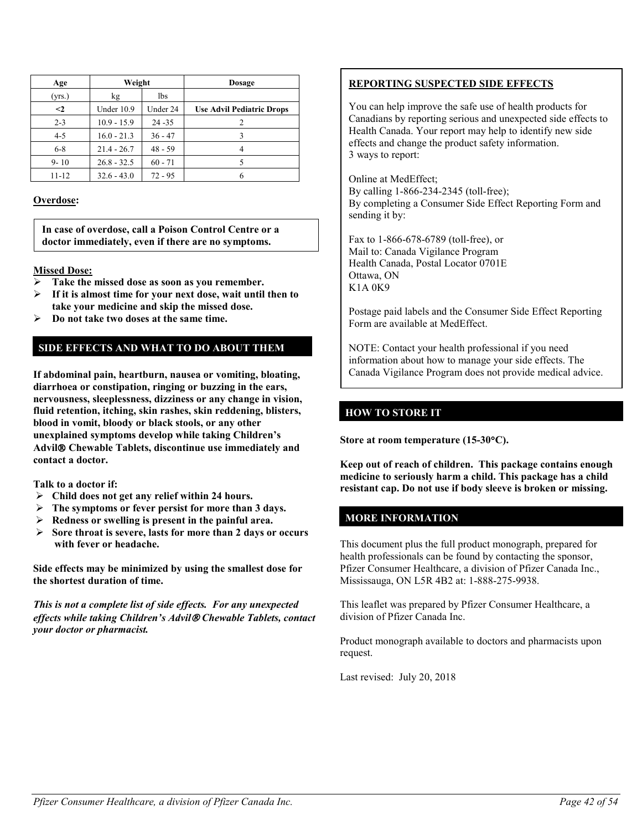| Age      | Weight        |           | <b>Dosage</b>                    |
|----------|---------------|-----------|----------------------------------|
| (yrs.)   | kg            | 1bs       |                                  |
| $\leq$ 2 | Under 10.9    | Under 24  | <b>Use Advil Pediatric Drops</b> |
| $2 - 3$  | $10.9 - 15.9$ | $24 - 35$ | 2                                |
| $4 - 5$  | $16.0 - 21.3$ | $36 - 47$ |                                  |
| $6 - 8$  | $21.4 - 26.7$ | $48 - 59$ |                                  |
| $9 - 10$ | $26.8 - 32.5$ | $60 - 71$ |                                  |
| 11-12    | $32.6 - 43.0$ | $72 - 95$ |                                  |

### **Overdose:**

**In case of overdose, call a Poison Control Centre or a doctor immediately, even if there are no symptoms.**

#### **Missed Dose:**

- **Take the missed dose as soon as you remember.**
- **If it is almost time for your next dose, wait until then to take your medicine and skip the missed dose.**
- **Do not take two doses at the same time.**

### **SIDE EFFECTS AND WHAT TO DO ABOUT THEM**

**If abdominal pain, heartburn, nausea or vomiting, bloating, diarrhoea or constipation, ringing or buzzing in the ears, nervousness, sleeplessness, dizziness or any change in vision, fluid retention, itching, skin rashes, skin reddening, blisters, blood in vomit, bloody or black stools, or any other unexplained symptoms develop while taking Children's Advil Chewable Tablets, discontinue use immediately and contact a doctor.** 

**Talk to a doctor if:**

- **Child does not get any relief within 24 hours.**
- **The symptoms or fever persist for more than 3 days.**
- **Redness or swelling is present in the painful area.**
- **Sore throat is severe, lasts for more than 2 days or occurs with fever or headache.**

**Side effects may be minimized by using the smallest dose for the shortest duration of time.**

*This is not a complete list of side effects. For any unexpected effects while taking Children's Advil Chewable Tablets, contact your doctor or pharmacist.*

### **REPORTING SUSPECTED SIDE EFFECTS**

You can help improve the safe use of health products for Canadians by reporting serious and unexpected side effects to Health Canada. Your report may help to identify new side effects and change the product safety information. 3 ways to report:

Online at MedEffect; By calling 1-866-234-2345 (toll-free); By completing a Consumer Side Effect Reporting Form and sending it by:

Fax to 1-866-678-6789 (toll-free), or Mail to: Canada Vigilance Program Health Canada, Postal Locator 0701E Ottawa, ON K1A 0K9

Postage paid labels and the Consumer Side Effect Reporting Form are available at MedEffect.

NOTE: Contact your health professional if you need information about how to manage your side effects. The Canada Vigilance Program does not provide medical advice.

### **HOW TO STORE IT**

**Store at room temperature (15-30**°**C).**

**Keep out of reach of children. This package contains enough medicine to seriously harm a child. This package has a child resistant cap. Do not use if body sleeve is broken or missing.** 

### **MORE INFORMATION**

This document plus the full product monograph, prepared for health professionals can be found by contacting the sponsor, Pfizer Consumer Healthcare, a division of Pfizer Canada Inc., Mississauga, ON L5R 4B2 at: 1-888-275-9938.

This leaflet was prepared by Pfizer Consumer Healthcare, a division of Pfizer Canada Inc.

Product monograph available to doctors and pharmacists upon request.

Last revised: July 20, 2018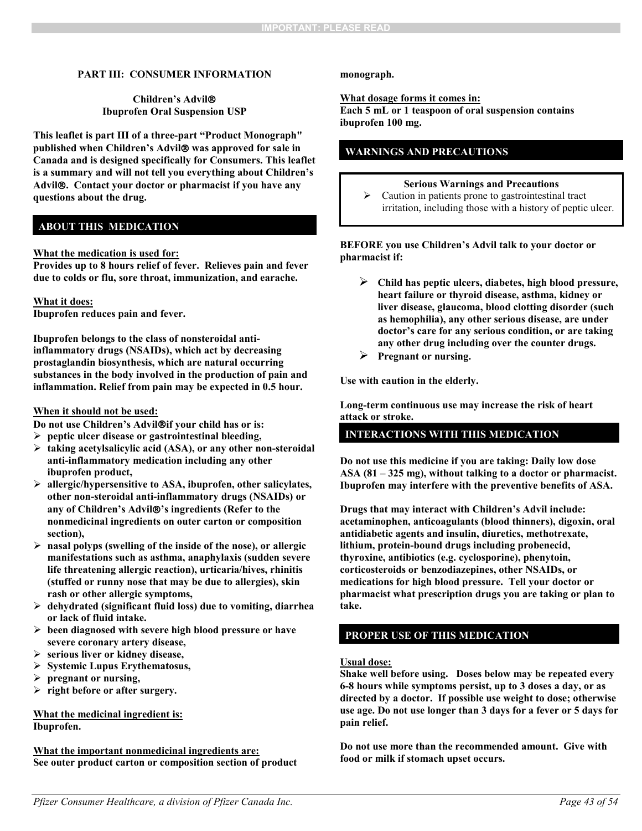### **PART III: CONSUMER INFORMATION**

#### **Children's Advil Ibuprofen Oral Suspension USP**

**This leaflet is part III of a three-part "Product Monograph" published when Children's Advil was approved for sale in Canada and is designed specifically for Consumers. This leaflet is a summary and will not tell you everything about Children's Advil. Contact your doctor or pharmacist if you have any questions about the drug.** 

### **ABOUT THIS MEDICATION**

#### **What the medication is used for:**

**Provides up to 8 hours relief of fever. Relieves pain and fever due to colds or flu, sore throat, immunization, and earache.**

#### **What it does:**

**Ibuprofen reduces pain and fever.**

**Ibuprofen belongs to the class of nonsteroidal antiinflammatory drugs (NSAIDs), which act by decreasing prostaglandin biosynthesis, which are natural occurring substances in the body involved in the production of pain and inflammation. Relief from pain may be expected in 0.5 hour.**

#### **When it should not be used:**

**Do not use Children's Advilif your child has or is:**

- **peptic ulcer disease or gastrointestinal bleeding,**
- **taking acetylsalicylic acid (ASA), or any other non-steroidal anti-inflammatory medication including any other ibuprofen product,**
- **allergic/hypersensitive to ASA, ibuprofen, other salicylates, other non-steroidal anti-inflammatory drugs (NSAIDs) or any of Children's Advil's ingredients (Refer to the nonmedicinal ingredients on outer carton or composition section),**
- **nasal polyps (swelling of the inside of the nose), or allergic manifestations such as asthma, anaphylaxis (sudden severe life threatening allergic reaction), urticaria/hives, rhinitis (stuffed or runny nose that may be due to allergies), skin rash or other allergic symptoms,**
- **dehydrated (significant fluid loss) due to vomiting, diarrhea or lack of fluid intake.**
- **been diagnosed with severe high blood pressure or have severe coronary artery disease,**
- **serious liver or kidney disease,**
- **Systemic Lupus Erythematosus,**
- **pregnant or nursing,**
- **right before or after surgery.**

### **What the medicinal ingredient is: Ibuprofen.**

**What the important nonmedicinal ingredients are: See outer product carton or composition section of product** 

#### <span id="page-42-0"></span>**monograph.**

#### **What dosage forms it comes in:**

**Each 5 mL or 1 teaspoon of oral suspension contains ibuprofen 100 mg.**

### **WARNINGS AND PRECAUTIONS**

#### **Serious Warnings and Precautions**

 $\triangleright$  Caution in patients prone to gastrointestinal tract irritation, including those with a history of peptic ulcer.

#### **BEFORE you use Children's Advil talk to your doctor or pharmacist if:**

- **Child has peptic ulcers, diabetes, high blood pressure, heart failure or thyroid disease, asthma, kidney or liver disease, glaucoma, blood clotting disorder (such as hemophilia), any other serious disease, are under doctor's care for any serious condition, or are taking any other drug including over the counter drugs.**
- **Pregnant or nursing.**

**Use with caution in the elderly.**

**Long-term continuous use may increase the risk of heart attack or stroke.** 

### **INTERACTIONS WITH THIS MEDICATION**

**Do not use this medicine if you are taking: Daily low dose ASA (81 – 325 mg), without talking to a doctor or pharmacist. Ibuprofen may interfere with the preventive benefits of ASA.**

**Drugs that may interact with Children's Advil include: acetaminophen, anticoagulants (blood thinners), digoxin, oral antidiabetic agents and insulin, diuretics, methotrexate, lithium, protein-bound drugs including probenecid, thyroxine, antibiotics (e.g. cyclosporine), phenytoin, corticosteroids or benzodiazepines, other NSAIDs, or medications for high blood pressure. Tell your doctor or pharmacist what prescription drugs you are taking or plan to take.**

### **PROPER USE OF THIS MEDICATION**

#### **Usual dose:**

**Shake well before using. Doses below may be repeated every 6-8 hours while symptoms persist, up to 3 doses a day, or as directed by a doctor. If possible use weight to dose; otherwise use age. Do not use longer than 3 days for a fever or 5 days for pain relief.**

**Do not use more than the recommended amount. Give with food or milk if stomach upset occurs.**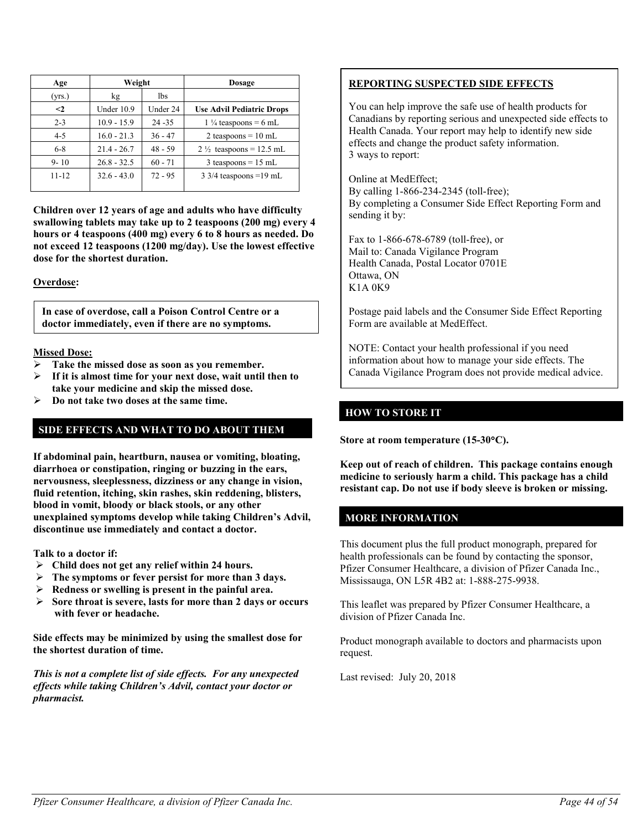| Age       | Weight        |           | <b>Dosage</b>                      |
|-----------|---------------|-----------|------------------------------------|
| (yrs.)    | kg            | lbs       |                                    |
| $\leq$    | Under 10.9    | Under 24  | <b>Use Advil Pediatric Drops</b>   |
| $2 - 3$   | $10.9 - 15.9$ | $24 - 35$ | $1\frac{1}{4}$ teaspoons = 6 mL    |
| $4 - 5$   | $16.0 - 21.3$ | $36 - 47$ | 2 teaspoons = $10$ mL              |
| $6 - 8$   | $21.4 - 26.7$ | $48 - 59$ | $2\frac{1}{2}$ teaspoons = 12.5 mL |
| $9 - 10$  | $26.8 - 32.5$ | $60 - 71$ | $3$ teaspoons = 15 mL              |
| $11 - 12$ | $32.6 - 43.0$ | $72 - 95$ | $3\frac{3}{4}$ teaspoons = 19 mL   |

**Children over 12 years of age and adults who have difficulty swallowing tablets may take up to 2 teaspoons (200 mg) every 4 hours or 4 teaspoons (400 mg) every 6 to 8 hours as needed. Do not exceed 12 teaspoons (1200 mg/day). Use the lowest effective dose for the shortest duration.**

**Overdose:**

**In case of overdose, call a Poison Control Centre or a doctor immediately, even if there are no symptoms.**

### **Missed Dose:**

- **Take the missed dose as soon as you remember.**
- **If it is almost time for your next dose, wait until then to take your medicine and skip the missed dose.**
- **Do not take two doses at the same time.**

### **SIDE EFFECTS AND WHAT TO DO ABOUT THEM**

**If abdominal pain, heartburn, nausea or vomiting, bloating, diarrhoea or constipation, ringing or buzzing in the ears, nervousness, sleeplessness, dizziness or any change in vision, fluid retention, itching, skin rashes, skin reddening, blisters, blood in vomit, bloody or black stools, or any other unexplained symptoms develop while taking Children's Advil, discontinue use immediately and contact a doctor.** 

**Talk to a doctor if:**

- **Child does not get any relief within 24 hours.**
- **The symptoms or fever persist for more than 3 days.**
- **Redness or swelling is present in the painful area.**
- **Sore throat is severe, lasts for more than 2 days or occurs with fever or headache.**

**Side effects may be minimized by using the smallest dose for the shortest duration of time.**

*This is not a complete list of side effects. For any unexpected effects while taking Children's Advil, contact your doctor or pharmacist.*

## **REPORTING SUSPECTED SIDE EFFECTS**

You can help improve the safe use of health products for Canadians by reporting serious and unexpected side effects to Health Canada. Your report may help to identify new side effects and change the product safety information. 3 ways to report:

Online at MedEffect; By calling 1-866-234-2345 (toll-free); By completing a Consumer Side Effect Reporting Form and sending it by:

Fax to 1-866-678-6789 (toll-free), or Mail to: Canada Vigilance Program Health Canada, Postal Locator 0701E Ottawa, ON K1A 0K9

Postage paid labels and the Consumer Side Effect Reporting Form are available at MedEffect.

NOTE: Contact your health professional if you need information about how to manage your side effects. The Canada Vigilance Program does not provide medical advice.

### **HOW TO STORE IT**

**Store at room temperature (15-30**°**C).**

**Keep out of reach of children. This package contains enough medicine to seriously harm a child. This package has a child resistant cap. Do not use if body sleeve is broken or missing.** 

### **MORE INFORMATION**

This document plus the full product monograph, prepared for health professionals can be found by contacting the sponsor, Pfizer Consumer Healthcare, a division of Pfizer Canada Inc., Mississauga, ON L5R 4B2 at: 1-888-275-9938.

This leaflet was prepared by Pfizer Consumer Healthcare, a division of Pfizer Canada Inc.

Product monograph available to doctors and pharmacists upon request.

Last revised: July 20, 2018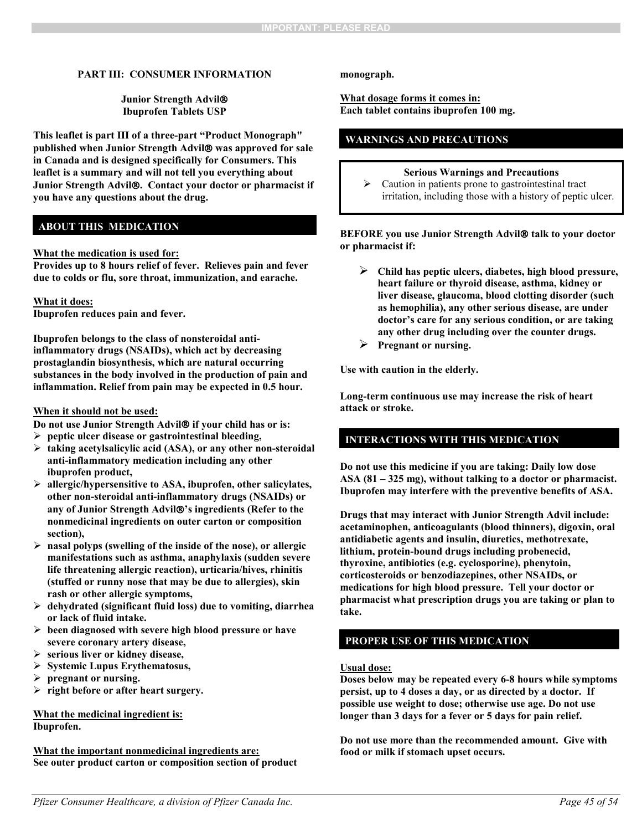### **PART III: CONSUMER INFORMATION**

**Junior Strength Advil Ibuprofen Tablets USP**

**This leaflet is part III of a three-part "Product Monograph" published when Junior Strength Advil was approved for sale in Canada and is designed specifically for Consumers. This leaflet is a summary and will not tell you everything about Junior Strength Advil. Contact your doctor or pharmacist if you have any questions about the drug.** 

### **ABOUT THIS MEDICATION**

#### **What the medication is used for:**

**Provides up to 8 hours relief of fever. Relieves pain and fever due to colds or flu, sore throat, immunization, and earache.** 

#### **What it does:**

**Ibuprofen reduces pain and fever.**

**Ibuprofen belongs to the class of nonsteroidal antiinflammatory drugs (NSAIDs), which act by decreasing prostaglandin biosynthesis, which are natural occurring substances in the body involved in the production of pain and inflammation. Relief from pain may be expected in 0.5 hour.**

#### **When it should not be used:**

**Do not use Junior Strength Advil if your child has or is:**

- **peptic ulcer disease or gastrointestinal bleeding,**
- **taking acetylsalicylic acid (ASA), or any other non-steroidal anti-inflammatory medication including any other ibuprofen product,**
- **allergic/hypersensitive to ASA, ibuprofen, other salicylates, other non-steroidal anti-inflammatory drugs (NSAIDs) or any of Junior Strength Advil's ingredients (Refer to the nonmedicinal ingredients on outer carton or composition section),**
- **nasal polyps (swelling of the inside of the nose), or allergic manifestations such as asthma, anaphylaxis (sudden severe life threatening allergic reaction), urticaria/hives, rhinitis (stuffed or runny nose that may be due to allergies), skin rash or other allergic symptoms,**
- **dehydrated (significant fluid loss) due to vomiting, diarrhea or lack of fluid intake.**
- **been diagnosed with severe high blood pressure or have severe coronary artery disease,**
- **serious liver or kidney disease,**
- **Systemic Lupus Erythematosus,**
- **pregnant or nursing.**
- **right before or after heart surgery.**

**What the medicinal ingredient is: Ibuprofen.**

**What the important nonmedicinal ingredients are: See outer product carton or composition section of product**  **monograph.**

**What dosage forms it comes in: Each tablet contains ibuprofen 100 mg.**

### **WARNINGS AND PRECAUTIONS**

- **Serious Warnings and Precautions**
- $\triangleright$  Caution in patients prone to gastrointestinal tract irritation, including those with a history of peptic ulcer.

#### **BEFORE** you use Junior Strength Advil<sup>®</sup> talk to your doctor **or pharmacist if:**

- **Child has peptic ulcers, diabetes, high blood pressure, heart failure or thyroid disease, asthma, kidney or liver disease, glaucoma, blood clotting disorder (such as hemophilia), any other serious disease, are under doctor's care for any serious condition, or are taking any other drug including over the counter drugs.**
- **Pregnant or nursing.**

**Use with caution in the elderly.**

**Long-term continuous use may increase the risk of heart attack or stroke.** 

### **INTERACTIONS WITH THIS MEDICATION**

**Do not use this medicine if you are taking: Daily low dose ASA (81 – 325 mg), without talking to a doctor or pharmacist. Ibuprofen may interfere with the preventive benefits of ASA.**

**Drugs that may interact with Junior Strength Advil include: acetaminophen, anticoagulants (blood thinners), digoxin, oral antidiabetic agents and insulin, diuretics, methotrexate, lithium, protein-bound drugs including probenecid, thyroxine, antibiotics (e.g. cyclosporine), phenytoin, corticosteroids or benzodiazepines, other NSAIDs, or medications for high blood pressure. Tell your doctor or pharmacist what prescription drugs you are taking or plan to take.**

### **PROPER USE OF THIS MEDICATION**

#### **Usual dose:**

**Doses below may be repeated every 6-8 hours while symptoms persist, up to 4 doses a day, or as directed by a doctor. If possible use weight to dose; otherwise use age. Do not use longer than 3 days for a fever or 5 days for pain relief.** 

**Do not use more than the recommended amount. Give with food or milk if stomach upset occurs.**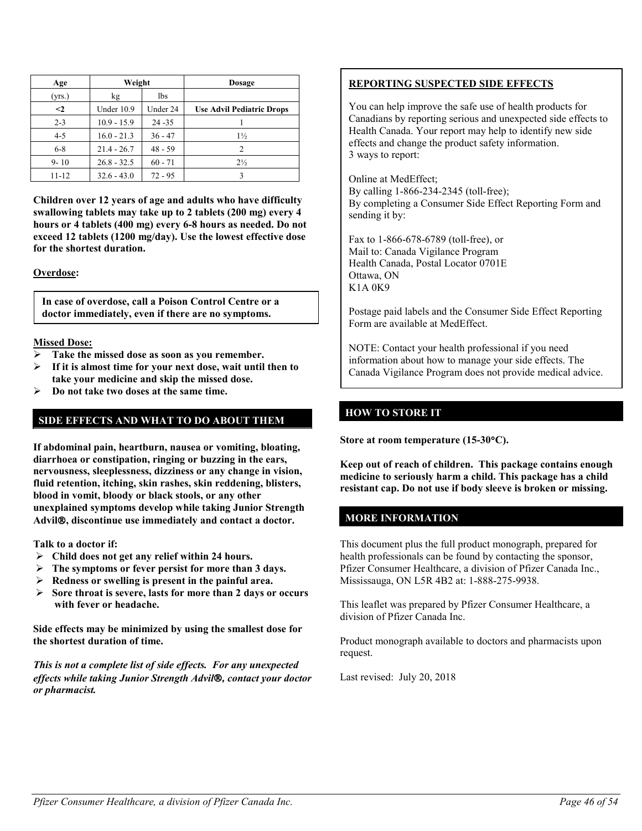| Age       | Weight        |           | <b>Dosage</b>                    |
|-----------|---------------|-----------|----------------------------------|
| (yrs.)    | kg            | 1bs       |                                  |
| $\leq$    | Under 10.9    | Under 24  | <b>Use Advil Pediatric Drops</b> |
| $2 - 3$   | $10.9 - 15.9$ | $24 - 35$ |                                  |
| $4 - 5$   | $16.0 - 21.3$ | $36 - 47$ | $1\frac{1}{2}$                   |
| $6 - 8$   | $21.4 - 26.7$ | $48 - 59$ | $\overline{c}$                   |
| $9 - 10$  | $26.8 - 32.5$ | $60 - 71$ | $2\frac{1}{2}$                   |
| $11 - 12$ | $32.6 - 43.0$ | $72 - 95$ |                                  |

**Children over 12 years of age and adults who have difficulty swallowing tablets may take up to 2 tablets (200 mg) every 4 hours or 4 tablets (400 mg) every 6-8 hours as needed. Do not exceed 12 tablets (1200 mg/day). Use the lowest effective dose for the shortest duration.**

#### **Overdose:**

**In case of overdose, call a Poison Control Centre or a doctor immediately, even if there are no symptoms.**

#### **Missed Dose:**

- **Take the missed dose as soon as you remember.**
- **If it is almost time for your next dose, wait until then to take your medicine and skip the missed dose.**
- **Do not take two doses at the same time.**

### **SIDE EFFECTS AND WHAT TO DO ABOUT THEM**

**If abdominal pain, heartburn, nausea or vomiting, bloating, diarrhoea or constipation, ringing or buzzing in the ears, nervousness, sleeplessness, dizziness or any change in vision, fluid retention, itching, skin rashes, skin reddening, blisters, blood in vomit, bloody or black stools, or any other unexplained symptoms develop while taking Junior Strength Advil, discontinue use immediately and contact a doctor.** 

**Talk to a doctor if:**

- **Child does not get any relief within 24 hours.**
- **The symptoms or fever persist for more than 3 days.**
- **Redness or swelling is present in the painful area.**
- **Sore throat is severe, lasts for more than 2 days or occurs with fever or headache.**

**Side effects may be minimized by using the smallest dose for the shortest duration of time.**

*This is not a complete list of side effects. For any unexpected effects while taking Junior Strength Advil, contact your doctor or pharmacist.*

### **REPORTING SUSPECTED SIDE EFFECTS**

You can help improve the safe use of health products for Canadians by reporting serious and unexpected side effects to Health Canada. Your report may help to identify new side effects and change the product safety information. 3 ways to report:

Online at MedEffect; By calling 1-866-234-2345 (toll-free); By completing a Consumer Side Effect Reporting Form and sending it by:

Fax to 1-866-678-6789 (toll-free), or Mail to: Canada Vigilance Program Health Canada, Postal Locator 0701E Ottawa, ON K1A 0K9

Postage paid labels and the Consumer Side Effect Reporting Form are available at MedEffect.

NOTE: Contact your health professional if you need information about how to manage your side effects. The Canada Vigilance Program does not provide medical advice.

### **HOW TO STORE IT**

**Store at room temperature (15-30**°**C).**

**Keep out of reach of children. This package contains enough medicine to seriously harm a child. This package has a child resistant cap. Do not use if body sleeve is broken or missing.** 

### **MORE INFORMATION**

This document plus the full product monograph, prepared for health professionals can be found by contacting the sponsor, Pfizer Consumer Healthcare, a division of Pfizer Canada Inc., Mississauga, ON L5R 4B2 at: 1-888-275-9938.

This leaflet was prepared by Pfizer Consumer Healthcare, a division of Pfizer Canada Inc.

Product monograph available to doctors and pharmacists upon request.

Last revised: July 20, 2018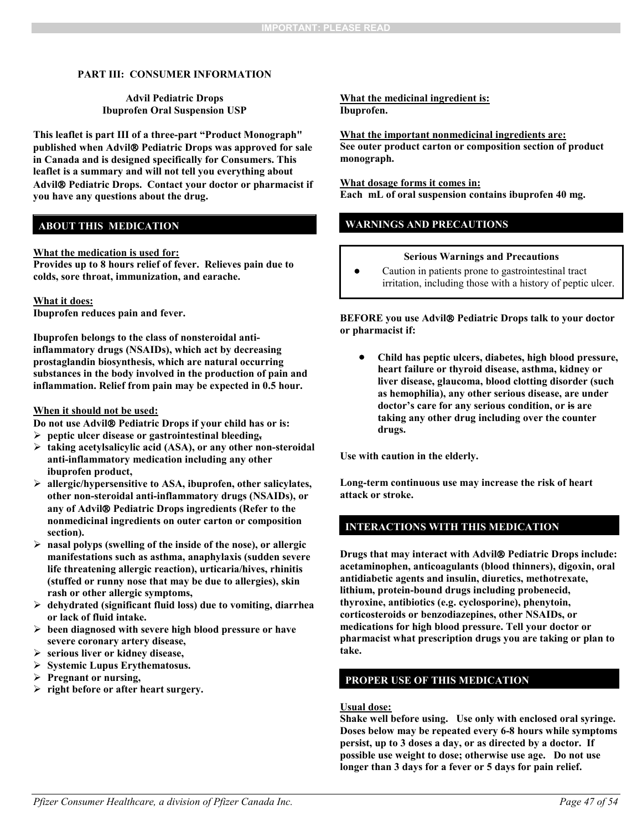### **PART III: CONSUMER INFORMATION**

### **Advil Pediatric Drops Ibuprofen Oral Suspension USP**

**This leaflet is part III of a three-part "Product Monograph" published when Advil Pediatric Drops was approved for sale in Canada and is designed specifically for Consumers. This leaflet is a summary and will not tell you everything about Advil Pediatric Drops. Contact your doctor or pharmacist if you have any questions about the drug.** 

### **ABOUT THIS MEDICATION**

#### **What the medication is used for:**

**Provides up to 8 hours relief of fever. Relieves pain due to colds, sore throat, immunization, and earache.** 

#### **What it does:**

**Ibuprofen reduces pain and fever.**

**Ibuprofen belongs to the class of nonsteroidal antiinflammatory drugs (NSAIDs), which act by decreasing prostaglandin biosynthesis, which are natural occurring substances in the body involved in the production of pain and inflammation. Relief from pain may be expected in 0.5 hour.**

#### **When it should not be used:**

**Do not use Advil<sup>®</sup> Pediatric Drops if your child has or is:** 

- **peptic ulcer disease or gastrointestinal bleeding,**
- **taking acetylsalicylic acid (ASA), or any other non-steroidal anti-inflammatory medication including any other ibuprofen product,**
- **allergic/hypersensitive to ASA, ibuprofen, other salicylates, other non-steroidal anti-inflammatory drugs (NSAIDs), or any of Advil Pediatric Drops ingredients (Refer to the nonmedicinal ingredients on outer carton or composition section).**
- **nasal polyps (swelling of the inside of the nose), or allergic manifestations such as asthma, anaphylaxis (sudden severe life threatening allergic reaction), urticaria/hives, rhinitis (stuffed or runny nose that may be due to allergies), skin rash or other allergic symptoms,**
- **dehydrated (significant fluid loss) due to vomiting, diarrhea or lack of fluid intake.**
- **been diagnosed with severe high blood pressure or have severe coronary artery disease,**
- **serious liver or kidney disease,**
- **Systemic Lupus Erythematosus.**
- **Pregnant or nursing,**
- **right before or after heart surgery.**

#### **What the medicinal ingredient is: Ibuprofen.**

#### **What the important nonmedicinal ingredients are:**

**See outer product carton or composition section of product monograph.**

#### **What dosage forms it comes in:**

**Each mL of oral suspension contains ibuprofen 40 mg.**

### **WARNINGS AND PRECAUTIONS**

### **Serious Warnings and Precautions**

• Caution in patients prone to gastrointestinal tract irritation, including those with a history of peptic ulcer.

**BEFORE** you use Advil<sup>®</sup> Pediatric Drops talk to your doctor **or pharmacist if:**

• **Child has peptic ulcers, diabetes, high blood pressure, heart failure or thyroid disease, asthma, kidney or liver disease, glaucoma, blood clotting disorder (such as hemophilia), any other serious disease, are under doctor's care for any serious condition, or is are taking any other drug including over the counter drugs.**

**Use with caution in the elderly.**

**Long-term continuous use may increase the risk of heart attack or stroke.** 

### **INTERACTIONS WITH THIS MEDICATION**

**Drugs that may interact with Advil Pediatric Drops include: acetaminophen, anticoagulants (blood thinners), digoxin, oral antidiabetic agents and insulin, diuretics, methotrexate, lithium, protein-bound drugs including probenecid, thyroxine, antibiotics (e.g. cyclosporine), phenytoin, corticosteroids or benzodiazepines, other NSAIDs, or medications for high blood pressure. Tell your doctor or pharmacist what prescription drugs you are taking or plan to take.**

### **PROPER USE OF THIS MEDICATION**

#### **Usual dose:**

**Shake well before using. Use only with enclosed oral syringe. Doses below may be repeated every 6-8 hours while symptoms persist, up to 3 doses a day, or as directed by a doctor. If possible use weight to dose; otherwise use age. Do not use longer than 3 days for a fever or 5 days for pain relief.**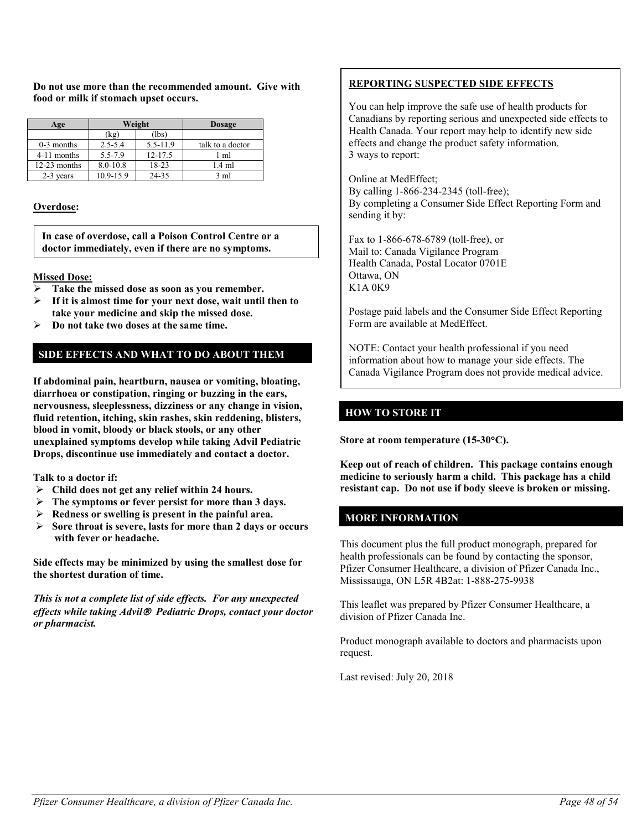**Do not use more than the recommended amount. Give with food or milk if stomach upset occurs.**

| Age            | Weight       |             | <b>Dosage</b>    |
|----------------|--------------|-------------|------------------|
|                | (kg)         | (lbs)       |                  |
| $0-3$ months   | $2.5 - 5.4$  | 5.5-11.9    | talk to a doctor |
| 4-11 months    | 5.5-7.9      | $12 - 17.5$ | 1 ml             |
| $12-23$ months | $8.0 - 10.8$ | 18-23       | $1.4$ ml         |
| 2-3 years      | 10.9-15.9    | 24-35       | $3 \text{ ml}$   |

### **Overdose:**

**In case of overdose, call a Poison Control Centre or a doctor immediately, even if there are no symptoms.**

### **Missed Dose:**

- **Take the missed dose as soon as you remember.**
- **If it is almost time for your next dose, wait until then to take your medicine and skip the missed dose.**
- **Do not take two doses at the same time.**

### **SIDE EFFECTS AND WHAT TO DO ABOUT THEM**

**If abdominal pain, heartburn, nausea or vomiting, bloating, diarrhoea or constipation, ringing or buzzing in the ears, nervousness, sleeplessness, dizziness or any change in vision, fluid retention, itching, skin rashes, skin reddening, blisters, blood in vomit, bloody or black stools, or any other unexplained symptoms develop while taking Advil Pediatric Drops, discontinue use immediately and contact a doctor.** 

**Talk to a doctor if:**

- **Child does not get any relief within 24 hours.**
- **The symptoms or fever persist for more than 3 days.**
- **Redness or swelling is present in the painful area.**
- **Sore throat is severe, lasts for more than 2 days or occurs with fever or headache.**

**Side effects may be minimized by using the smallest dose for the shortest duration of time.**

*This is not a complete list of side effects. For any unexpected effects while taking Advil Pediatric Drops, contact your doctor or pharmacist.*

## **REPORTING SUSPECTED SIDE EFFECTS**

You can help improve the safe use of health products for Canadians by reporting serious and unexpected side effects to Health Canada. Your report may help to identify new side effects and change the product safety information. 3 ways to report:

Online at MedEffect; By calling 1-866-234-2345 (toll-free); By completing a Consumer Side Effect Reporting Form and sending it by:

Fax to 1-866-678-6789 (toll-free), or Mail to: Canada Vigilance Program Health Canada, Postal Locator 0701E Ottawa, ON K1A 0K9

Postage paid labels and the Consumer Side Effect Reporting Form are available at MedEffect.

NOTE: Contact your health professional if you need information about how to manage your side effects. The Canada Vigilance Program does not provide medical advice.

### **HOW TO STORE IT**

**Store at room temperature (15-30**°**C).**

**Keep out of reach of children. This package contains enough medicine to seriously harm a child. This package has a child resistant cap. Do not use if body sleeve is broken or missing.**

### **MORE INFORMATION**

This document plus the full product monograph, prepared for health professionals can be found by contacting the sponsor, Pfizer Consumer Healthcare, a division of Pfizer Canada Inc., Mississauga, ON L5R 4B2at: 1-888-275-9938

This leaflet was prepared by Pfizer Consumer Healthcare, a division of Pfizer Canada Inc.

Product monograph available to doctors and pharmacists upon request.

Last revised: July 20, 2018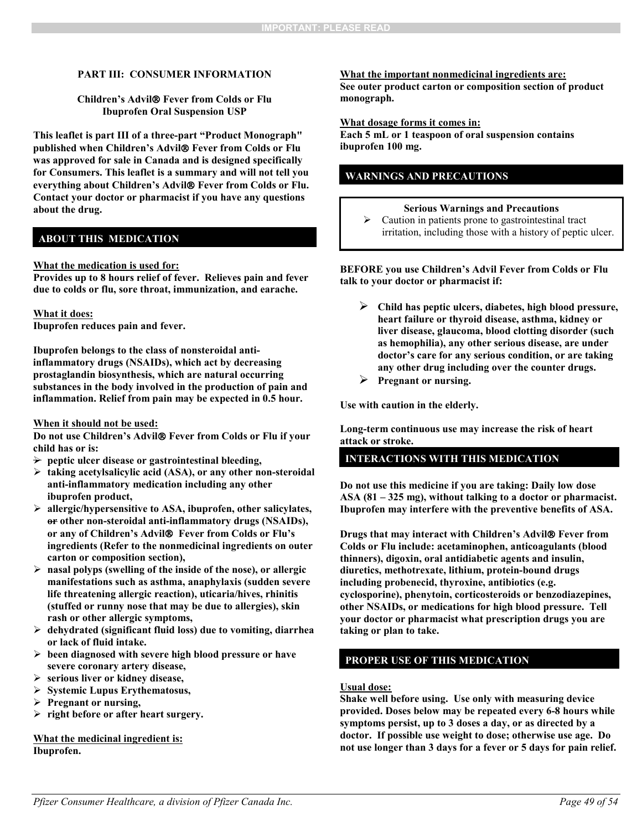#### **PART III: CONSUMER INFORMATION**

#### **Children's Advil Fever from Colds or Flu Ibuprofen Oral Suspension USP**

**This leaflet is part III of a three-part "Product Monograph" published when Children's Advil Fever from Colds or Flu was approved for sale in Canada and is designed specifically for Consumers. This leaflet is a summary and will not tell you everything about Children's Advil Fever from Colds or Flu. Contact your doctor or pharmacist if you have any questions about the drug.** 

### **ABOUT THIS MEDICATION**

#### **What the medication is used for:**

**Provides up to 8 hours relief of fever. Relieves pain and fever due to colds or flu, sore throat, immunization, and earache.** 

#### **What it does:**

**Ibuprofen reduces pain and fever.**

**Ibuprofen belongs to the class of nonsteroidal antiinflammatory drugs (NSAIDs), which act by decreasing prostaglandin biosynthesis, which are natural occurring substances in the body involved in the production of pain and inflammation. Relief from pain may be expected in 0.5 hour.**

#### **When it should not be used:**

**Do not use Children's Advil Fever from Colds or Flu if your child has or is:**

- **peptic ulcer disease or gastrointestinal bleeding,**
- **taking acetylsalicylic acid (ASA), or any other non-steroidal anti-inflammatory medication including any other ibuprofen product,**
- **allergic/hypersensitive to ASA, ibuprofen, other salicylates, or other non-steroidal anti-inflammatory drugs (NSAIDs), or any of Children's Advil Fever from Colds or Flu's ingredients (Refer to the nonmedicinal ingredients on outer carton or composition section),**
- **nasal polyps (swelling of the inside of the nose), or allergic manifestations such as asthma, anaphylaxis (sudden severe life threatening allergic reaction), uticaria/hives, rhinitis (stuffed or runny nose that may be due to allergies), skin rash or other allergic symptoms,**
- **dehydrated (significant fluid loss) due to vomiting, diarrhea or lack of fluid intake.**
- **been diagnosed with severe high blood pressure or have severe coronary artery disease,**
- **serious liver or kidney disease,**
- **Systemic Lupus Erythematosus,**
- **Pregnant or nursing,**
- **right before or after heart surgery.**

**What the medicinal ingredient is: Ibuprofen.**

#### **What the important nonmedicinal ingredients are:**

**See outer product carton or composition section of product monograph.**

#### **What dosage forms it comes in:**

**Each 5 mL or 1 teaspoon of oral suspension contains ibuprofen 100 mg.**

### **WARNINGS AND PRECAUTIONS**

### **Serious Warnings and Precautions**

 $\triangleright$  Caution in patients prone to gastrointestinal tract irritation, including those with a history of peptic ulcer.

#### **BEFORE you use Children's Advil Fever from Colds or Flu talk to your doctor or pharmacist if:**

- **Child has peptic ulcers, diabetes, high blood pressure, heart failure or thyroid disease, asthma, kidney or liver disease, glaucoma, blood clotting disorder (such as hemophilia), any other serious disease, are under doctor's care for any serious condition, or are taking any other drug including over the counter drugs.**
- **Pregnant or nursing.**

**Use with caution in the elderly.**

**Long-term continuous use may increase the risk of heart attack or stroke.** 

### **INTERACTIONS WITH THIS MEDICATION**

**Do not use this medicine if you are taking: Daily low dose ASA (81 – 325 mg), without talking to a doctor or pharmacist. Ibuprofen may interfere with the preventive benefits of ASA.**

**Drugs that may interact with Children's Advil Fever from Colds or Flu include: acetaminophen, anticoagulants (blood thinners), digoxin, oral antidiabetic agents and insulin, diuretics, methotrexate, lithium, protein-bound drugs including probenecid, thyroxine, antibiotics (e.g. cyclosporine), phenytoin, corticosteroids or benzodiazepines, other NSAIDs, or medications for high blood pressure. Tell your doctor or pharmacist what prescription drugs you are taking or plan to take.**

### **PROPER USE OF THIS MEDICATION**

#### **Usual dose:**

**Shake well before using. Use only with measuring device provided. Doses below may be repeated every 6-8 hours while symptoms persist, up to 3 doses a day, or as directed by a doctor. If possible use weight to dose; otherwise use age. Do not use longer than 3 days for a fever or 5 days for pain relief.**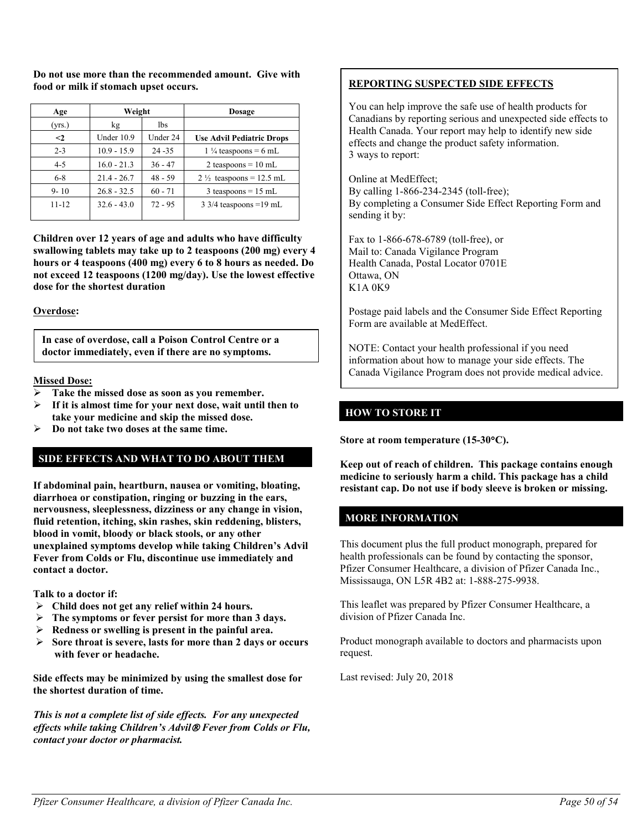**Do not use more than the recommended amount. Give with food or milk if stomach upset occurs.**

| Age       | Weight        |           | <b>Dosage</b>                      |
|-----------|---------------|-----------|------------------------------------|
| (yrs.)    | kg            | lbs       |                                    |
| $\leq$    | Under 10.9    | Under 24  | <b>Use Advil Pediatric Drops</b>   |
| $2 - 3$   | $10.9 - 15.9$ | $24 - 35$ | $1\frac{1}{4}$ teaspoons = 6 mL    |
| $4 - 5$   | $16.0 - 21.3$ | $36 - 47$ | 2 teaspoons = $10$ mL              |
| $6 - 8$   | $21.4 - 26.7$ | $48 - 59$ | $2\frac{1}{2}$ teaspoons = 12.5 mL |
| $9 - 10$  | $26.8 - 32.5$ | $60 - 71$ | $3$ teaspoons = 15 mL              |
| $11 - 12$ | $32.6 - 43.0$ | $72 - 95$ | $3\frac{3}{4}$ teaspoons = 19 mL   |

**Children over 12 years of age and adults who have difficulty swallowing tablets may take up to 2 teaspoons (200 mg) every 4 hours or 4 teaspoons (400 mg) every 6 to 8 hours as needed. Do not exceed 12 teaspoons (1200 mg/day). Use the lowest effective dose for the shortest duration**

**Overdose:**

**In case of overdose, call a Poison Control Centre or a doctor immediately, even if there are no symptoms.**

**Missed Dose:**

- **Take the missed dose as soon as you remember.**
- **If it is almost time for your next dose, wait until then to take your medicine and skip the missed dose.**
- **Do not take two doses at the same time.**

### **SIDE EFFECTS AND WHAT TO DO ABOUT THEM**

**If abdominal pain, heartburn, nausea or vomiting, bloating, diarrhoea or constipation, ringing or buzzing in the ears, nervousness, sleeplessness, dizziness or any change in vision, fluid retention, itching, skin rashes, skin reddening, blisters, blood in vomit, bloody or black stools, or any other unexplained symptoms develop while taking Children's Advil Fever from Colds or Flu, discontinue use immediately and contact a doctor.** 

**Talk to a doctor if:**

- **Child does not get any relief within 24 hours.**
- **The symptoms or fever persist for more than 3 days.**
- **Redness or swelling is present in the painful area.**
- **Sore throat is severe, lasts for more than 2 days or occurs with fever or headache.**

**Side effects may be minimized by using the smallest dose for the shortest duration of time.**

*This is not a complete list of side effects. For any unexpected effects while taking Children's Advil Fever from Colds or Flu, contact your doctor or pharmacist.*

### **REPORTING SUSPECTED SIDE EFFECTS**

You can help improve the safe use of health products for Canadians by reporting serious and unexpected side effects to Health Canada. Your report may help to identify new side effects and change the product safety information. 3 ways to report:

Online at MedEffect; By calling 1-866-234-2345 (toll-free); By completing a Consumer Side Effect Reporting Form and sending it by:

Fax to 1-866-678-6789 (toll-free), or Mail to: Canada Vigilance Program Health Canada, Postal Locator 0701E Ottawa, ON K1A 0K9

Postage paid labels and the Consumer Side Effect Reporting Form are available at MedEffect.

NOTE: Contact your health professional if you need information about how to manage your side effects. The Canada Vigilance Program does not provide medical advice.

### **HOW TO STORE IT**

**Store at room temperature (15-30**°**C).**

**Keep out of reach of children. This package contains enough medicine to seriously harm a child. This package has a child resistant cap. Do not use if body sleeve is broken or missing.**

### **MORE INFORMATION**

This document plus the full product monograph, prepared for health professionals can be found by contacting the sponsor, Pfizer Consumer Healthcare, a division of Pfizer Canada Inc., Mississauga, ON L5R 4B2 at: 1-888-275-9938.

This leaflet was prepared by Pfizer Consumer Healthcare, a division of Pfizer Canada Inc.

Product monograph available to doctors and pharmacists upon request.

Last revised: July 20, 2018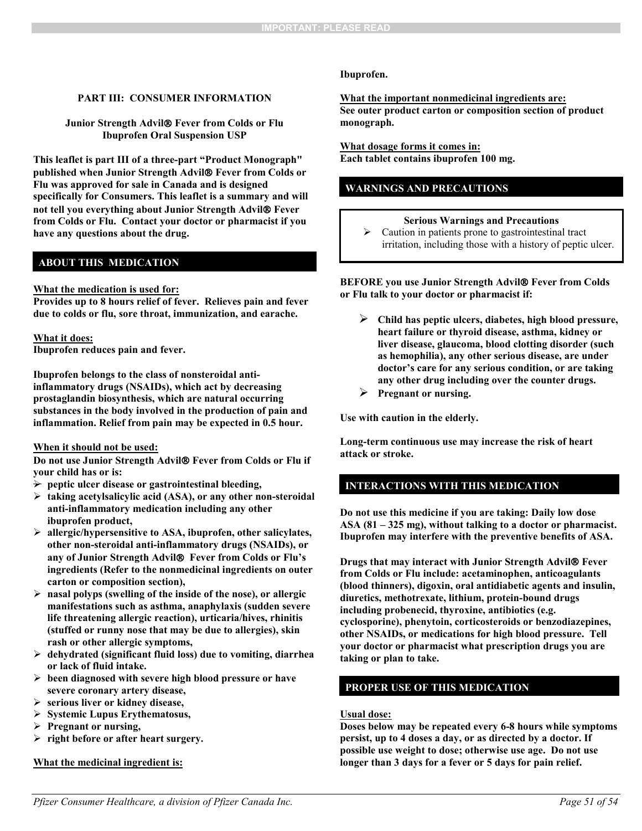### **PART III: CONSUMER INFORMATION**

#### **Junior Strength Advil Fever from Colds or Flu Ibuprofen Oral Suspension USP**

**This leaflet is part III of a three-part "Product Monograph" published when Junior Strength Advil Fever from Colds or Flu was approved for sale in Canada and is designed specifically for Consumers. This leaflet is a summary and will not tell you everything about Junior Strength Advil Fever from Colds or Flu. Contact your doctor or pharmacist if you have any questions about the drug.** 

### **ABOUT THIS MEDICATION**

#### **What the medication is used for:**

**Provides up to 8 hours relief of fever. Relieves pain and fever due to colds or flu, sore throat, immunization, and earache.** 

#### **What it does:**

**Ibuprofen reduces pain and fever.**

**Ibuprofen belongs to the class of nonsteroidal antiinflammatory drugs (NSAIDs), which act by decreasing prostaglandin biosynthesis, which are natural occurring substances in the body involved in the production of pain and inflammation. Relief from pain may be expected in 0.5 hour.**

#### **When it should not be used:**

**Do not use Junior Strength Advil Fever from Colds or Flu if your child has or is:**

- **→** peptic ulcer disease or gastrointestinal bleeding,
- **taking acetylsalicylic acid (ASA), or any other non-steroidal anti-inflammatory medication including any other ibuprofen product,**
- **allergic/hypersensitive to ASA, ibuprofen, other salicylates, other non-steroidal anti-inflammatory drugs (NSAIDs), or any of Junior Strength Advil Fever from Colds or Flu's ingredients (Refer to the nonmedicinal ingredients on outer carton or composition section),**
- **nasal polyps (swelling of the inside of the nose), or allergic manifestations such as asthma, anaphylaxis (sudden severe life threatening allergic reaction), urticaria/hives, rhinitis (stuffed or runny nose that may be due to allergies), skin rash or other allergic symptoms,**
- **dehydrated (significant fluid loss) due to vomiting, diarrhea or lack of fluid intake.**
- **been diagnosed with severe high blood pressure or have severe coronary artery disease,**
- **serious liver or kidney disease,**
- **Systemic Lupus Erythematosus,**
- **Pregnant or nursing,**
- **right before or after heart surgery.**

#### **What the medicinal ingredient is:**

#### **Ibuprofen.**

**What the important nonmedicinal ingredients are: See outer product carton or composition section of product monograph.**

**What dosage forms it comes in: Each tablet contains ibuprofen 100 mg.**

### **WARNINGS AND PRECAUTIONS**

### **Serious Warnings and Precautions**

> Caution in patients prone to gastrointestinal tract irritation, including those with a history of peptic ulcer.

**BEFORE you use Junior Strength Advil Fever from Colds or Flu talk to your doctor or pharmacist if:**

- **Child has peptic ulcers, diabetes, high blood pressure, heart failure or thyroid disease, asthma, kidney or liver disease, glaucoma, blood clotting disorder (such as hemophilia), any other serious disease, are under doctor's care for any serious condition, or are taking any other drug including over the counter drugs.**
- **Pregnant or nursing.**

**Use with caution in the elderly.**

**Long-term continuous use may increase the risk of heart attack or stroke.** 

### **INTERACTIONS WITH THIS MEDICATION**

**Do not use this medicine if you are taking: Daily low dose ASA (81 – 325 mg), without talking to a doctor or pharmacist. Ibuprofen may interfere with the preventive benefits of ASA.**

**Drugs that may interact with Junior Strength Advil Fever from Colds or Flu include: acetaminophen, anticoagulants (blood thinners), digoxin, oral antidiabetic agents and insulin, diuretics, methotrexate, lithium, protein-bound drugs including probenecid, thyroxine, antibiotics (e.g. cyclosporine), phenytoin, corticosteroids or benzodiazepines, other NSAIDs, or medications for high blood pressure. Tell your doctor or pharmacist what prescription drugs you are taking or plan to take.**

### **PROPER USE OF THIS MEDICATION**

#### **Usual dose:**

**Doses below may be repeated every 6-8 hours while symptoms persist, up to 4 doses a day, or as directed by a doctor. If possible use weight to dose; otherwise use age. Do not use longer than 3 days for a fever or 5 days for pain relief.**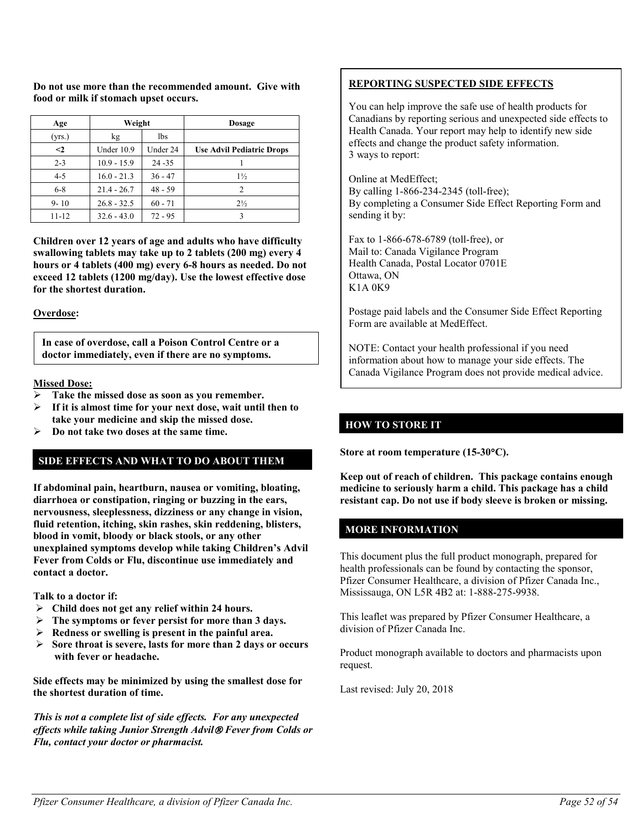| σe | Weight | <b>Dosage</b> |  |
|----|--------|---------------|--|
|    |        |               |  |

**food or milk if stomach upset occurs.**

**Do not use more than the recommended amount. Give with** 

┑

| Age       | weight        |           | <b>DOSA2C</b>                    |
|-----------|---------------|-----------|----------------------------------|
| (yrs.)    | kg            | 1bs       |                                  |
| $\leq$ 2  | Under 10.9    | Under 24  | <b>Use Advil Pediatric Drops</b> |
| $2 - 3$   | $10.9 - 15.9$ | $24 - 35$ |                                  |
| $4 - 5$   | $16.0 - 21.3$ | $36 - 47$ | $1\frac{1}{2}$                   |
| $6 - 8$   | $21.4 - 26.7$ | $48 - 59$ |                                  |
| $9 - 10$  | $26.8 - 32.5$ | $60 - 71$ | $2\frac{1}{2}$                   |
| $11 - 12$ | $32.6 - 43.0$ | $72 - 95$ |                                  |

**Children over 12 years of age and adults who have difficulty swallowing tablets may take up to 2 tablets (200 mg) every 4 hours or 4 tablets (400 mg) every 6-8 hours as needed. Do not exceed 12 tablets (1200 mg/day). Use the lowest effective dose for the shortest duration.**

### **Overdose:**

**In case of overdose, call a Poison Control Centre or a doctor immediately, even if there are no symptoms.**

### **Missed Dose:**

- **Take the missed dose as soon as you remember.**
- **If it is almost time for your next dose, wait until then to take your medicine and skip the missed dose.**
- **Do not take two doses at the same time.**

### **SIDE EFFECTS AND WHAT TO DO ABOUT THEM**

**If abdominal pain, heartburn, nausea or vomiting, bloating, diarrhoea or constipation, ringing or buzzing in the ears, nervousness, sleeplessness, dizziness or any change in vision, fluid retention, itching, skin rashes, skin reddening, blisters, blood in vomit, bloody or black stools, or any other unexplained symptoms develop while taking Children's Advil Fever from Colds or Flu, discontinue use immediately and contact a doctor.** 

**Talk to a doctor if:**

- **Child does not get any relief within 24 hours.**
- **The symptoms or fever persist for more than 3 days.**
- **Redness or swelling is present in the painful area.**
- **Sore throat is severe, lasts for more than 2 days or occurs with fever or headache.**

**Side effects may be minimized by using the smallest dose for the shortest duration of time.**

*This is not a complete list of side effects. For any unexpected effects while taking Junior Strength Advil Fever from Colds or Flu, contact your doctor or pharmacist.*

## **REPORTING SUSPECTED SIDE EFFECTS**

You can help improve the safe use of health products for Canadians by reporting serious and unexpected side effects to Health Canada. Your report may help to identify new side effects and change the product safety information. 3 ways to report:

Online at MedEffect; By calling 1-866-234-2345 (toll-free); By completing a Consumer Side Effect Reporting Form and sending it by:

Fax to 1-866-678-6789 (toll-free), or Mail to: Canada Vigilance Program Health Canada, Postal Locator 0701E Ottawa, ON K1A 0K9

Postage paid labels and the Consumer Side Effect Reporting Form are available at MedEffect.

NOTE: Contact your health professional if you need information about how to manage your side effects. The Canada Vigilance Program does not provide medical advice.

### **HOW TO STORE IT**

**Store at room temperature (15-30**°**C).**

**Keep out of reach of children. This package contains enough medicine to seriously harm a child. This package has a child resistant cap. Do not use if body sleeve is broken or missing.**

### **MORE INFORMATION**

This document plus the full product monograph, prepared for health professionals can be found by contacting the sponsor, Pfizer Consumer Healthcare, a division of Pfizer Canada Inc., Mississauga, ON L5R 4B2 at: 1-888-275-9938.

This leaflet was prepared by Pfizer Consumer Healthcare, a division of Pfizer Canada Inc.

Product monograph available to doctors and pharmacists upon request.

Last revised: July 20, 2018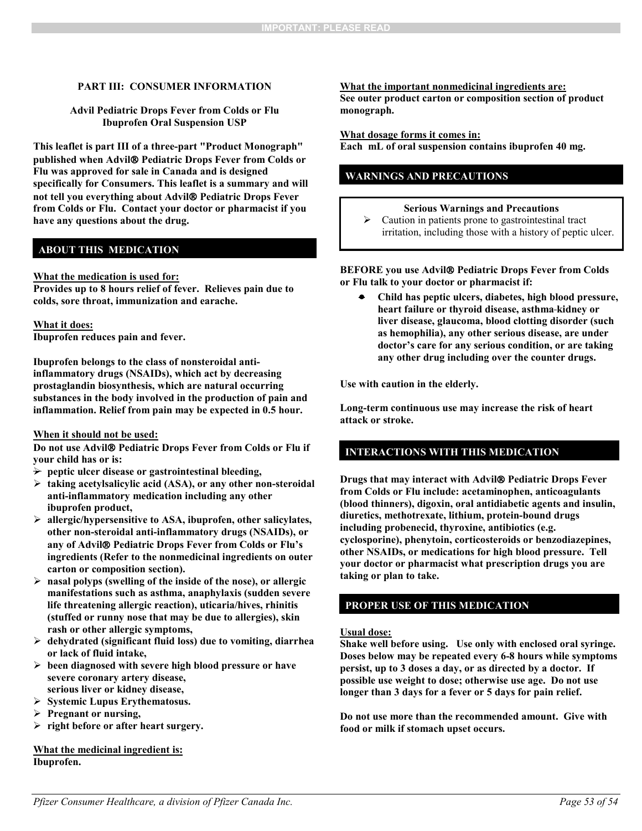#### **PART III: CONSUMER INFORMATION**

#### **Advil Pediatric Drops Fever from Colds or Flu Ibuprofen Oral Suspension USP**

**This leaflet is part III of a three-part "Product Monograph" published when Advil Pediatric Drops Fever from Colds or Flu was approved for sale in Canada and is designed specifically for Consumers. This leaflet is a summary and will not tell you everything about Advil Pediatric Drops Fever from Colds or Flu. Contact your doctor or pharmacist if you have any questions about the drug.** 

### **ABOUT THIS MEDICATION**

#### **What the medication is used for:**

**Provides up to 8 hours relief of fever. Relieves pain due to colds, sore throat, immunization and earache.** 

#### **What it does:**

**Ibuprofen reduces pain and fever.**

**Ibuprofen belongs to the class of nonsteroidal antiinflammatory drugs (NSAIDs), which act by decreasing prostaglandin biosynthesis, which are natural occurring substances in the body involved in the production of pain and inflammation. Relief from pain may be expected in 0.5 hour.**

#### **When it should not be used:**

**Do not use Advil® Pediatric Drops Fever from Colds or Flu if your child has or is:**

- $\rightarrow$  peptic ulcer disease or gastrointestinal bleeding,
- **taking acetylsalicylic acid (ASA), or any other non-steroidal anti-inflammatory medication including any other ibuprofen product,**
- **allergic/hypersensitive to ASA, ibuprofen, other salicylates, other non-steroidal anti-inflammatory drugs (NSAIDs), or any of Advil Pediatric Drops Fever from Colds or Flu's ingredients (Refer to the nonmedicinal ingredients on outer carton or composition section).**
- **nasal polyps (swelling of the inside of the nose), or allergic manifestations such as asthma, anaphylaxis (sudden severe life threatening allergic reaction), uticaria/hives, rhinitis (stuffed or runny nose that may be due to allergies), skin rash or other allergic symptoms,**
- **dehydrated (significant fluid loss) due to vomiting, diarrhea or lack of fluid intake,**
- **been diagnosed with severe high blood pressure or have severe coronary artery disease, serious liver or kidney disease,**
- **Systemic Lupus Erythematosus.**
- **Pregnant or nursing,**
- **right before or after heart surgery.**

**What the medicinal ingredient is: Ibuprofen.**

**What the important nonmedicinal ingredients are: See outer product carton or composition section of product monograph.**

#### **What dosage forms it comes in:**

**Each mL of oral suspension contains ibuprofen 40 mg.**

### **WARNINGS AND PRECAUTIONS**

### **Serious Warnings and Precautions**

 $\triangleright$  Caution in patients prone to gastrointestinal tract irritation, including those with a history of peptic ulcer.

#### **BEFORE you use Advil Pediatric Drops Fever from Colds or Flu talk to your doctor or pharmacist if:**

• **Child has peptic ulcers, diabetes, high blood pressure, heart failure or thyroid disease, asthma kidney or liver disease, glaucoma, blood clotting disorder (such as hemophilia), any other serious disease, are under doctor's care for any serious condition, or are taking any other drug including over the counter drugs.**

**Use with caution in the elderly.** 

**Long-term continuous use may increase the risk of heart attack or stroke.** 

### **INTERACTIONS WITH THIS MEDICATION**

**Drugs that may interact with Advil Pediatric Drops Fever from Colds or Flu include: acetaminophen, anticoagulants (blood thinners), digoxin, oral antidiabetic agents and insulin, diuretics, methotrexate, lithium, protein-bound drugs including probenecid, thyroxine, antibiotics (e.g. cyclosporine), phenytoin, corticosteroids or benzodiazepines, other NSAIDs, or medications for high blood pressure. Tell your doctor or pharmacist what prescription drugs you are taking or plan to take.**

### **PROPER USE OF THIS MEDICATION**

#### **Usual dose:**

**Shake well before using. Use only with enclosed oral syringe. Doses below may be repeated every 6-8 hours while symptoms persist, up to 3 doses a day, or as directed by a doctor. If possible use weight to dose; otherwise use age. Do not use longer than 3 days for a fever or 5 days for pain relief.**

**Do not use more than the recommended amount. Give with food or milk if stomach upset occurs.**